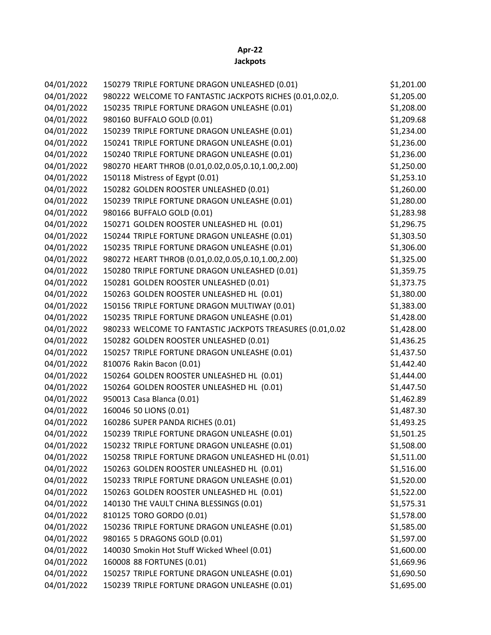## **Apr-22 Jackpots**

| 04/01/2022 | 150279 TRIPLE FORTUNE DRAGON UNLEASHED (0.01)             | \$1,201.00 |
|------------|-----------------------------------------------------------|------------|
| 04/01/2022 | 980222 WELCOME TO FANTASTIC JACKPOTS RICHES (0.01,0.02,0. | \$1,205.00 |
| 04/01/2022 | 150235 TRIPLE FORTUNE DRAGON UNLEASHE (0.01)              | \$1,208.00 |
| 04/01/2022 | 980160 BUFFALO GOLD (0.01)                                | \$1,209.68 |
| 04/01/2022 | 150239 TRIPLE FORTUNE DRAGON UNLEASHE (0.01)              | \$1,234.00 |
| 04/01/2022 | 150241 TRIPLE FORTUNE DRAGON UNLEASHE (0.01)              | \$1,236.00 |
| 04/01/2022 | 150240 TRIPLE FORTUNE DRAGON UNLEASHE (0.01)              | \$1,236.00 |
| 04/01/2022 | 980270 HEART THROB (0.01,0.02,0.05,0.10,1.00,2.00)        | \$1,250.00 |
| 04/01/2022 | 150118 Mistress of Egypt (0.01)                           | \$1,253.10 |
| 04/01/2022 | 150282 GOLDEN ROOSTER UNLEASHED (0.01)                    | \$1,260.00 |
| 04/01/2022 | 150239 TRIPLE FORTUNE DRAGON UNLEASHE (0.01)              | \$1,280.00 |
| 04/01/2022 | 980166 BUFFALO GOLD (0.01)                                | \$1,283.98 |
| 04/01/2022 | 150271 GOLDEN ROOSTER UNLEASHED HL (0.01)                 | \$1,296.75 |
| 04/01/2022 | 150244 TRIPLE FORTUNE DRAGON UNLEASHE (0.01)              | \$1,303.50 |
| 04/01/2022 | 150235 TRIPLE FORTUNE DRAGON UNLEASHE (0.01)              | \$1,306.00 |
| 04/01/2022 | 980272 HEART THROB (0.01,0.02,0.05,0.10,1.00,2.00)        | \$1,325.00 |
| 04/01/2022 | 150280 TRIPLE FORTUNE DRAGON UNLEASHED (0.01)             | \$1,359.75 |
| 04/01/2022 | 150281 GOLDEN ROOSTER UNLEASHED (0.01)                    | \$1,373.75 |
| 04/01/2022 | 150263 GOLDEN ROOSTER UNLEASHED HL (0.01)                 | \$1,380.00 |
| 04/01/2022 | 150156 TRIPLE FORTUNE DRAGON MULTIWAY (0.01)              | \$1,383.00 |
| 04/01/2022 | 150235 TRIPLE FORTUNE DRAGON UNLEASHE (0.01)              | \$1,428.00 |
| 04/01/2022 | 980233 WELCOME TO FANTASTIC JACKPOTS TREASURES (0.01,0.02 | \$1,428.00 |
| 04/01/2022 | 150282 GOLDEN ROOSTER UNLEASHED (0.01)                    | \$1,436.25 |
| 04/01/2022 | 150257 TRIPLE FORTUNE DRAGON UNLEASHE (0.01)              | \$1,437.50 |
| 04/01/2022 | 810076 Rakin Bacon (0.01)                                 | \$1,442.40 |
| 04/01/2022 | 150264 GOLDEN ROOSTER UNLEASHED HL (0.01)                 | \$1,444.00 |
| 04/01/2022 | 150264 GOLDEN ROOSTER UNLEASHED HL (0.01)                 | \$1,447.50 |
| 04/01/2022 | 950013 Casa Blanca (0.01)                                 | \$1,462.89 |
| 04/01/2022 | 160046 50 LIONS (0.01)                                    | \$1,487.30 |
| 04/01/2022 | 160286 SUPER PANDA RICHES (0.01)                          | \$1,493.25 |
| 04/01/2022 | 150239 TRIPLE FORTUNE DRAGON UNLEASHE (0.01)              | \$1,501.25 |
| 04/01/2022 | 150232 TRIPLE FORTUNE DRAGON UNLEASHE (0.01)              | \$1,508.00 |
| 04/01/2022 | 150258 TRIPLE FORTUNE DRAGON UNLEASHED HL (0.01)          | \$1,511.00 |
| 04/01/2022 | 150263 GOLDEN ROOSTER UNLEASHED HL (0.01)                 | \$1,516.00 |
| 04/01/2022 | 150233 TRIPLE FORTUNE DRAGON UNLEASHE (0.01)              | \$1,520.00 |
| 04/01/2022 | 150263 GOLDEN ROOSTER UNLEASHED HL (0.01)                 | \$1,522.00 |
| 04/01/2022 | 140130 THE VAULT CHINA BLESSINGS (0.01)                   | \$1,575.31 |
| 04/01/2022 | 810125 TORO GORDO (0.01)                                  | \$1,578.00 |
| 04/01/2022 | 150236 TRIPLE FORTUNE DRAGON UNLEASHE (0.01)              | \$1,585.00 |
| 04/01/2022 | 980165 5 DRAGONS GOLD (0.01)                              | \$1,597.00 |
| 04/01/2022 | 140030 Smokin Hot Stuff Wicked Wheel (0.01)               | \$1,600.00 |
| 04/01/2022 | 160008 88 FORTUNES (0.01)                                 | \$1,669.96 |
| 04/01/2022 | 150257 TRIPLE FORTUNE DRAGON UNLEASHE (0.01)              | \$1,690.50 |
| 04/01/2022 | 150239 TRIPLE FORTUNE DRAGON UNLEASHE (0.01)              | \$1,695.00 |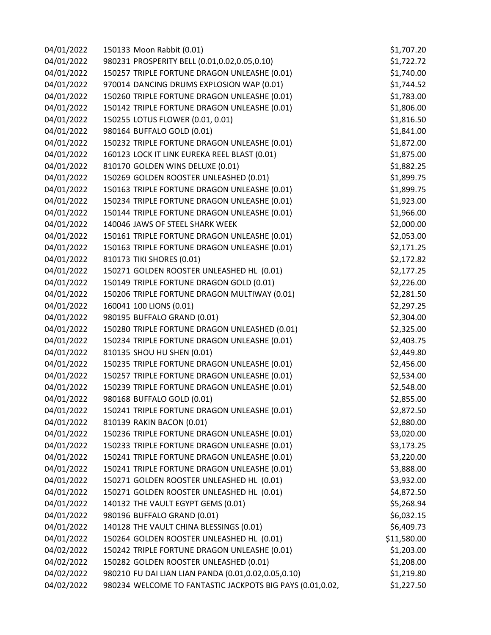| 04/01/2022 | 150133 Moon Rabbit (0.01)                                 | \$1,707.20  |
|------------|-----------------------------------------------------------|-------------|
| 04/01/2022 | 980231 PROSPERITY BELL (0.01,0.02,0.05,0.10)              | \$1,722.72  |
| 04/01/2022 | 150257 TRIPLE FORTUNE DRAGON UNLEASHE (0.01)              | \$1,740.00  |
| 04/01/2022 | 970014 DANCING DRUMS EXPLOSION WAP (0.01)                 | \$1,744.52  |
| 04/01/2022 | 150260 TRIPLE FORTUNE DRAGON UNLEASHE (0.01)              | \$1,783.00  |
| 04/01/2022 | 150142 TRIPLE FORTUNE DRAGON UNLEASHE (0.01)              | \$1,806.00  |
| 04/01/2022 | 150255 LOTUS FLOWER (0.01, 0.01)                          | \$1,816.50  |
| 04/01/2022 | 980164 BUFFALO GOLD (0.01)                                | \$1,841.00  |
| 04/01/2022 | 150232 TRIPLE FORTUNE DRAGON UNLEASHE (0.01)              | \$1,872.00  |
| 04/01/2022 | 160123 LOCK IT LINK EUREKA REEL BLAST (0.01)              | \$1,875.00  |
| 04/01/2022 | 810170 GOLDEN WINS DELUXE (0.01)                          | \$1,882.25  |
| 04/01/2022 | 150269 GOLDEN ROOSTER UNLEASHED (0.01)                    | \$1,899.75  |
| 04/01/2022 | 150163 TRIPLE FORTUNE DRAGON UNLEASHE (0.01)              | \$1,899.75  |
| 04/01/2022 | 150234 TRIPLE FORTUNE DRAGON UNLEASHE (0.01)              | \$1,923.00  |
| 04/01/2022 | 150144 TRIPLE FORTUNE DRAGON UNLEASHE (0.01)              | \$1,966.00  |
| 04/01/2022 | 140046 JAWS OF STEEL SHARK WEEK                           | \$2,000.00  |
| 04/01/2022 | 150161 TRIPLE FORTUNE DRAGON UNLEASHE (0.01)              | \$2,053.00  |
| 04/01/2022 | 150163 TRIPLE FORTUNE DRAGON UNLEASHE (0.01)              | \$2,171.25  |
| 04/01/2022 | 810173 TIKI SHORES (0.01)                                 | \$2,172.82  |
| 04/01/2022 | 150271 GOLDEN ROOSTER UNLEASHED HL (0.01)                 | \$2,177.25  |
| 04/01/2022 | 150149 TRIPLE FORTUNE DRAGON GOLD (0.01)                  | \$2,226.00  |
| 04/01/2022 | 150206 TRIPLE FORTUNE DRAGON MULTIWAY (0.01)              | \$2,281.50  |
| 04/01/2022 | 160041 100 LIONS (0.01)                                   | \$2,297.25  |
| 04/01/2022 | 980195 BUFFALO GRAND (0.01)                               | \$2,304.00  |
| 04/01/2022 | 150280 TRIPLE FORTUNE DRAGON UNLEASHED (0.01)             | \$2,325.00  |
| 04/01/2022 | 150234 TRIPLE FORTUNE DRAGON UNLEASHE (0.01)              | \$2,403.75  |
| 04/01/2022 | 810135 SHOU HU SHEN (0.01)                                | \$2,449.80  |
| 04/01/2022 | 150235 TRIPLE FORTUNE DRAGON UNLEASHE (0.01)              | \$2,456.00  |
| 04/01/2022 | 150257 TRIPLE FORTUNE DRAGON UNLEASHE (0.01)              | \$2,534.00  |
| 04/01/2022 | 150239 TRIPLE FORTUNE DRAGON UNLEASHE (0.01)              | \$2,548.00  |
| 04/01/2022 | 980168 BUFFALO GOLD (0.01)                                | \$2,855.00  |
| 04/01/2022 | 150241 TRIPLE FORTUNE DRAGON UNLEASHE (0.01)              | \$2,872.50  |
| 04/01/2022 | 810139 RAKIN BACON (0.01)                                 | \$2,880.00  |
| 04/01/2022 | 150236 TRIPLE FORTUNE DRAGON UNLEASHE (0.01)              | \$3,020.00  |
| 04/01/2022 | 150233 TRIPLE FORTUNE DRAGON UNLEASHE (0.01)              | \$3,173.25  |
| 04/01/2022 | 150241 TRIPLE FORTUNE DRAGON UNLEASHE (0.01)              | \$3,220.00  |
| 04/01/2022 | 150241 TRIPLE FORTUNE DRAGON UNLEASHE (0.01)              | \$3,888.00  |
| 04/01/2022 | 150271 GOLDEN ROOSTER UNLEASHED HL (0.01)                 | \$3,932.00  |
| 04/01/2022 | 150271 GOLDEN ROOSTER UNLEASHED HL (0.01)                 | \$4,872.50  |
| 04/01/2022 | 140132 THE VAULT EGYPT GEMS (0.01)                        | \$5,268.94  |
| 04/01/2022 | 980196 BUFFALO GRAND (0.01)                               | \$6,032.15  |
| 04/01/2022 | 140128 THE VAULT CHINA BLESSINGS (0.01)                   | \$6,409.73  |
| 04/01/2022 | 150264 GOLDEN ROOSTER UNLEASHED HL (0.01)                 | \$11,580.00 |
| 04/02/2022 | 150242 TRIPLE FORTUNE DRAGON UNLEASHE (0.01)              | \$1,203.00  |
| 04/02/2022 | 150282 GOLDEN ROOSTER UNLEASHED (0.01)                    | \$1,208.00  |
| 04/02/2022 | 980210 FU DAI LIAN LIAN PANDA (0.01,0.02,0.05,0.10)       | \$1,219.80  |
| 04/02/2022 | 980234 WELCOME TO FANTASTIC JACKPOTS BIG PAYS (0.01,0.02, | \$1,227.50  |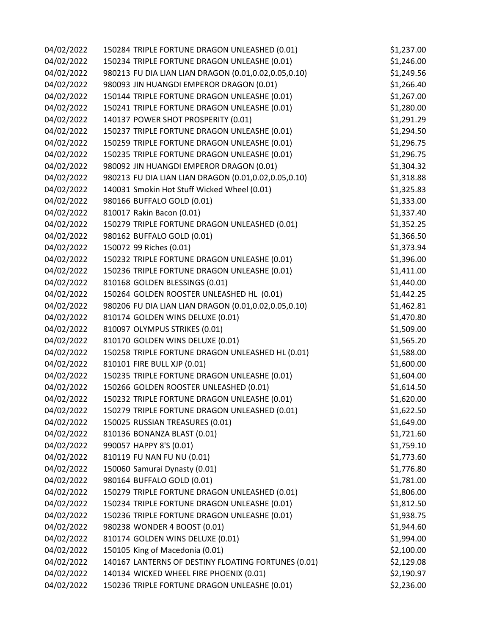| 04/02/2022 | 150284 TRIPLE FORTUNE DRAGON UNLEASHED (0.01)        | \$1,237.00 |
|------------|------------------------------------------------------|------------|
| 04/02/2022 | 150234 TRIPLE FORTUNE DRAGON UNLEASHE (0.01)         | \$1,246.00 |
| 04/02/2022 | 980213 FU DIA LIAN LIAN DRAGON (0.01,0.02,0.05,0.10) | \$1,249.56 |
| 04/02/2022 | 980093 JIN HUANGDI EMPEROR DRAGON (0.01)             | \$1,266.40 |
| 04/02/2022 | 150144 TRIPLE FORTUNE DRAGON UNLEASHE (0.01)         | \$1,267.00 |
| 04/02/2022 | 150241 TRIPLE FORTUNE DRAGON UNLEASHE (0.01)         | \$1,280.00 |
| 04/02/2022 | 140137 POWER SHOT PROSPERITY (0.01)                  | \$1,291.29 |
| 04/02/2022 | 150237 TRIPLE FORTUNE DRAGON UNLEASHE (0.01)         | \$1,294.50 |
| 04/02/2022 | 150259 TRIPLE FORTUNE DRAGON UNLEASHE (0.01)         | \$1,296.75 |
| 04/02/2022 | 150235 TRIPLE FORTUNE DRAGON UNLEASHE (0.01)         | \$1,296.75 |
| 04/02/2022 | 980092 JIN HUANGDI EMPEROR DRAGON (0.01)             | \$1,304.32 |
| 04/02/2022 | 980213 FU DIA LIAN LIAN DRAGON (0.01,0.02,0.05,0.10) | \$1,318.88 |
| 04/02/2022 | 140031 Smokin Hot Stuff Wicked Wheel (0.01)          | \$1,325.83 |
| 04/02/2022 | 980166 BUFFALO GOLD (0.01)                           | \$1,333.00 |
| 04/02/2022 | 810017 Rakin Bacon (0.01)                            | \$1,337.40 |
| 04/02/2022 | 150279 TRIPLE FORTUNE DRAGON UNLEASHED (0.01)        | \$1,352.25 |
| 04/02/2022 | 980162 BUFFALO GOLD (0.01)                           | \$1,366.50 |
| 04/02/2022 | 150072 99 Riches (0.01)                              | \$1,373.94 |
| 04/02/2022 | 150232 TRIPLE FORTUNE DRAGON UNLEASHE (0.01)         | \$1,396.00 |
| 04/02/2022 | 150236 TRIPLE FORTUNE DRAGON UNLEASHE (0.01)         | \$1,411.00 |
| 04/02/2022 | 810168 GOLDEN BLESSINGS (0.01)                       | \$1,440.00 |
| 04/02/2022 | 150264 GOLDEN ROOSTER UNLEASHED HL (0.01)            | \$1,442.25 |
| 04/02/2022 | 980206 FU DIA LIAN LIAN DRAGON (0.01,0.02,0.05,0.10) | \$1,462.81 |
| 04/02/2022 | 810174 GOLDEN WINS DELUXE (0.01)                     | \$1,470.80 |
| 04/02/2022 | 810097 OLYMPUS STRIKES (0.01)                        | \$1,509.00 |
| 04/02/2022 | 810170 GOLDEN WINS DELUXE (0.01)                     | \$1,565.20 |
| 04/02/2022 | 150258 TRIPLE FORTUNE DRAGON UNLEASHED HL (0.01)     | \$1,588.00 |
| 04/02/2022 | 810101 FIRE BULL XJP (0.01)                          | \$1,600.00 |
| 04/02/2022 | 150235 TRIPLE FORTUNE DRAGON UNLEASHE (0.01)         | \$1,604.00 |
| 04/02/2022 | 150266 GOLDEN ROOSTER UNLEASHED (0.01)               | \$1,614.50 |
| 04/02/2022 | 150232 TRIPLE FORTUNE DRAGON UNLEASHE (0.01)         | \$1,620.00 |
| 04/02/2022 | 150279 TRIPLE FORTUNE DRAGON UNLEASHED (0.01)        | \$1,622.50 |
| 04/02/2022 | 150025 RUSSIAN TREASURES (0.01)                      | \$1,649.00 |
| 04/02/2022 | 810136 BONANZA BLAST (0.01)                          | \$1,721.60 |
| 04/02/2022 | 990057 HAPPY 8'S (0.01)                              | \$1,759.10 |
| 04/02/2022 | 810119 FU NAN FU NU (0.01)                           | \$1,773.60 |
| 04/02/2022 | 150060 Samurai Dynasty (0.01)                        | \$1,776.80 |
| 04/02/2022 | 980164 BUFFALO GOLD (0.01)                           | \$1,781.00 |
| 04/02/2022 | 150279 TRIPLE FORTUNE DRAGON UNLEASHED (0.01)        | \$1,806.00 |
| 04/02/2022 | 150234 TRIPLE FORTUNE DRAGON UNLEASHE (0.01)         | \$1,812.50 |
| 04/02/2022 | 150236 TRIPLE FORTUNE DRAGON UNLEASHE (0.01)         | \$1,938.75 |
| 04/02/2022 | 980238 WONDER 4 BOOST (0.01)                         | \$1,944.60 |
| 04/02/2022 | 810174 GOLDEN WINS DELUXE (0.01)                     | \$1,994.00 |
| 04/02/2022 | 150105 King of Macedonia (0.01)                      | \$2,100.00 |
| 04/02/2022 | 140167 LANTERNS OF DESTINY FLOATING FORTUNES (0.01)  | \$2,129.08 |
| 04/02/2022 | 140134 WICKED WHEEL FIRE PHOENIX (0.01)              | \$2,190.97 |
| 04/02/2022 | 150236 TRIPLE FORTUNE DRAGON UNLEASHE (0.01)         | \$2,236.00 |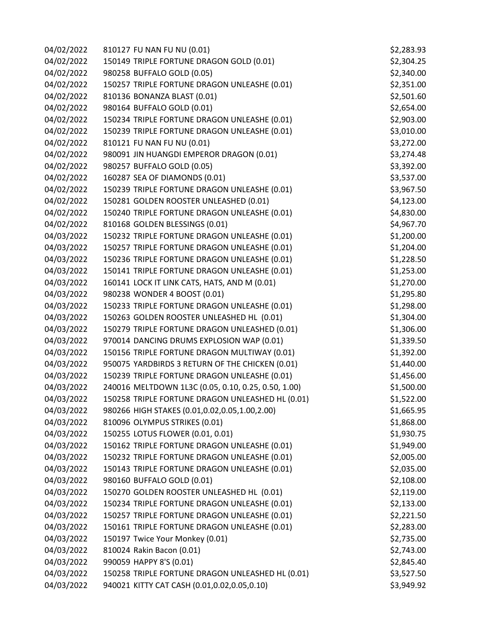| 04/02/2022 | 810127 FU NAN FU NU (0.01)                          | \$2,283.93 |
|------------|-----------------------------------------------------|------------|
| 04/02/2022 | 150149 TRIPLE FORTUNE DRAGON GOLD (0.01)            | \$2,304.25 |
| 04/02/2022 | 980258 BUFFALO GOLD (0.05)                          | \$2,340.00 |
| 04/02/2022 | 150257 TRIPLE FORTUNE DRAGON UNLEASHE (0.01)        | \$2,351.00 |
| 04/02/2022 | 810136 BONANZA BLAST (0.01)                         | \$2,501.60 |
| 04/02/2022 | 980164 BUFFALO GOLD (0.01)                          | \$2,654.00 |
| 04/02/2022 | 150234 TRIPLE FORTUNE DRAGON UNLEASHE (0.01)        | \$2,903.00 |
| 04/02/2022 | 150239 TRIPLE FORTUNE DRAGON UNLEASHE (0.01)        | \$3,010.00 |
| 04/02/2022 | 810121 FU NAN FU NU (0.01)                          | \$3,272.00 |
| 04/02/2022 | 980091 JIN HUANGDI EMPEROR DRAGON (0.01)            | \$3,274.48 |
| 04/02/2022 | 980257 BUFFALO GOLD (0.05)                          | \$3,392.00 |
| 04/02/2022 | 160287 SEA OF DIAMONDS (0.01)                       | \$3,537.00 |
| 04/02/2022 | 150239 TRIPLE FORTUNE DRAGON UNLEASHE (0.01)        | \$3,967.50 |
| 04/02/2022 | 150281 GOLDEN ROOSTER UNLEASHED (0.01)              | \$4,123.00 |
| 04/02/2022 | 150240 TRIPLE FORTUNE DRAGON UNLEASHE (0.01)        | \$4,830.00 |
| 04/02/2022 | 810168 GOLDEN BLESSINGS (0.01)                      | \$4,967.70 |
| 04/03/2022 | 150232 TRIPLE FORTUNE DRAGON UNLEASHE (0.01)        | \$1,200.00 |
| 04/03/2022 | 150257 TRIPLE FORTUNE DRAGON UNLEASHE (0.01)        | \$1,204.00 |
| 04/03/2022 | 150236 TRIPLE FORTUNE DRAGON UNLEASHE (0.01)        | \$1,228.50 |
| 04/03/2022 | 150141 TRIPLE FORTUNE DRAGON UNLEASHE (0.01)        | \$1,253.00 |
| 04/03/2022 | 160141 LOCK IT LINK CATS, HATS, AND M (0.01)        | \$1,270.00 |
| 04/03/2022 | 980238 WONDER 4 BOOST (0.01)                        | \$1,295.80 |
| 04/03/2022 | 150233 TRIPLE FORTUNE DRAGON UNLEASHE (0.01)        | \$1,298.00 |
| 04/03/2022 | 150263 GOLDEN ROOSTER UNLEASHED HL (0.01)           | \$1,304.00 |
| 04/03/2022 | 150279 TRIPLE FORTUNE DRAGON UNLEASHED (0.01)       | \$1,306.00 |
| 04/03/2022 | 970014 DANCING DRUMS EXPLOSION WAP (0.01)           | \$1,339.50 |
| 04/03/2022 | 150156 TRIPLE FORTUNE DRAGON MULTIWAY (0.01)        | \$1,392.00 |
| 04/03/2022 | 950075 YARDBIRDS 3 RETURN OF THE CHICKEN (0.01)     | \$1,440.00 |
| 04/03/2022 | 150239 TRIPLE FORTUNE DRAGON UNLEASHE (0.01)        | \$1,456.00 |
| 04/03/2022 | 240016 MELTDOWN 1L3C (0.05, 0.10, 0.25, 0.50, 1.00) | \$1,500.00 |
| 04/03/2022 | 150258 TRIPLE FORTUNE DRAGON UNLEASHED HL (0.01)    | \$1,522.00 |
| 04/03/2022 | 980266 HIGH STAKES (0.01,0.02,0.05,1.00,2.00)       | \$1,665.95 |
| 04/03/2022 | 810096 OLYMPUS STRIKES (0.01)                       | \$1,868.00 |
| 04/03/2022 | 150255 LOTUS FLOWER (0.01, 0.01)                    | \$1,930.75 |
| 04/03/2022 | 150162 TRIPLE FORTUNE DRAGON UNLEASHE (0.01)        | \$1,949.00 |
| 04/03/2022 | 150232 TRIPLE FORTUNE DRAGON UNLEASHE (0.01)        | \$2,005.00 |
| 04/03/2022 | 150143 TRIPLE FORTUNE DRAGON UNLEASHE (0.01)        | \$2,035.00 |
| 04/03/2022 | 980160 BUFFALO GOLD (0.01)                          | \$2,108.00 |
| 04/03/2022 | 150270 GOLDEN ROOSTER UNLEASHED HL (0.01)           | \$2,119.00 |
| 04/03/2022 | 150234 TRIPLE FORTUNE DRAGON UNLEASHE (0.01)        | \$2,133.00 |
| 04/03/2022 | 150257 TRIPLE FORTUNE DRAGON UNLEASHE (0.01)        | \$2,221.50 |
| 04/03/2022 | 150161 TRIPLE FORTUNE DRAGON UNLEASHE (0.01)        | \$2,283.00 |
| 04/03/2022 | 150197 Twice Your Monkey (0.01)                     | \$2,735.00 |
| 04/03/2022 | 810024 Rakin Bacon (0.01)                           | \$2,743.00 |
| 04/03/2022 | 990059 HAPPY 8'S (0.01)                             | \$2,845.40 |
| 04/03/2022 | 150258 TRIPLE FORTUNE DRAGON UNLEASHED HL (0.01)    | \$3,527.50 |
| 04/03/2022 | 940021 KITTY CAT CASH (0.01,0.02,0.05,0.10)         | \$3,949.92 |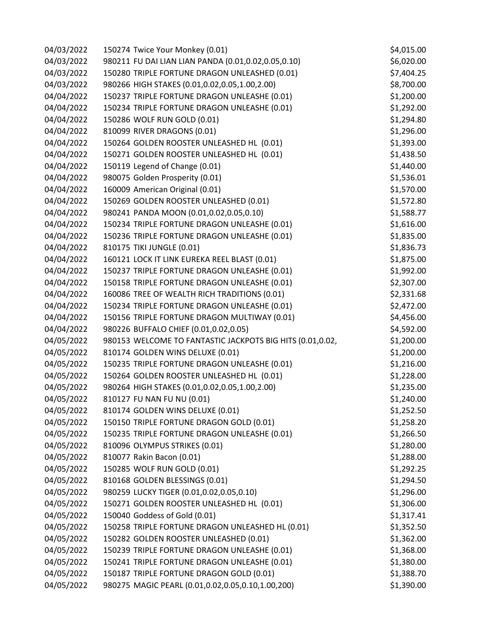| 04/03/2022 | 150274 Twice Your Monkey (0.01)                           | \$4,015.00 |
|------------|-----------------------------------------------------------|------------|
| 04/03/2022 | 980211 FU DAI LIAN LIAN PANDA (0.01,0.02,0.05,0.10)       | \$6,020.00 |
| 04/03/2022 | 150280 TRIPLE FORTUNE DRAGON UNLEASHED (0.01)             | \$7,404.25 |
| 04/03/2022 | 980266 HIGH STAKES (0.01,0.02,0.05,1.00,2.00)             | \$8,700.00 |
| 04/04/2022 | 150237 TRIPLE FORTUNE DRAGON UNLEASHE (0.01)              | \$1,200.00 |
| 04/04/2022 | 150234 TRIPLE FORTUNE DRAGON UNLEASHE (0.01)              | \$1,292.00 |
| 04/04/2022 | 150286 WOLF RUN GOLD (0.01)                               | \$1,294.80 |
| 04/04/2022 | 810099 RIVER DRAGONS (0.01)                               | \$1,296.00 |
| 04/04/2022 | 150264 GOLDEN ROOSTER UNLEASHED HL (0.01)                 | \$1,393.00 |
| 04/04/2022 | 150271 GOLDEN ROOSTER UNLEASHED HL (0.01)                 | \$1,438.50 |
| 04/04/2022 | 150119 Legend of Change (0.01)                            | \$1,440.00 |
| 04/04/2022 | 980075 Golden Prosperity (0.01)                           | \$1,536.01 |
| 04/04/2022 | 160009 American Original (0.01)                           | \$1,570.00 |
| 04/04/2022 | 150269 GOLDEN ROOSTER UNLEASHED (0.01)                    | \$1,572.80 |
| 04/04/2022 | 980241 PANDA MOON (0.01,0.02,0.05,0.10)                   | \$1,588.77 |
| 04/04/2022 | 150234 TRIPLE FORTUNE DRAGON UNLEASHE (0.01)              | \$1,616.00 |
| 04/04/2022 | 150236 TRIPLE FORTUNE DRAGON UNLEASHE (0.01)              | \$1,835.00 |
| 04/04/2022 | 810175 TIKI JUNGLE (0.01)                                 | \$1,836.73 |
| 04/04/2022 | 160121 LOCK IT LINK EUREKA REEL BLAST (0.01)              | \$1,875.00 |
| 04/04/2022 | 150237 TRIPLE FORTUNE DRAGON UNLEASHE (0.01)              | \$1,992.00 |
| 04/04/2022 | 150158 TRIPLE FORTUNE DRAGON UNLEASHE (0.01)              | \$2,307.00 |
| 04/04/2022 | 160086 TREE OF WEALTH RICH TRADITIONS (0.01)              | \$2,331.68 |
| 04/04/2022 | 150234 TRIPLE FORTUNE DRAGON UNLEASHE (0.01)              | \$2,472.00 |
| 04/04/2022 | 150156 TRIPLE FORTUNE DRAGON MULTIWAY (0.01)              | \$4,456.00 |
| 04/04/2022 | 980226 BUFFALO CHIEF (0.01,0.02,0.05)                     | \$4,592.00 |
| 04/05/2022 | 980153 WELCOME TO FANTASTIC JACKPOTS BIG HITS (0.01,0.02, | \$1,200.00 |
| 04/05/2022 | 810174 GOLDEN WINS DELUXE (0.01)                          | \$1,200.00 |
| 04/05/2022 | 150235 TRIPLE FORTUNE DRAGON UNLEASHE (0.01)              | \$1,216.00 |
| 04/05/2022 | 150264 GOLDEN ROOSTER UNLEASHED HL (0.01)                 | \$1,228.00 |
| 04/05/2022 | 980264 HIGH STAKES (0.01,0.02,0.05,1.00,2.00)             | \$1,235.00 |
| 04/05/2022 | 810127 FU NAN FU NU (0.01)                                | \$1,240.00 |
| 04/05/2022 | 810174 GOLDEN WINS DELUXE (0.01)                          | \$1,252.50 |
| 04/05/2022 | 150150 TRIPLE FORTUNE DRAGON GOLD (0.01)                  | \$1,258.20 |
| 04/05/2022 | 150235 TRIPLE FORTUNE DRAGON UNLEASHE (0.01)              | \$1,266.50 |
| 04/05/2022 | 810096 OLYMPUS STRIKES (0.01)                             | \$1,280.00 |
| 04/05/2022 | 810077 Rakin Bacon (0.01)                                 | \$1,288.00 |
| 04/05/2022 | 150285 WOLF RUN GOLD (0.01)                               | \$1,292.25 |
| 04/05/2022 | 810168 GOLDEN BLESSINGS (0.01)                            | \$1,294.50 |
| 04/05/2022 | 980259 LUCKY TIGER (0.01,0.02,0.05,0.10)                  | \$1,296.00 |
| 04/05/2022 | 150271 GOLDEN ROOSTER UNLEASHED HL (0.01)                 | \$1,306.00 |
| 04/05/2022 | 150040 Goddess of Gold (0.01)                             | \$1,317.41 |
| 04/05/2022 | 150258 TRIPLE FORTUNE DRAGON UNLEASHED HL (0.01)          | \$1,352.50 |
| 04/05/2022 | 150282 GOLDEN ROOSTER UNLEASHED (0.01)                    | \$1,362.00 |
| 04/05/2022 | 150239 TRIPLE FORTUNE DRAGON UNLEASHE (0.01)              | \$1,368.00 |
| 04/05/2022 | 150241 TRIPLE FORTUNE DRAGON UNLEASHE (0.01)              | \$1,380.00 |
| 04/05/2022 | 150187 TRIPLE FORTUNE DRAGON GOLD (0.01)                  | \$1,388.70 |
| 04/05/2022 | 980275 MAGIC PEARL (0.01,0.02,0.05,0.10,1.00,200)         | \$1,390.00 |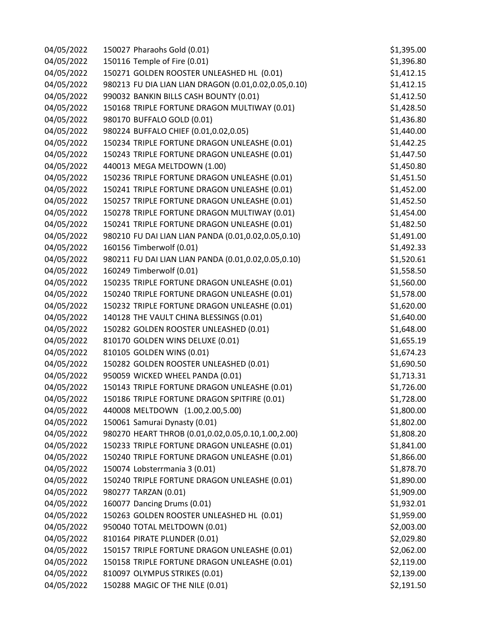| 04/05/2022 | 150027 Pharaohs Gold (0.01)                          | \$1,395.00 |
|------------|------------------------------------------------------|------------|
| 04/05/2022 | 150116 Temple of Fire (0.01)                         | \$1,396.80 |
| 04/05/2022 | 150271 GOLDEN ROOSTER UNLEASHED HL (0.01)            | \$1,412.15 |
| 04/05/2022 | 980213 FU DIA LIAN LIAN DRAGON (0.01,0.02,0.05,0.10) | \$1,412.15 |
| 04/05/2022 | 990032 BANKIN BILLS CASH BOUNTY (0.01)               | \$1,412.50 |
| 04/05/2022 | 150168 TRIPLE FORTUNE DRAGON MULTIWAY (0.01)         | \$1,428.50 |
| 04/05/2022 | 980170 BUFFALO GOLD (0.01)                           | \$1,436.80 |
| 04/05/2022 | 980224 BUFFALO CHIEF (0.01,0.02,0.05)                | \$1,440.00 |
| 04/05/2022 | 150234 TRIPLE FORTUNE DRAGON UNLEASHE (0.01)         | \$1,442.25 |
| 04/05/2022 | 150243 TRIPLE FORTUNE DRAGON UNLEASHE (0.01)         | \$1,447.50 |
| 04/05/2022 | 440013 MEGA MELTDOWN (1.00)                          | \$1,450.80 |
| 04/05/2022 | 150236 TRIPLE FORTUNE DRAGON UNLEASHE (0.01)         | \$1,451.50 |
| 04/05/2022 | 150241 TRIPLE FORTUNE DRAGON UNLEASHE (0.01)         | \$1,452.00 |
| 04/05/2022 | 150257 TRIPLE FORTUNE DRAGON UNLEASHE (0.01)         | \$1,452.50 |
| 04/05/2022 | 150278 TRIPLE FORTUNE DRAGON MULTIWAY (0.01)         | \$1,454.00 |
| 04/05/2022 | 150241 TRIPLE FORTUNE DRAGON UNLEASHE (0.01)         | \$1,482.50 |
| 04/05/2022 | 980210 FU DAI LIAN LIAN PANDA (0.01,0.02,0.05,0.10)  | \$1,491.00 |
| 04/05/2022 | 160156 Timberwolf (0.01)                             | \$1,492.33 |
| 04/05/2022 | 980211 FU DAI LIAN LIAN PANDA (0.01,0.02,0.05,0.10)  | \$1,520.61 |
| 04/05/2022 | 160249 Timberwolf (0.01)                             | \$1,558.50 |
| 04/05/2022 | 150235 TRIPLE FORTUNE DRAGON UNLEASHE (0.01)         | \$1,560.00 |
| 04/05/2022 | 150240 TRIPLE FORTUNE DRAGON UNLEASHE (0.01)         | \$1,578.00 |
| 04/05/2022 | 150232 TRIPLE FORTUNE DRAGON UNLEASHE (0.01)         | \$1,620.00 |
| 04/05/2022 | 140128 THE VAULT CHINA BLESSINGS (0.01)              | \$1,640.00 |
| 04/05/2022 | 150282 GOLDEN ROOSTER UNLEASHED (0.01)               | \$1,648.00 |
| 04/05/2022 | 810170 GOLDEN WINS DELUXE (0.01)                     | \$1,655.19 |
| 04/05/2022 | 810105 GOLDEN WINS (0.01)                            | \$1,674.23 |
| 04/05/2022 | 150282 GOLDEN ROOSTER UNLEASHED (0.01)               | \$1,690.50 |
| 04/05/2022 | 950059 WICKED WHEEL PANDA (0.01)                     | \$1,713.31 |
| 04/05/2022 | 150143 TRIPLE FORTUNE DRAGON UNLEASHE (0.01)         | \$1,726.00 |
| 04/05/2022 | 150186 TRIPLE FORTUNE DRAGON SPITFIRE (0.01)         | \$1,728.00 |
| 04/05/2022 | 440008 MELTDOWN (1.00,2.00,5.00)                     | \$1,800.00 |
| 04/05/2022 | 150061 Samurai Dynasty (0.01)                        | \$1,802.00 |
| 04/05/2022 | 980270 HEART THROB (0.01,0.02,0.05,0.10,1.00,2.00)   | \$1,808.20 |
| 04/05/2022 | 150233 TRIPLE FORTUNE DRAGON UNLEASHE (0.01)         | \$1,841.00 |
| 04/05/2022 | 150240 TRIPLE FORTUNE DRAGON UNLEASHE (0.01)         | \$1,866.00 |
| 04/05/2022 | 150074 Lobsterrmania 3 (0.01)                        | \$1,878.70 |
| 04/05/2022 | 150240 TRIPLE FORTUNE DRAGON UNLEASHE (0.01)         | \$1,890.00 |
| 04/05/2022 | 980277 TARZAN (0.01)                                 | \$1,909.00 |
| 04/05/2022 | 160077 Dancing Drums (0.01)                          | \$1,932.01 |
| 04/05/2022 | 150263 GOLDEN ROOSTER UNLEASHED HL (0.01)            | \$1,959.00 |
| 04/05/2022 | 950040 TOTAL MELTDOWN (0.01)                         | \$2,003.00 |
| 04/05/2022 | 810164 PIRATE PLUNDER (0.01)                         | \$2,029.80 |
| 04/05/2022 | 150157 TRIPLE FORTUNE DRAGON UNLEASHE (0.01)         | \$2,062.00 |
| 04/05/2022 | 150158 TRIPLE FORTUNE DRAGON UNLEASHE (0.01)         | \$2,119.00 |
| 04/05/2022 | 810097 OLYMPUS STRIKES (0.01)                        | \$2,139.00 |
| 04/05/2022 | 150288 MAGIC OF THE NILE (0.01)                      | \$2,191.50 |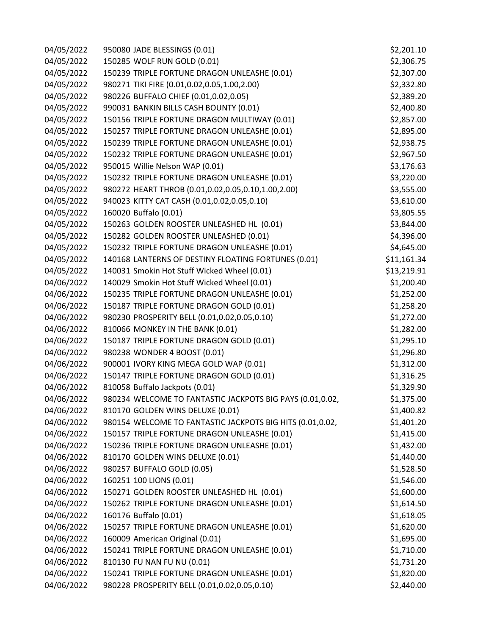| 04/05/2022 | 950080 JADE BLESSINGS (0.01)                              | \$2,201.10  |
|------------|-----------------------------------------------------------|-------------|
| 04/05/2022 | 150285 WOLF RUN GOLD (0.01)                               | \$2,306.75  |
| 04/05/2022 | 150239 TRIPLE FORTUNE DRAGON UNLEASHE (0.01)              | \$2,307.00  |
| 04/05/2022 | 980271 TIKI FIRE (0.01,0.02,0.05,1.00,2.00)               | \$2,332.80  |
| 04/05/2022 | 980226 BUFFALO CHIEF (0.01,0.02,0.05)                     | \$2,389.20  |
| 04/05/2022 | 990031 BANKIN BILLS CASH BOUNTY (0.01)                    | \$2,400.80  |
| 04/05/2022 | 150156 TRIPLE FORTUNE DRAGON MULTIWAY (0.01)              | \$2,857.00  |
| 04/05/2022 | 150257 TRIPLE FORTUNE DRAGON UNLEASHE (0.01)              | \$2,895.00  |
| 04/05/2022 | 150239 TRIPLE FORTUNE DRAGON UNLEASHE (0.01)              | \$2,938.75  |
| 04/05/2022 | 150232 TRIPLE FORTUNE DRAGON UNLEASHE (0.01)              | \$2,967.50  |
| 04/05/2022 | 950015 Willie Nelson WAP (0.01)                           | \$3,176.63  |
| 04/05/2022 | 150232 TRIPLE FORTUNE DRAGON UNLEASHE (0.01)              | \$3,220.00  |
| 04/05/2022 | 980272 HEART THROB (0.01,0.02,0.05,0.10,1.00,2.00)        | \$3,555.00  |
| 04/05/2022 | 940023 KITTY CAT CASH (0.01,0.02,0.05,0.10)               | \$3,610.00  |
| 04/05/2022 | 160020 Buffalo (0.01)                                     | \$3,805.55  |
| 04/05/2022 | 150263 GOLDEN ROOSTER UNLEASHED HL (0.01)                 | \$3,844.00  |
| 04/05/2022 | 150282 GOLDEN ROOSTER UNLEASHED (0.01)                    | \$4,396.00  |
| 04/05/2022 | 150232 TRIPLE FORTUNE DRAGON UNLEASHE (0.01)              | \$4,645.00  |
| 04/05/2022 | 140168 LANTERNS OF DESTINY FLOATING FORTUNES (0.01)       | \$11,161.34 |
| 04/05/2022 | 140031 Smokin Hot Stuff Wicked Wheel (0.01)               | \$13,219.91 |
| 04/06/2022 | 140029 Smokin Hot Stuff Wicked Wheel (0.01)               | \$1,200.40  |
| 04/06/2022 | 150235 TRIPLE FORTUNE DRAGON UNLEASHE (0.01)              | \$1,252.00  |
| 04/06/2022 | 150187 TRIPLE FORTUNE DRAGON GOLD (0.01)                  | \$1,258.20  |
| 04/06/2022 | 980230 PROSPERITY BELL (0.01,0.02,0.05,0.10)              | \$1,272.00  |
| 04/06/2022 | 810066 MONKEY IN THE BANK (0.01)                          | \$1,282.00  |
| 04/06/2022 | 150187 TRIPLE FORTUNE DRAGON GOLD (0.01)                  | \$1,295.10  |
| 04/06/2022 | 980238 WONDER 4 BOOST (0.01)                              | \$1,296.80  |
| 04/06/2022 | 900001 IVORY KING MEGA GOLD WAP (0.01)                    | \$1,312.00  |
| 04/06/2022 | 150147 TRIPLE FORTUNE DRAGON GOLD (0.01)                  | \$1,316.25  |
| 04/06/2022 | 810058 Buffalo Jackpots (0.01)                            | \$1,329.90  |
| 04/06/2022 | 980234 WELCOME TO FANTASTIC JACKPOTS BIG PAYS (0.01,0.02, | \$1,375.00  |
| 04/06/2022 | 810170 GOLDEN WINS DELUXE (0.01)                          | \$1,400.82  |
| 04/06/2022 | 980154 WELCOME TO FANTASTIC JACKPOTS BIG HITS (0.01,0.02, | \$1,401.20  |
| 04/06/2022 | 150157 TRIPLE FORTUNE DRAGON UNLEASHE (0.01)              | \$1,415.00  |
| 04/06/2022 | 150236 TRIPLE FORTUNE DRAGON UNLEASHE (0.01)              | \$1,432.00  |
| 04/06/2022 | 810170 GOLDEN WINS DELUXE (0.01)                          | \$1,440.00  |
| 04/06/2022 | 980257 BUFFALO GOLD (0.05)                                | \$1,528.50  |
| 04/06/2022 | 160251 100 LIONS (0.01)                                   | \$1,546.00  |
| 04/06/2022 | 150271 GOLDEN ROOSTER UNLEASHED HL (0.01)                 | \$1,600.00  |
| 04/06/2022 | 150262 TRIPLE FORTUNE DRAGON UNLEASHE (0.01)              | \$1,614.50  |
| 04/06/2022 | 160176 Buffalo (0.01)                                     | \$1,618.05  |
| 04/06/2022 | 150257 TRIPLE FORTUNE DRAGON UNLEASHE (0.01)              | \$1,620.00  |
| 04/06/2022 | 160009 American Original (0.01)                           | \$1,695.00  |
| 04/06/2022 | 150241 TRIPLE FORTUNE DRAGON UNLEASHE (0.01)              | \$1,710.00  |
| 04/06/2022 | 810130 FU NAN FU NU (0.01)                                | \$1,731.20  |
| 04/06/2022 | 150241 TRIPLE FORTUNE DRAGON UNLEASHE (0.01)              | \$1,820.00  |
| 04/06/2022 | 980228 PROSPERITY BELL (0.01,0.02,0.05,0.10)              | \$2,440.00  |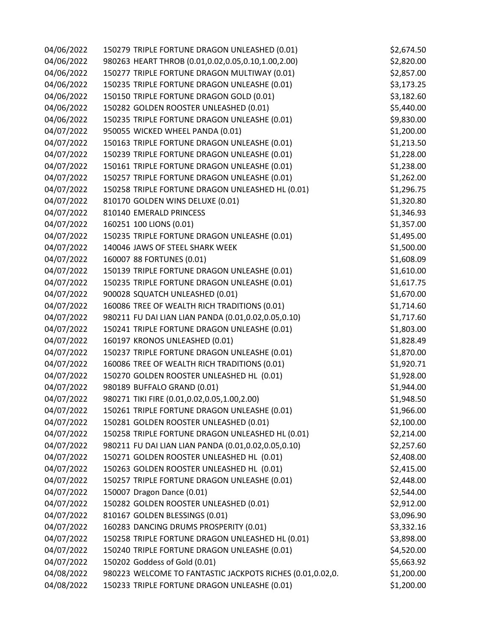| 04/06/2022 | 150279 TRIPLE FORTUNE DRAGON UNLEASHED (0.01)             | \$2,674.50 |
|------------|-----------------------------------------------------------|------------|
| 04/06/2022 | 980263 HEART THROB (0.01,0.02,0.05,0.10,1.00,2.00)        | \$2,820.00 |
| 04/06/2022 | 150277 TRIPLE FORTUNE DRAGON MULTIWAY (0.01)              | \$2,857.00 |
| 04/06/2022 | 150235 TRIPLE FORTUNE DRAGON UNLEASHE (0.01)              | \$3,173.25 |
| 04/06/2022 | 150150 TRIPLE FORTUNE DRAGON GOLD (0.01)                  | \$3,182.60 |
| 04/06/2022 | 150282 GOLDEN ROOSTER UNLEASHED (0.01)                    | \$5,440.00 |
| 04/06/2022 | 150235 TRIPLE FORTUNE DRAGON UNLEASHE (0.01)              | \$9,830.00 |
| 04/07/2022 | 950055 WICKED WHEEL PANDA (0.01)                          | \$1,200.00 |
| 04/07/2022 | 150163 TRIPLE FORTUNE DRAGON UNLEASHE (0.01)              | \$1,213.50 |
| 04/07/2022 | 150239 TRIPLE FORTUNE DRAGON UNLEASHE (0.01)              | \$1,228.00 |
| 04/07/2022 | 150161 TRIPLE FORTUNE DRAGON UNLEASHE (0.01)              | \$1,238.00 |
| 04/07/2022 | 150257 TRIPLE FORTUNE DRAGON UNLEASHE (0.01)              | \$1,262.00 |
| 04/07/2022 | 150258 TRIPLE FORTUNE DRAGON UNLEASHED HL (0.01)          | \$1,296.75 |
| 04/07/2022 | 810170 GOLDEN WINS DELUXE (0.01)                          | \$1,320.80 |
| 04/07/2022 | 810140 EMERALD PRINCESS                                   | \$1,346.93 |
| 04/07/2022 | 160251 100 LIONS (0.01)                                   | \$1,357.00 |
| 04/07/2022 | 150235 TRIPLE FORTUNE DRAGON UNLEASHE (0.01)              | \$1,495.00 |
| 04/07/2022 | 140046 JAWS OF STEEL SHARK WEEK                           | \$1,500.00 |
| 04/07/2022 | 160007 88 FORTUNES (0.01)                                 | \$1,608.09 |
| 04/07/2022 | 150139 TRIPLE FORTUNE DRAGON UNLEASHE (0.01)              | \$1,610.00 |
| 04/07/2022 | 150235 TRIPLE FORTUNE DRAGON UNLEASHE (0.01)              | \$1,617.75 |
| 04/07/2022 | 900028 SQUATCH UNLEASHED (0.01)                           | \$1,670.00 |
| 04/07/2022 | 160086 TREE OF WEALTH RICH TRADITIONS (0.01)              | \$1,714.60 |
| 04/07/2022 | 980211 FU DAI LIAN LIAN PANDA (0.01,0.02,0.05,0.10)       | \$1,717.60 |
| 04/07/2022 | 150241 TRIPLE FORTUNE DRAGON UNLEASHE (0.01)              | \$1,803.00 |
| 04/07/2022 | 160197 KRONOS UNLEASHED (0.01)                            | \$1,828.49 |
| 04/07/2022 | 150237 TRIPLE FORTUNE DRAGON UNLEASHE (0.01)              | \$1,870.00 |
| 04/07/2022 | 160086 TREE OF WEALTH RICH TRADITIONS (0.01)              | \$1,920.71 |
| 04/07/2022 | 150270 GOLDEN ROOSTER UNLEASHED HL (0.01)                 | \$1,928.00 |
| 04/07/2022 | 980189 BUFFALO GRAND (0.01)                               | \$1,944.00 |
| 04/07/2022 | 980271 TIKI FIRE (0.01,0.02,0.05,1.00,2.00)               | \$1,948.50 |
| 04/07/2022 | 150261 TRIPLE FORTUNE DRAGON UNLEASHE (0.01)              | \$1,966.00 |
| 04/07/2022 | 150281 GOLDEN ROOSTER UNLEASHED (0.01)                    | \$2,100.00 |
| 04/07/2022 | 150258 TRIPLE FORTUNE DRAGON UNLEASHED HL (0.01)          | \$2,214.00 |
| 04/07/2022 | 980211 FU DAI LIAN LIAN PANDA (0.01,0.02,0.05,0.10)       | \$2,257.60 |
| 04/07/2022 | 150271 GOLDEN ROOSTER UNLEASHED HL (0.01)                 | \$2,408.00 |
| 04/07/2022 | 150263 GOLDEN ROOSTER UNLEASHED HL (0.01)                 | \$2,415.00 |
| 04/07/2022 | 150257 TRIPLE FORTUNE DRAGON UNLEASHE (0.01)              | \$2,448.00 |
| 04/07/2022 | 150007 Dragon Dance (0.01)                                | \$2,544.00 |
| 04/07/2022 | 150282 GOLDEN ROOSTER UNLEASHED (0.01)                    | \$2,912.00 |
| 04/07/2022 | 810167 GOLDEN BLESSINGS (0.01)                            | \$3,096.90 |
| 04/07/2022 | 160283 DANCING DRUMS PROSPERITY (0.01)                    | \$3,332.16 |
| 04/07/2022 | 150258 TRIPLE FORTUNE DRAGON UNLEASHED HL (0.01)          | \$3,898.00 |
| 04/07/2022 | 150240 TRIPLE FORTUNE DRAGON UNLEASHE (0.01)              | \$4,520.00 |
| 04/07/2022 | 150202 Goddess of Gold (0.01)                             | \$5,663.92 |
| 04/08/2022 | 980223 WELCOME TO FANTASTIC JACKPOTS RICHES (0.01,0.02,0. | \$1,200.00 |
| 04/08/2022 | 150233 TRIPLE FORTUNE DRAGON UNLEASHE (0.01)              | \$1,200.00 |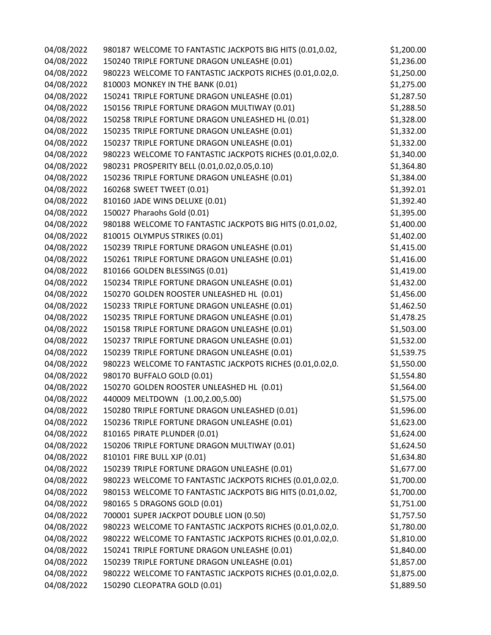| 04/08/2022 | 980187 WELCOME TO FANTASTIC JACKPOTS BIG HITS (0.01,0.02, | \$1,200.00 |
|------------|-----------------------------------------------------------|------------|
| 04/08/2022 | 150240 TRIPLE FORTUNE DRAGON UNLEASHE (0.01)              | \$1,236.00 |
| 04/08/2022 | 980223 WELCOME TO FANTASTIC JACKPOTS RICHES (0.01,0.02,0. | \$1,250.00 |
| 04/08/2022 | 810003 MONKEY IN THE BANK (0.01)                          | \$1,275.00 |
| 04/08/2022 | 150241 TRIPLE FORTUNE DRAGON UNLEASHE (0.01)              | \$1,287.50 |
| 04/08/2022 | 150156 TRIPLE FORTUNE DRAGON MULTIWAY (0.01)              | \$1,288.50 |
| 04/08/2022 | 150258 TRIPLE FORTUNE DRAGON UNLEASHED HL (0.01)          | \$1,328.00 |
| 04/08/2022 | 150235 TRIPLE FORTUNE DRAGON UNLEASHE (0.01)              | \$1,332.00 |
| 04/08/2022 | 150237 TRIPLE FORTUNE DRAGON UNLEASHE (0.01)              | \$1,332.00 |
| 04/08/2022 | 980223 WELCOME TO FANTASTIC JACKPOTS RICHES (0.01,0.02,0. | \$1,340.00 |
| 04/08/2022 | 980231 PROSPERITY BELL (0.01,0.02,0.05,0.10)              | \$1,364.80 |
| 04/08/2022 | 150236 TRIPLE FORTUNE DRAGON UNLEASHE (0.01)              | \$1,384.00 |
| 04/08/2022 | 160268 SWEET TWEET (0.01)                                 | \$1,392.01 |
| 04/08/2022 | 810160 JADE WINS DELUXE (0.01)                            | \$1,392.40 |
| 04/08/2022 | 150027 Pharaohs Gold (0.01)                               | \$1,395.00 |
| 04/08/2022 | 980188 WELCOME TO FANTASTIC JACKPOTS BIG HITS (0.01,0.02, | \$1,400.00 |
| 04/08/2022 | 810015 OLYMPUS STRIKES (0.01)                             | \$1,402.00 |
| 04/08/2022 | 150239 TRIPLE FORTUNE DRAGON UNLEASHE (0.01)              | \$1,415.00 |
| 04/08/2022 | 150261 TRIPLE FORTUNE DRAGON UNLEASHE (0.01)              | \$1,416.00 |
| 04/08/2022 | 810166 GOLDEN BLESSINGS (0.01)                            | \$1,419.00 |
| 04/08/2022 | 150234 TRIPLE FORTUNE DRAGON UNLEASHE (0.01)              | \$1,432.00 |
| 04/08/2022 | 150270 GOLDEN ROOSTER UNLEASHED HL (0.01)                 | \$1,456.00 |
| 04/08/2022 | 150233 TRIPLE FORTUNE DRAGON UNLEASHE (0.01)              | \$1,462.50 |
| 04/08/2022 | 150235 TRIPLE FORTUNE DRAGON UNLEASHE (0.01)              | \$1,478.25 |
| 04/08/2022 | 150158 TRIPLE FORTUNE DRAGON UNLEASHE (0.01)              | \$1,503.00 |
| 04/08/2022 | 150237 TRIPLE FORTUNE DRAGON UNLEASHE (0.01)              | \$1,532.00 |
| 04/08/2022 | 150239 TRIPLE FORTUNE DRAGON UNLEASHE (0.01)              | \$1,539.75 |
| 04/08/2022 | 980223 WELCOME TO FANTASTIC JACKPOTS RICHES (0.01,0.02,0. | \$1,550.00 |
| 04/08/2022 | 980170 BUFFALO GOLD (0.01)                                | \$1,554.80 |
| 04/08/2022 | 150270 GOLDEN ROOSTER UNLEASHED HL (0.01)                 | \$1,564.00 |
| 04/08/2022 | 440009 MELTDOWN (1.00,2.00,5.00)                          | \$1,575.00 |
| 04/08/2022 | 150280 TRIPLE FORTUNE DRAGON UNLEASHED (0.01)             | \$1,596.00 |
| 04/08/2022 | 150236 TRIPLE FORTUNE DRAGON UNLEASHE (0.01)              | \$1,623.00 |
| 04/08/2022 | 810165 PIRATE PLUNDER (0.01)                              | \$1,624.00 |
| 04/08/2022 | 150206 TRIPLE FORTUNE DRAGON MULTIWAY (0.01)              | \$1,624.50 |
| 04/08/2022 | 810101 FIRE BULL XJP (0.01)                               | \$1,634.80 |
| 04/08/2022 | 150239 TRIPLE FORTUNE DRAGON UNLEASHE (0.01)              | \$1,677.00 |
| 04/08/2022 | 980223 WELCOME TO FANTASTIC JACKPOTS RICHES (0.01,0.02,0. | \$1,700.00 |
| 04/08/2022 | 980153 WELCOME TO FANTASTIC JACKPOTS BIG HITS (0.01,0.02, | \$1,700.00 |
| 04/08/2022 | 980165 5 DRAGONS GOLD (0.01)                              | \$1,751.00 |
| 04/08/2022 | 700001 SUPER JACKPOT DOUBLE LION (0.50)                   | \$1,757.50 |
| 04/08/2022 | 980223 WELCOME TO FANTASTIC JACKPOTS RICHES (0.01,0.02,0. | \$1,780.00 |
| 04/08/2022 | 980222 WELCOME TO FANTASTIC JACKPOTS RICHES (0.01,0.02,0. | \$1,810.00 |
| 04/08/2022 | 150241 TRIPLE FORTUNE DRAGON UNLEASHE (0.01)              | \$1,840.00 |
| 04/08/2022 | 150239 TRIPLE FORTUNE DRAGON UNLEASHE (0.01)              | \$1,857.00 |
| 04/08/2022 | 980222 WELCOME TO FANTASTIC JACKPOTS RICHES (0.01,0.02,0. | \$1,875.00 |
| 04/08/2022 | 150290 CLEOPATRA GOLD (0.01)                              | \$1,889.50 |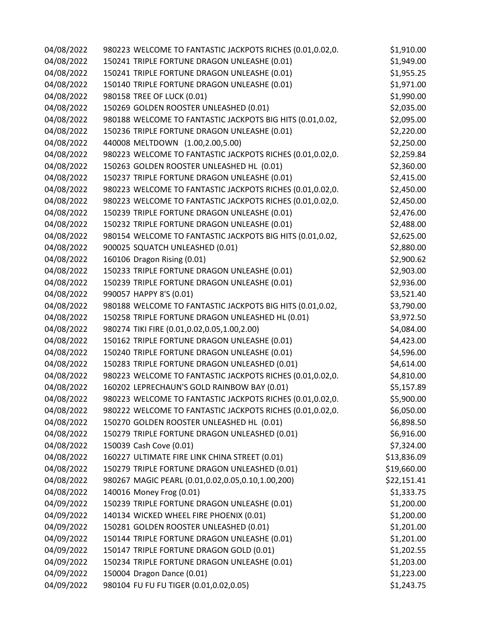| 04/08/2022 | 980223 WELCOME TO FANTASTIC JACKPOTS RICHES (0.01,0.02,0. | \$1,910.00  |
|------------|-----------------------------------------------------------|-------------|
| 04/08/2022 | 150241 TRIPLE FORTUNE DRAGON UNLEASHE (0.01)              | \$1,949.00  |
| 04/08/2022 | 150241 TRIPLE FORTUNE DRAGON UNLEASHE (0.01)              | \$1,955.25  |
| 04/08/2022 | 150140 TRIPLE FORTUNE DRAGON UNLEASHE (0.01)              | \$1,971.00  |
| 04/08/2022 | 980158 TREE OF LUCK (0.01)                                | \$1,990.00  |
| 04/08/2022 | 150269 GOLDEN ROOSTER UNLEASHED (0.01)                    | \$2,035.00  |
| 04/08/2022 | 980188 WELCOME TO FANTASTIC JACKPOTS BIG HITS (0.01,0.02, | \$2,095.00  |
| 04/08/2022 | 150236 TRIPLE FORTUNE DRAGON UNLEASHE (0.01)              | \$2,220.00  |
| 04/08/2022 | 440008 MELTDOWN (1.00,2.00,5.00)                          | \$2,250.00  |
| 04/08/2022 | 980223 WELCOME TO FANTASTIC JACKPOTS RICHES (0.01,0.02,0. | \$2,259.84  |
| 04/08/2022 | 150263 GOLDEN ROOSTER UNLEASHED HL (0.01)                 | \$2,360.00  |
| 04/08/2022 | 150237 TRIPLE FORTUNE DRAGON UNLEASHE (0.01)              | \$2,415.00  |
| 04/08/2022 | 980223 WELCOME TO FANTASTIC JACKPOTS RICHES (0.01,0.02,0. | \$2,450.00  |
| 04/08/2022 | 980223 WELCOME TO FANTASTIC JACKPOTS RICHES (0.01,0.02,0. | \$2,450.00  |
| 04/08/2022 | 150239 TRIPLE FORTUNE DRAGON UNLEASHE (0.01)              | \$2,476.00  |
| 04/08/2022 | 150232 TRIPLE FORTUNE DRAGON UNLEASHE (0.01)              | \$2,488.00  |
| 04/08/2022 | 980154 WELCOME TO FANTASTIC JACKPOTS BIG HITS (0.01,0.02, | \$2,625.00  |
| 04/08/2022 | 900025 SQUATCH UNLEASHED (0.01)                           | \$2,880.00  |
| 04/08/2022 | 160106 Dragon Rising (0.01)                               | \$2,900.62  |
| 04/08/2022 | 150233 TRIPLE FORTUNE DRAGON UNLEASHE (0.01)              | \$2,903.00  |
| 04/08/2022 | 150239 TRIPLE FORTUNE DRAGON UNLEASHE (0.01)              | \$2,936.00  |
| 04/08/2022 | 990057 HAPPY 8'S (0.01)                                   | \$3,521.40  |
| 04/08/2022 | 980188 WELCOME TO FANTASTIC JACKPOTS BIG HITS (0.01,0.02, | \$3,790.00  |
| 04/08/2022 | 150258 TRIPLE FORTUNE DRAGON UNLEASHED HL (0.01)          | \$3,972.50  |
| 04/08/2022 | 980274 TIKI FIRE (0.01,0.02,0.05,1.00,2.00)               | \$4,084.00  |
| 04/08/2022 | 150162 TRIPLE FORTUNE DRAGON UNLEASHE (0.01)              | \$4,423.00  |
| 04/08/2022 | 150240 TRIPLE FORTUNE DRAGON UNLEASHE (0.01)              | \$4,596.00  |
| 04/08/2022 | 150283 TRIPLE FORTUNE DRAGON UNLEASHED (0.01)             | \$4,614.00  |
| 04/08/2022 | 980223 WELCOME TO FANTASTIC JACKPOTS RICHES (0.01,0.02,0. | \$4,810.00  |
| 04/08/2022 | 160202 LEPRECHAUN'S GOLD RAINBOW BAY (0.01)               | \$5,157.89  |
| 04/08/2022 | 980223 WELCOME TO FANTASTIC JACKPOTS RICHES (0.01,0.02,0. | \$5,900.00  |
| 04/08/2022 | 980222 WELCOME TO FANTASTIC JACKPOTS RICHES (0.01,0.02,0. | \$6,050.00  |
| 04/08/2022 | 150270 GOLDEN ROOSTER UNLEASHED HL (0.01)                 | \$6,898.50  |
| 04/08/2022 | 150279 TRIPLE FORTUNE DRAGON UNLEASHED (0.01)             | \$6,916.00  |
| 04/08/2022 | 150039 Cash Cove (0.01)                                   | \$7,324.00  |
| 04/08/2022 | 160227 ULTIMATE FIRE LINK CHINA STREET (0.01)             | \$13,836.09 |
| 04/08/2022 | 150279 TRIPLE FORTUNE DRAGON UNLEASHED (0.01)             | \$19,660.00 |
| 04/08/2022 | 980267 MAGIC PEARL (0.01,0.02,0.05,0.10,1.00,200)         | \$22,151.41 |
| 04/08/2022 | 140016 Money Frog (0.01)                                  | \$1,333.75  |
| 04/09/2022 | 150239 TRIPLE FORTUNE DRAGON UNLEASHE (0.01)              | \$1,200.00  |
| 04/09/2022 | 140134 WICKED WHEEL FIRE PHOENIX (0.01)                   | \$1,200.00  |
| 04/09/2022 | 150281 GOLDEN ROOSTER UNLEASHED (0.01)                    | \$1,201.00  |
| 04/09/2022 | 150144 TRIPLE FORTUNE DRAGON UNLEASHE (0.01)              | \$1,201.00  |
| 04/09/2022 | 150147 TRIPLE FORTUNE DRAGON GOLD (0.01)                  | \$1,202.55  |
| 04/09/2022 | 150234 TRIPLE FORTUNE DRAGON UNLEASHE (0.01)              | \$1,203.00  |
| 04/09/2022 | 150004 Dragon Dance (0.01)                                | \$1,223.00  |
| 04/09/2022 | 980104 FU FU FU TIGER (0.01,0.02,0.05)                    | \$1,243.75  |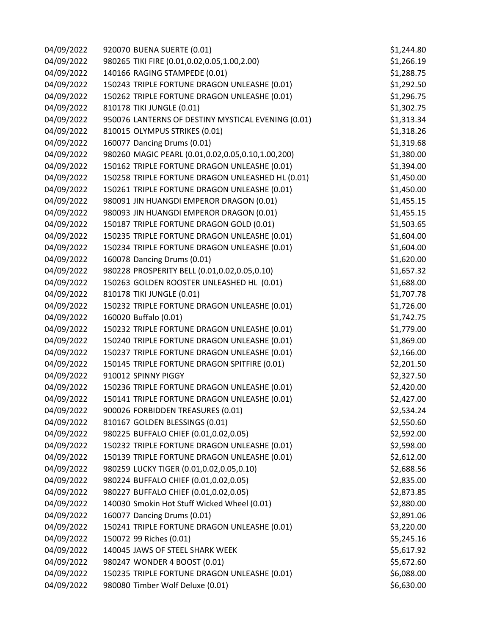| 04/09/2022 | 920070 BUENA SUERTE (0.01)                         | \$1,244.80 |
|------------|----------------------------------------------------|------------|
| 04/09/2022 | 980265 TIKI FIRE (0.01,0.02,0.05,1.00,2.00)        | \$1,266.19 |
| 04/09/2022 | 140166 RAGING STAMPEDE (0.01)                      | \$1,288.75 |
| 04/09/2022 | 150243 TRIPLE FORTUNE DRAGON UNLEASHE (0.01)       | \$1,292.50 |
| 04/09/2022 | 150262 TRIPLE FORTUNE DRAGON UNLEASHE (0.01)       | \$1,296.75 |
| 04/09/2022 | 810178 TIKI JUNGLE (0.01)                          | \$1,302.75 |
| 04/09/2022 | 950076 LANTERNS OF DESTINY MYSTICAL EVENING (0.01) | \$1,313.34 |
| 04/09/2022 | 810015 OLYMPUS STRIKES (0.01)                      | \$1,318.26 |
| 04/09/2022 | 160077 Dancing Drums (0.01)                        | \$1,319.68 |
| 04/09/2022 | 980260 MAGIC PEARL (0.01,0.02,0.05,0.10,1.00,200)  | \$1,380.00 |
| 04/09/2022 | 150162 TRIPLE FORTUNE DRAGON UNLEASHE (0.01)       | \$1,394.00 |
| 04/09/2022 | 150258 TRIPLE FORTUNE DRAGON UNLEASHED HL (0.01)   | \$1,450.00 |
| 04/09/2022 | 150261 TRIPLE FORTUNE DRAGON UNLEASHE (0.01)       | \$1,450.00 |
| 04/09/2022 | 980091 JIN HUANGDI EMPEROR DRAGON (0.01)           | \$1,455.15 |
| 04/09/2022 | 980093 JIN HUANGDI EMPEROR DRAGON (0.01)           | \$1,455.15 |
| 04/09/2022 | 150187 TRIPLE FORTUNE DRAGON GOLD (0.01)           | \$1,503.65 |
| 04/09/2022 | 150235 TRIPLE FORTUNE DRAGON UNLEASHE (0.01)       | \$1,604.00 |
| 04/09/2022 | 150234 TRIPLE FORTUNE DRAGON UNLEASHE (0.01)       | \$1,604.00 |
| 04/09/2022 | 160078 Dancing Drums (0.01)                        | \$1,620.00 |
| 04/09/2022 | 980228 PROSPERITY BELL (0.01,0.02,0.05,0.10)       | \$1,657.32 |
| 04/09/2022 | 150263 GOLDEN ROOSTER UNLEASHED HL (0.01)          | \$1,688.00 |
| 04/09/2022 | 810178 TIKI JUNGLE (0.01)                          | \$1,707.78 |
| 04/09/2022 | 150232 TRIPLE FORTUNE DRAGON UNLEASHE (0.01)       | \$1,726.00 |
| 04/09/2022 | 160020 Buffalo (0.01)                              | \$1,742.75 |
| 04/09/2022 | 150232 TRIPLE FORTUNE DRAGON UNLEASHE (0.01)       | \$1,779.00 |
| 04/09/2022 | 150240 TRIPLE FORTUNE DRAGON UNLEASHE (0.01)       | \$1,869.00 |
| 04/09/2022 | 150237 TRIPLE FORTUNE DRAGON UNLEASHE (0.01)       | \$2,166.00 |
| 04/09/2022 | 150145 TRIPLE FORTUNE DRAGON SPITFIRE (0.01)       | \$2,201.50 |
| 04/09/2022 | 910012 SPINNY PIGGY                                | \$2,327.50 |
| 04/09/2022 | 150236 TRIPLE FORTUNE DRAGON UNLEASHE (0.01)       | \$2,420.00 |
| 04/09/2022 | 150141 TRIPLE FORTUNE DRAGON UNLEASHE (0.01)       | \$2,427.00 |
| 04/09/2022 | 900026 FORBIDDEN TREASURES (0.01)                  | \$2,534.24 |
| 04/09/2022 | 810167 GOLDEN BLESSINGS (0.01)                     | \$2,550.60 |
| 04/09/2022 | 980225 BUFFALO CHIEF (0.01,0.02,0.05)              | \$2,592.00 |
| 04/09/2022 | 150232 TRIPLE FORTUNE DRAGON UNLEASHE (0.01)       | \$2,598.00 |
| 04/09/2022 | 150139 TRIPLE FORTUNE DRAGON UNLEASHE (0.01)       | \$2,612.00 |
| 04/09/2022 | 980259 LUCKY TIGER (0.01,0.02,0.05,0.10)           | \$2,688.56 |
| 04/09/2022 | 980224 BUFFALO CHIEF (0.01,0.02,0.05)              | \$2,835.00 |
| 04/09/2022 | 980227 BUFFALO CHIEF (0.01,0.02,0.05)              | \$2,873.85 |
| 04/09/2022 | 140030 Smokin Hot Stuff Wicked Wheel (0.01)        | \$2,880.00 |
| 04/09/2022 | 160077 Dancing Drums (0.01)                        | \$2,891.06 |
| 04/09/2022 | 150241 TRIPLE FORTUNE DRAGON UNLEASHE (0.01)       | \$3,220.00 |
| 04/09/2022 | 150072 99 Riches (0.01)                            | \$5,245.16 |
| 04/09/2022 | 140045 JAWS OF STEEL SHARK WEEK                    | \$5,617.92 |
| 04/09/2022 | 980247 WONDER 4 BOOST (0.01)                       | \$5,672.60 |
| 04/09/2022 | 150235 TRIPLE FORTUNE DRAGON UNLEASHE (0.01)       | \$6,088.00 |
| 04/09/2022 | 980080 Timber Wolf Deluxe (0.01)                   | \$6,630.00 |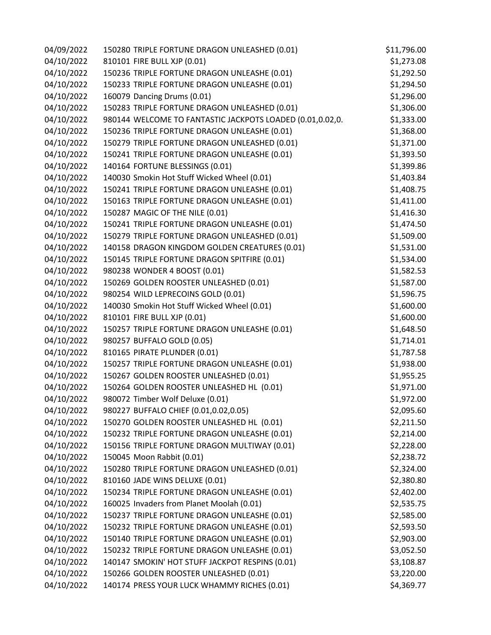| 04/09/2022 | 150280 TRIPLE FORTUNE DRAGON UNLEASHED (0.01)             | \$11,796.00 |
|------------|-----------------------------------------------------------|-------------|
| 04/10/2022 | 810101 FIRE BULL XJP (0.01)                               | \$1,273.08  |
| 04/10/2022 | 150236 TRIPLE FORTUNE DRAGON UNLEASHE (0.01)              | \$1,292.50  |
| 04/10/2022 | 150233 TRIPLE FORTUNE DRAGON UNLEASHE (0.01)              | \$1,294.50  |
| 04/10/2022 | 160079 Dancing Drums (0.01)                               | \$1,296.00  |
| 04/10/2022 | 150283 TRIPLE FORTUNE DRAGON UNLEASHED (0.01)             | \$1,306.00  |
| 04/10/2022 | 980144 WELCOME TO FANTASTIC JACKPOTS LOADED (0.01,0.02,0. | \$1,333.00  |
| 04/10/2022 | 150236 TRIPLE FORTUNE DRAGON UNLEASHE (0.01)              | \$1,368.00  |
| 04/10/2022 | 150279 TRIPLE FORTUNE DRAGON UNLEASHED (0.01)             | \$1,371.00  |
| 04/10/2022 | 150241 TRIPLE FORTUNE DRAGON UNLEASHE (0.01)              | \$1,393.50  |
| 04/10/2022 | 140164 FORTUNE BLESSINGS (0.01)                           | \$1,399.86  |
| 04/10/2022 | 140030 Smokin Hot Stuff Wicked Wheel (0.01)               | \$1,403.84  |
| 04/10/2022 | 150241 TRIPLE FORTUNE DRAGON UNLEASHE (0.01)              | \$1,408.75  |
| 04/10/2022 | 150163 TRIPLE FORTUNE DRAGON UNLEASHE (0.01)              | \$1,411.00  |
| 04/10/2022 | 150287 MAGIC OF THE NILE (0.01)                           | \$1,416.30  |
| 04/10/2022 | 150241 TRIPLE FORTUNE DRAGON UNLEASHE (0.01)              | \$1,474.50  |
| 04/10/2022 | 150279 TRIPLE FORTUNE DRAGON UNLEASHED (0.01)             | \$1,509.00  |
| 04/10/2022 | 140158 DRAGON KINGDOM GOLDEN CREATURES (0.01)             | \$1,531.00  |
| 04/10/2022 | 150145 TRIPLE FORTUNE DRAGON SPITFIRE (0.01)              | \$1,534.00  |
| 04/10/2022 | 980238 WONDER 4 BOOST (0.01)                              | \$1,582.53  |
| 04/10/2022 | 150269 GOLDEN ROOSTER UNLEASHED (0.01)                    | \$1,587.00  |
| 04/10/2022 | 980254 WILD LEPRECOINS GOLD (0.01)                        | \$1,596.75  |
| 04/10/2022 | 140030 Smokin Hot Stuff Wicked Wheel (0.01)               | \$1,600.00  |
| 04/10/2022 | 810101 FIRE BULL XJP (0.01)                               | \$1,600.00  |
| 04/10/2022 | 150257 TRIPLE FORTUNE DRAGON UNLEASHE (0.01)              | \$1,648.50  |
| 04/10/2022 | 980257 BUFFALO GOLD (0.05)                                | \$1,714.01  |
| 04/10/2022 | 810165 PIRATE PLUNDER (0.01)                              | \$1,787.58  |
| 04/10/2022 | 150257 TRIPLE FORTUNE DRAGON UNLEASHE (0.01)              | \$1,938.00  |
| 04/10/2022 | 150267 GOLDEN ROOSTER UNLEASHED (0.01)                    | \$1,955.25  |
| 04/10/2022 | 150264 GOLDEN ROOSTER UNLEASHED HL (0.01)                 | \$1,971.00  |
| 04/10/2022 | 980072 Timber Wolf Deluxe (0.01)                          | \$1,972.00  |
| 04/10/2022 | 980227 BUFFALO CHIEF (0.01,0.02,0.05)                     | \$2,095.60  |
| 04/10/2022 | 150270 GOLDEN ROOSTER UNLEASHED HL (0.01)                 | \$2,211.50  |
| 04/10/2022 | 150232 TRIPLE FORTUNE DRAGON UNLEASHE (0.01)              | \$2,214.00  |
| 04/10/2022 | 150156 TRIPLE FORTUNE DRAGON MULTIWAY (0.01)              | \$2,228.00  |
| 04/10/2022 | 150045 Moon Rabbit (0.01)                                 | \$2,238.72  |
| 04/10/2022 | 150280 TRIPLE FORTUNE DRAGON UNLEASHED (0.01)             | \$2,324.00  |
| 04/10/2022 | 810160 JADE WINS DELUXE (0.01)                            | \$2,380.80  |
| 04/10/2022 | 150234 TRIPLE FORTUNE DRAGON UNLEASHE (0.01)              | \$2,402.00  |
| 04/10/2022 | 160025 Invaders from Planet Moolah (0.01)                 | \$2,535.75  |
| 04/10/2022 | 150237 TRIPLE FORTUNE DRAGON UNLEASHE (0.01)              | \$2,585.00  |
| 04/10/2022 | 150232 TRIPLE FORTUNE DRAGON UNLEASHE (0.01)              | \$2,593.50  |
| 04/10/2022 | 150140 TRIPLE FORTUNE DRAGON UNLEASHE (0.01)              | \$2,903.00  |
| 04/10/2022 | 150232 TRIPLE FORTUNE DRAGON UNLEASHE (0.01)              | \$3,052.50  |
| 04/10/2022 | 140147 SMOKIN' HOT STUFF JACKPOT RESPINS (0.01)           | \$3,108.87  |
| 04/10/2022 | 150266 GOLDEN ROOSTER UNLEASHED (0.01)                    | \$3,220.00  |
| 04/10/2022 | 140174 PRESS YOUR LUCK WHAMMY RICHES (0.01)               | \$4,369.77  |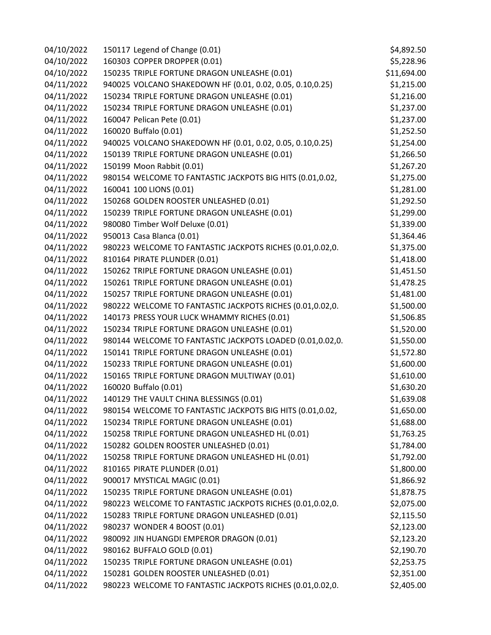| 04/10/2022 | 150117 Legend of Change (0.01)                            | \$4,892.50  |
|------------|-----------------------------------------------------------|-------------|
| 04/10/2022 | 160303 COPPER DROPPER (0.01)                              | \$5,228.96  |
| 04/10/2022 | 150235 TRIPLE FORTUNE DRAGON UNLEASHE (0.01)              | \$11,694.00 |
| 04/11/2022 | 940025 VOLCANO SHAKEDOWN HF (0.01, 0.02, 0.05, 0.10,0.25) | \$1,215.00  |
| 04/11/2022 | 150234 TRIPLE FORTUNE DRAGON UNLEASHE (0.01)              | \$1,216.00  |
| 04/11/2022 | 150234 TRIPLE FORTUNE DRAGON UNLEASHE (0.01)              | \$1,237.00  |
| 04/11/2022 | 160047 Pelican Pete (0.01)                                | \$1,237.00  |
| 04/11/2022 | 160020 Buffalo (0.01)                                     | \$1,252.50  |
| 04/11/2022 | 940025 VOLCANO SHAKEDOWN HF (0.01, 0.02, 0.05, 0.10,0.25) | \$1,254.00  |
| 04/11/2022 | 150139 TRIPLE FORTUNE DRAGON UNLEASHE (0.01)              | \$1,266.50  |
| 04/11/2022 | 150199 Moon Rabbit (0.01)                                 | \$1,267.20  |
| 04/11/2022 | 980154 WELCOME TO FANTASTIC JACKPOTS BIG HITS (0.01,0.02, | \$1,275.00  |
| 04/11/2022 | 160041 100 LIONS (0.01)                                   | \$1,281.00  |
| 04/11/2022 | 150268 GOLDEN ROOSTER UNLEASHED (0.01)                    | \$1,292.50  |
| 04/11/2022 | 150239 TRIPLE FORTUNE DRAGON UNLEASHE (0.01)              | \$1,299.00  |
| 04/11/2022 | 980080 Timber Wolf Deluxe (0.01)                          | \$1,339.00  |
| 04/11/2022 | 950013 Casa Blanca (0.01)                                 | \$1,364.46  |
| 04/11/2022 | 980223 WELCOME TO FANTASTIC JACKPOTS RICHES (0.01,0.02,0. | \$1,375.00  |
| 04/11/2022 | 810164 PIRATE PLUNDER (0.01)                              | \$1,418.00  |
| 04/11/2022 | 150262 TRIPLE FORTUNE DRAGON UNLEASHE (0.01)              | \$1,451.50  |
| 04/11/2022 | 150261 TRIPLE FORTUNE DRAGON UNLEASHE (0.01)              | \$1,478.25  |
| 04/11/2022 | 150257 TRIPLE FORTUNE DRAGON UNLEASHE (0.01)              | \$1,481.00  |
| 04/11/2022 | 980222 WELCOME TO FANTASTIC JACKPOTS RICHES (0.01,0.02,0. | \$1,500.00  |
| 04/11/2022 | 140173 PRESS YOUR LUCK WHAMMY RICHES (0.01)               | \$1,506.85  |
| 04/11/2022 | 150234 TRIPLE FORTUNE DRAGON UNLEASHE (0.01)              | \$1,520.00  |
| 04/11/2022 | 980144 WELCOME TO FANTASTIC JACKPOTS LOADED (0.01,0.02,0. | \$1,550.00  |
| 04/11/2022 | 150141 TRIPLE FORTUNE DRAGON UNLEASHE (0.01)              | \$1,572.80  |
| 04/11/2022 | 150233 TRIPLE FORTUNE DRAGON UNLEASHE (0.01)              | \$1,600.00  |
| 04/11/2022 | 150165 TRIPLE FORTUNE DRAGON MULTIWAY (0.01)              | \$1,610.00  |
| 04/11/2022 | 160020 Buffalo (0.01)                                     | \$1,630.20  |
| 04/11/2022 | 140129 THE VAULT CHINA BLESSINGS (0.01)                   | \$1,639.08  |
| 04/11/2022 | 980154 WELCOME TO FANTASTIC JACKPOTS BIG HITS (0.01,0.02, | \$1,650.00  |
| 04/11/2022 | 150234 TRIPLE FORTUNE DRAGON UNLEASHE (0.01)              | \$1,688.00  |
| 04/11/2022 | 150258 TRIPLE FORTUNE DRAGON UNLEASHED HL (0.01)          | \$1,763.25  |
| 04/11/2022 | 150282 GOLDEN ROOSTER UNLEASHED (0.01)                    | \$1,784.00  |
| 04/11/2022 | 150258 TRIPLE FORTUNE DRAGON UNLEASHED HL (0.01)          | \$1,792.00  |
| 04/11/2022 | 810165 PIRATE PLUNDER (0.01)                              | \$1,800.00  |
| 04/11/2022 | 900017 MYSTICAL MAGIC (0.01)                              | \$1,866.92  |
| 04/11/2022 | 150235 TRIPLE FORTUNE DRAGON UNLEASHE (0.01)              | \$1,878.75  |
| 04/11/2022 | 980223 WELCOME TO FANTASTIC JACKPOTS RICHES (0.01,0.02,0. | \$2,075.00  |
| 04/11/2022 | 150283 TRIPLE FORTUNE DRAGON UNLEASHED (0.01)             | \$2,115.50  |
| 04/11/2022 | 980237 WONDER 4 BOOST (0.01)                              | \$2,123.00  |
| 04/11/2022 | 980092 JIN HUANGDI EMPEROR DRAGON (0.01)                  | \$2,123.20  |
| 04/11/2022 | 980162 BUFFALO GOLD (0.01)                                | \$2,190.70  |
| 04/11/2022 | 150235 TRIPLE FORTUNE DRAGON UNLEASHE (0.01)              | \$2,253.75  |
| 04/11/2022 | 150281 GOLDEN ROOSTER UNLEASHED (0.01)                    | \$2,351.00  |
| 04/11/2022 | 980223 WELCOME TO FANTASTIC JACKPOTS RICHES (0.01,0.02,0. | \$2,405.00  |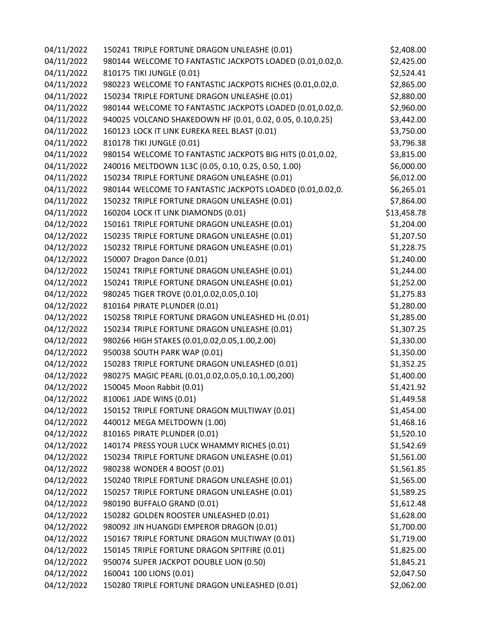| 04/11/2022 | 150241 TRIPLE FORTUNE DRAGON UNLEASHE (0.01)              | \$2,408.00  |
|------------|-----------------------------------------------------------|-------------|
| 04/11/2022 | 980144 WELCOME TO FANTASTIC JACKPOTS LOADED (0.01,0.02,0. | \$2,425.00  |
| 04/11/2022 | 810175 TIKI JUNGLE (0.01)                                 | \$2,524.41  |
| 04/11/2022 | 980223 WELCOME TO FANTASTIC JACKPOTS RICHES (0.01,0.02,0. | \$2,865.00  |
| 04/11/2022 | 150234 TRIPLE FORTUNE DRAGON UNLEASHE (0.01)              | \$2,880.00  |
| 04/11/2022 | 980144 WELCOME TO FANTASTIC JACKPOTS LOADED (0.01,0.02,0. | \$2,960.00  |
| 04/11/2022 | 940025 VOLCANO SHAKEDOWN HF (0.01, 0.02, 0.05, 0.10,0.25) | \$3,442.00  |
| 04/11/2022 | 160123 LOCK IT LINK EUREKA REEL BLAST (0.01)              | \$3,750.00  |
| 04/11/2022 | 810178 TIKI JUNGLE (0.01)                                 | \$3,796.38  |
| 04/11/2022 | 980154 WELCOME TO FANTASTIC JACKPOTS BIG HITS (0.01,0.02, | \$3,815.00  |
| 04/11/2022 | 240016 MELTDOWN 1L3C (0.05, 0.10, 0.25, 0.50, 1.00)       | \$6,000.00  |
| 04/11/2022 | 150234 TRIPLE FORTUNE DRAGON UNLEASHE (0.01)              | \$6,012.00  |
| 04/11/2022 | 980144 WELCOME TO FANTASTIC JACKPOTS LOADED (0.01,0.02,0. | \$6,265.01  |
| 04/11/2022 | 150232 TRIPLE FORTUNE DRAGON UNLEASHE (0.01)              | \$7,864.00  |
| 04/11/2022 | 160204 LOCK IT LINK DIAMONDS (0.01)                       | \$13,458.78 |
| 04/12/2022 | 150161 TRIPLE FORTUNE DRAGON UNLEASHE (0.01)              | \$1,204.00  |
| 04/12/2022 | 150235 TRIPLE FORTUNE DRAGON UNLEASHE (0.01)              | \$1,207.50  |
| 04/12/2022 | 150232 TRIPLE FORTUNE DRAGON UNLEASHE (0.01)              | \$1,228.75  |
| 04/12/2022 | 150007 Dragon Dance (0.01)                                | \$1,240.00  |
| 04/12/2022 | 150241 TRIPLE FORTUNE DRAGON UNLEASHE (0.01)              | \$1,244.00  |
| 04/12/2022 | 150241 TRIPLE FORTUNE DRAGON UNLEASHE (0.01)              | \$1,252.00  |
| 04/12/2022 | 980245 TIGER TROVE (0.01,0.02,0.05,0.10)                  | \$1,275.83  |
| 04/12/2022 | 810164 PIRATE PLUNDER (0.01)                              | \$1,280.00  |
| 04/12/2022 | 150258 TRIPLE FORTUNE DRAGON UNLEASHED HL (0.01)          | \$1,285.00  |
| 04/12/2022 | 150234 TRIPLE FORTUNE DRAGON UNLEASHE (0.01)              | \$1,307.25  |
| 04/12/2022 | 980266 HIGH STAKES (0.01,0.02,0.05,1.00,2.00)             | \$1,330.00  |
| 04/12/2022 | 950038 SOUTH PARK WAP (0.01)                              | \$1,350.00  |
| 04/12/2022 | 150283 TRIPLE FORTUNE DRAGON UNLEASHED (0.01)             | \$1,352.25  |
| 04/12/2022 | 980275 MAGIC PEARL (0.01,0.02,0.05,0.10,1.00,200)         | \$1,400.00  |
| 04/12/2022 | 150045 Moon Rabbit (0.01)                                 | \$1,421.92  |
| 04/12/2022 | 810061 JADE WINS (0.01)                                   | \$1,449.58  |
| 04/12/2022 | 150152 TRIPLE FORTUNE DRAGON MULTIWAY (0.01)              | \$1,454.00  |
| 04/12/2022 | 440012 MEGA MELTDOWN (1.00)                               | \$1,468.16  |
| 04/12/2022 | 810165 PIRATE PLUNDER (0.01)                              | \$1,520.10  |
| 04/12/2022 | 140174 PRESS YOUR LUCK WHAMMY RICHES (0.01)               | \$1,542.69  |
| 04/12/2022 | 150234 TRIPLE FORTUNE DRAGON UNLEASHE (0.01)              | \$1,561.00  |
| 04/12/2022 | 980238 WONDER 4 BOOST (0.01)                              | \$1,561.85  |
| 04/12/2022 | 150240 TRIPLE FORTUNE DRAGON UNLEASHE (0.01)              | \$1,565.00  |
| 04/12/2022 | 150257 TRIPLE FORTUNE DRAGON UNLEASHE (0.01)              | \$1,589.25  |
| 04/12/2022 | 980190 BUFFALO GRAND (0.01)                               | \$1,612.48  |
| 04/12/2022 | 150282 GOLDEN ROOSTER UNLEASHED (0.01)                    | \$1,628.00  |
| 04/12/2022 | 980092 JIN HUANGDI EMPEROR DRAGON (0.01)                  | \$1,700.00  |
| 04/12/2022 | 150167 TRIPLE FORTUNE DRAGON MULTIWAY (0.01)              | \$1,719.00  |
| 04/12/2022 | 150145 TRIPLE FORTUNE DRAGON SPITFIRE (0.01)              | \$1,825.00  |
| 04/12/2022 | 950074 SUPER JACKPOT DOUBLE LION (0.50)                   | \$1,845.21  |
| 04/12/2022 | 160041 100 LIONS (0.01)                                   | \$2,047.50  |
| 04/12/2022 | 150280 TRIPLE FORTUNE DRAGON UNLEASHED (0.01)             | \$2,062.00  |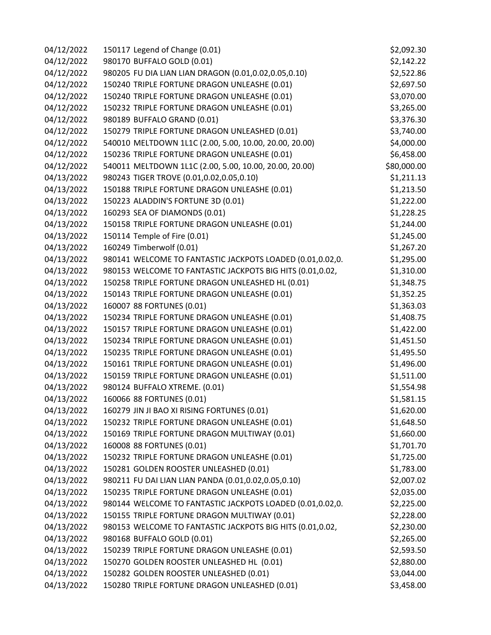| 04/12/2022 | 150117 Legend of Change (0.01)                            | \$2,092.30  |
|------------|-----------------------------------------------------------|-------------|
| 04/12/2022 | 980170 BUFFALO GOLD (0.01)                                | \$2,142.22  |
| 04/12/2022 | 980205 FU DIA LIAN LIAN DRAGON (0.01,0.02,0.05,0.10)      | \$2,522.86  |
| 04/12/2022 | 150240 TRIPLE FORTUNE DRAGON UNLEASHE (0.01)              | \$2,697.50  |
| 04/12/2022 | 150240 TRIPLE FORTUNE DRAGON UNLEASHE (0.01)              | \$3,070.00  |
| 04/12/2022 | 150232 TRIPLE FORTUNE DRAGON UNLEASHE (0.01)              | \$3,265.00  |
| 04/12/2022 | 980189 BUFFALO GRAND (0.01)                               | \$3,376.30  |
| 04/12/2022 | 150279 TRIPLE FORTUNE DRAGON UNLEASHED (0.01)             | \$3,740.00  |
| 04/12/2022 | 540010 MELTDOWN 1L1C (2.00, 5.00, 10.00, 20.00, 20.00)    | \$4,000.00  |
| 04/12/2022 | 150236 TRIPLE FORTUNE DRAGON UNLEASHE (0.01)              | \$6,458.00  |
| 04/12/2022 | 540011 MELTDOWN 1L1C (2.00, 5.00, 10.00, 20.00, 20.00)    | \$80,000.00 |
| 04/13/2022 | 980243 TIGER TROVE (0.01,0.02,0.05,0.10)                  | \$1,211.13  |
| 04/13/2022 | 150188 TRIPLE FORTUNE DRAGON UNLEASHE (0.01)              | \$1,213.50  |
| 04/13/2022 | 150223 ALADDIN'S FORTUNE 3D (0.01)                        | \$1,222.00  |
| 04/13/2022 | 160293 SEA OF DIAMONDS (0.01)                             | \$1,228.25  |
| 04/13/2022 | 150158 TRIPLE FORTUNE DRAGON UNLEASHE (0.01)              | \$1,244.00  |
| 04/13/2022 | 150114 Temple of Fire (0.01)                              | \$1,245.00  |
| 04/13/2022 | 160249 Timberwolf (0.01)                                  | \$1,267.20  |
| 04/13/2022 | 980141 WELCOME TO FANTASTIC JACKPOTS LOADED (0.01,0.02,0. | \$1,295.00  |
| 04/13/2022 | 980153 WELCOME TO FANTASTIC JACKPOTS BIG HITS (0.01,0.02, | \$1,310.00  |
| 04/13/2022 | 150258 TRIPLE FORTUNE DRAGON UNLEASHED HL (0.01)          | \$1,348.75  |
| 04/13/2022 | 150143 TRIPLE FORTUNE DRAGON UNLEASHE (0.01)              | \$1,352.25  |
| 04/13/2022 | 160007 88 FORTUNES (0.01)                                 | \$1,363.03  |
| 04/13/2022 | 150234 TRIPLE FORTUNE DRAGON UNLEASHE (0.01)              | \$1,408.75  |
| 04/13/2022 | 150157 TRIPLE FORTUNE DRAGON UNLEASHE (0.01)              | \$1,422.00  |
| 04/13/2022 | 150234 TRIPLE FORTUNE DRAGON UNLEASHE (0.01)              | \$1,451.50  |
| 04/13/2022 | 150235 TRIPLE FORTUNE DRAGON UNLEASHE (0.01)              | \$1,495.50  |
| 04/13/2022 | 150161 TRIPLE FORTUNE DRAGON UNLEASHE (0.01)              | \$1,496.00  |
| 04/13/2022 | 150159 TRIPLE FORTUNE DRAGON UNLEASHE (0.01)              | \$1,511.00  |
| 04/13/2022 | 980124 BUFFALO XTREME. (0.01)                             | \$1,554.98  |
| 04/13/2022 | 160066 88 FORTUNES (0.01)                                 | \$1,581.15  |
| 04/13/2022 | 160279 JIN JI BAO XI RISING FORTUNES (0.01)               | \$1,620.00  |
| 04/13/2022 | 150232 TRIPLE FORTUNE DRAGON UNLEASHE (0.01)              | \$1,648.50  |
| 04/13/2022 | 150169 TRIPLE FORTUNE DRAGON MULTIWAY (0.01)              | \$1,660.00  |
| 04/13/2022 | 160008 88 FORTUNES (0.01)                                 | \$1,701.70  |
| 04/13/2022 | 150232 TRIPLE FORTUNE DRAGON UNLEASHE (0.01)              | \$1,725.00  |
| 04/13/2022 | 150281 GOLDEN ROOSTER UNLEASHED (0.01)                    | \$1,783.00  |
| 04/13/2022 | 980211 FU DAI LIAN LIAN PANDA (0.01,0.02,0.05,0.10)       | \$2,007.02  |
| 04/13/2022 | 150235 TRIPLE FORTUNE DRAGON UNLEASHE (0.01)              | \$2,035.00  |
| 04/13/2022 | 980144 WELCOME TO FANTASTIC JACKPOTS LOADED (0.01,0.02,0. | \$2,225.00  |
| 04/13/2022 | 150155 TRIPLE FORTUNE DRAGON MULTIWAY (0.01)              | \$2,228.00  |
| 04/13/2022 | 980153 WELCOME TO FANTASTIC JACKPOTS BIG HITS (0.01,0.02, | \$2,230.00  |
| 04/13/2022 | 980168 BUFFALO GOLD (0.01)                                | \$2,265.00  |
| 04/13/2022 | 150239 TRIPLE FORTUNE DRAGON UNLEASHE (0.01)              | \$2,593.50  |
| 04/13/2022 | 150270 GOLDEN ROOSTER UNLEASHED HL (0.01)                 | \$2,880.00  |
| 04/13/2022 | 150282 GOLDEN ROOSTER UNLEASHED (0.01)                    | \$3,044.00  |
| 04/13/2022 | 150280 TRIPLE FORTUNE DRAGON UNLEASHED (0.01)             | \$3,458.00  |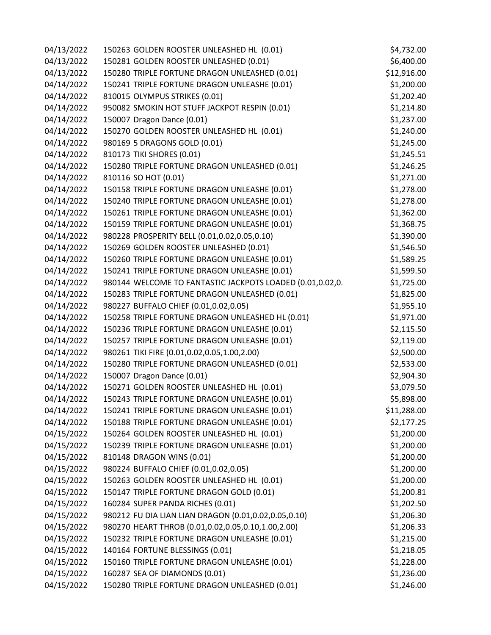| 04/13/2022 | 150263 GOLDEN ROOSTER UNLEASHED HL (0.01)                 | \$4,732.00  |
|------------|-----------------------------------------------------------|-------------|
| 04/13/2022 | 150281 GOLDEN ROOSTER UNLEASHED (0.01)                    | \$6,400.00  |
| 04/13/2022 | 150280 TRIPLE FORTUNE DRAGON UNLEASHED (0.01)             | \$12,916.00 |
| 04/14/2022 | 150241 TRIPLE FORTUNE DRAGON UNLEASHE (0.01)              | \$1,200.00  |
| 04/14/2022 | 810015 OLYMPUS STRIKES (0.01)                             | \$1,202.40  |
| 04/14/2022 | 950082 SMOKIN HOT STUFF JACKPOT RESPIN (0.01)             | \$1,214.80  |
| 04/14/2022 | 150007 Dragon Dance (0.01)                                | \$1,237.00  |
| 04/14/2022 | 150270 GOLDEN ROOSTER UNLEASHED HL (0.01)                 | \$1,240.00  |
| 04/14/2022 | 980169 5 DRAGONS GOLD (0.01)                              | \$1,245.00  |
| 04/14/2022 | 810173 TIKI SHORES (0.01)                                 | \$1,245.51  |
| 04/14/2022 | 150280 TRIPLE FORTUNE DRAGON UNLEASHED (0.01)             | \$1,246.25  |
| 04/14/2022 | 810116 SO HOT (0.01)                                      | \$1,271.00  |
| 04/14/2022 | 150158 TRIPLE FORTUNE DRAGON UNLEASHE (0.01)              | \$1,278.00  |
| 04/14/2022 | 150240 TRIPLE FORTUNE DRAGON UNLEASHE (0.01)              | \$1,278.00  |
| 04/14/2022 | 150261 TRIPLE FORTUNE DRAGON UNLEASHE (0.01)              | \$1,362.00  |
| 04/14/2022 | 150159 TRIPLE FORTUNE DRAGON UNLEASHE (0.01)              | \$1,368.75  |
| 04/14/2022 | 980228 PROSPERITY BELL (0.01,0.02,0.05,0.10)              | \$1,390.00  |
| 04/14/2022 | 150269 GOLDEN ROOSTER UNLEASHED (0.01)                    | \$1,546.50  |
| 04/14/2022 | 150260 TRIPLE FORTUNE DRAGON UNLEASHE (0.01)              | \$1,589.25  |
| 04/14/2022 | 150241 TRIPLE FORTUNE DRAGON UNLEASHE (0.01)              | \$1,599.50  |
| 04/14/2022 | 980144 WELCOME TO FANTASTIC JACKPOTS LOADED (0.01,0.02,0. | \$1,725.00  |
| 04/14/2022 | 150283 TRIPLE FORTUNE DRAGON UNLEASHED (0.01)             | \$1,825.00  |
| 04/14/2022 | 980227 BUFFALO CHIEF (0.01,0.02,0.05)                     | \$1,955.10  |
| 04/14/2022 | 150258 TRIPLE FORTUNE DRAGON UNLEASHED HL (0.01)          | \$1,971.00  |
| 04/14/2022 | 150236 TRIPLE FORTUNE DRAGON UNLEASHE (0.01)              | \$2,115.50  |
| 04/14/2022 | 150257 TRIPLE FORTUNE DRAGON UNLEASHE (0.01)              | \$2,119.00  |
| 04/14/2022 | 980261 TIKI FIRE (0.01,0.02,0.05,1.00,2.00)               | \$2,500.00  |
| 04/14/2022 | 150280 TRIPLE FORTUNE DRAGON UNLEASHED (0.01)             | \$2,533.00  |
| 04/14/2022 | 150007 Dragon Dance (0.01)                                | \$2,904.30  |
| 04/14/2022 | 150271 GOLDEN ROOSTER UNLEASHED HL (0.01)                 | \$3,079.50  |
| 04/14/2022 | 150243 TRIPLE FORTUNE DRAGON UNLEASHE (0.01)              | \$5,898.00  |
| 04/14/2022 | 150241 TRIPLE FORTUNE DRAGON UNLEASHE (0.01)              | \$11,288.00 |
| 04/14/2022 | 150188 TRIPLE FORTUNE DRAGON UNLEASHE (0.01)              | \$2,177.25  |
| 04/15/2022 | 150264 GOLDEN ROOSTER UNLEASHED HL (0.01)                 | \$1,200.00  |
| 04/15/2022 | 150239 TRIPLE FORTUNE DRAGON UNLEASHE (0.01)              | \$1,200.00  |
| 04/15/2022 | 810148 DRAGON WINS (0.01)                                 | \$1,200.00  |
| 04/15/2022 | 980224 BUFFALO CHIEF (0.01,0.02,0.05)                     | \$1,200.00  |
| 04/15/2022 | 150263 GOLDEN ROOSTER UNLEASHED HL (0.01)                 | \$1,200.00  |
| 04/15/2022 | 150147 TRIPLE FORTUNE DRAGON GOLD (0.01)                  | \$1,200.81  |
| 04/15/2022 | 160284 SUPER PANDA RICHES (0.01)                          | \$1,202.50  |
| 04/15/2022 | 980212 FU DIA LIAN LIAN DRAGON (0.01,0.02,0.05,0.10)      | \$1,206.30  |
| 04/15/2022 | 980270 HEART THROB (0.01,0.02,0.05,0.10,1.00,2.00)        | \$1,206.33  |
| 04/15/2022 | 150232 TRIPLE FORTUNE DRAGON UNLEASHE (0.01)              | \$1,215.00  |
| 04/15/2022 | 140164 FORTUNE BLESSINGS (0.01)                           | \$1,218.05  |
| 04/15/2022 | 150160 TRIPLE FORTUNE DRAGON UNLEASHE (0.01)              | \$1,228.00  |
| 04/15/2022 | 160287 SEA OF DIAMONDS (0.01)                             | \$1,236.00  |
| 04/15/2022 | 150280 TRIPLE FORTUNE DRAGON UNLEASHED (0.01)             | \$1,246.00  |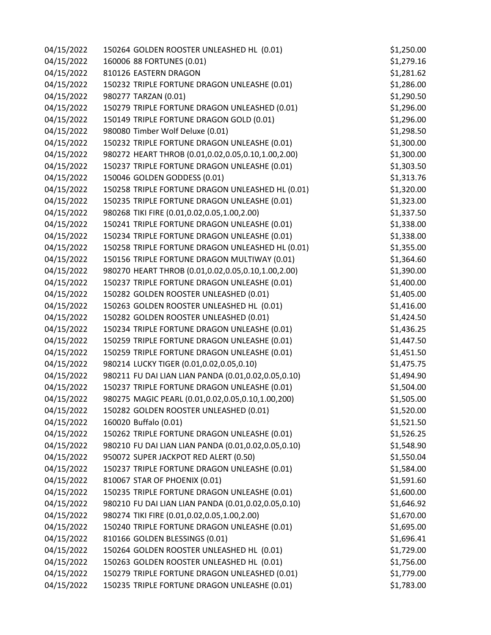| 04/15/2022 | 150264 GOLDEN ROOSTER UNLEASHED HL (0.01)           | \$1,250.00 |
|------------|-----------------------------------------------------|------------|
| 04/15/2022 | 160006 88 FORTUNES (0.01)                           | \$1,279.16 |
| 04/15/2022 | 810126 EASTERN DRAGON                               | \$1,281.62 |
| 04/15/2022 | 150232 TRIPLE FORTUNE DRAGON UNLEASHE (0.01)        | \$1,286.00 |
| 04/15/2022 | 980277 TARZAN (0.01)                                | \$1,290.50 |
| 04/15/2022 | 150279 TRIPLE FORTUNE DRAGON UNLEASHED (0.01)       | \$1,296.00 |
| 04/15/2022 | 150149 TRIPLE FORTUNE DRAGON GOLD (0.01)            | \$1,296.00 |
| 04/15/2022 | 980080 Timber Wolf Deluxe (0.01)                    | \$1,298.50 |
| 04/15/2022 | 150232 TRIPLE FORTUNE DRAGON UNLEASHE (0.01)        | \$1,300.00 |
| 04/15/2022 | 980272 HEART THROB (0.01,0.02,0.05,0.10,1.00,2.00)  | \$1,300.00 |
| 04/15/2022 | 150237 TRIPLE FORTUNE DRAGON UNLEASHE (0.01)        | \$1,303.50 |
| 04/15/2022 | 150046 GOLDEN GODDESS (0.01)                        | \$1,313.76 |
| 04/15/2022 | 150258 TRIPLE FORTUNE DRAGON UNLEASHED HL (0.01)    | \$1,320.00 |
| 04/15/2022 | 150235 TRIPLE FORTUNE DRAGON UNLEASHE (0.01)        | \$1,323.00 |
| 04/15/2022 | 980268 TIKI FIRE (0.01,0.02,0.05,1.00,2.00)         | \$1,337.50 |
| 04/15/2022 | 150241 TRIPLE FORTUNE DRAGON UNLEASHE (0.01)        | \$1,338.00 |
| 04/15/2022 | 150234 TRIPLE FORTUNE DRAGON UNLEASHE (0.01)        | \$1,338.00 |
| 04/15/2022 | 150258 TRIPLE FORTUNE DRAGON UNLEASHED HL (0.01)    | \$1,355.00 |
| 04/15/2022 | 150156 TRIPLE FORTUNE DRAGON MULTIWAY (0.01)        | \$1,364.60 |
| 04/15/2022 | 980270 HEART THROB (0.01,0.02,0.05,0.10,1.00,2.00)  | \$1,390.00 |
| 04/15/2022 | 150237 TRIPLE FORTUNE DRAGON UNLEASHE (0.01)        | \$1,400.00 |
| 04/15/2022 | 150282 GOLDEN ROOSTER UNLEASHED (0.01)              | \$1,405.00 |
| 04/15/2022 | 150263 GOLDEN ROOSTER UNLEASHED HL (0.01)           | \$1,416.00 |
| 04/15/2022 | 150282 GOLDEN ROOSTER UNLEASHED (0.01)              | \$1,424.50 |
| 04/15/2022 | 150234 TRIPLE FORTUNE DRAGON UNLEASHE (0.01)        | \$1,436.25 |
| 04/15/2022 | 150259 TRIPLE FORTUNE DRAGON UNLEASHE (0.01)        | \$1,447.50 |
| 04/15/2022 | 150259 TRIPLE FORTUNE DRAGON UNLEASHE (0.01)        | \$1,451.50 |
| 04/15/2022 | 980214 LUCKY TIGER (0.01,0.02,0.05,0.10)            | \$1,475.75 |
| 04/15/2022 | 980211 FU DAI LIAN LIAN PANDA (0.01,0.02,0.05,0.10) | \$1,494.90 |
| 04/15/2022 | 150237 TRIPLE FORTUNE DRAGON UNLEASHE (0.01)        | \$1,504.00 |
| 04/15/2022 | 980275 MAGIC PEARL (0.01,0.02,0.05,0.10,1.00,200)   | \$1,505.00 |
| 04/15/2022 | 150282 GOLDEN ROOSTER UNLEASHED (0.01)              | \$1,520.00 |
| 04/15/2022 | 160020 Buffalo (0.01)                               | \$1,521.50 |
| 04/15/2022 | 150262 TRIPLE FORTUNE DRAGON UNLEASHE (0.01)        | \$1,526.25 |
| 04/15/2022 | 980210 FU DAI LIAN LIAN PANDA (0.01,0.02,0.05,0.10) | \$1,548.90 |
| 04/15/2022 | 950072 SUPER JACKPOT RED ALERT (0.50)               | \$1,550.04 |
| 04/15/2022 | 150237 TRIPLE FORTUNE DRAGON UNLEASHE (0.01)        | \$1,584.00 |
| 04/15/2022 | 810067 STAR OF PHOENIX (0.01)                       | \$1,591.60 |
| 04/15/2022 | 150235 TRIPLE FORTUNE DRAGON UNLEASHE (0.01)        | \$1,600.00 |
| 04/15/2022 | 980210 FU DAI LIAN LIAN PANDA (0.01,0.02,0.05,0.10) | \$1,646.92 |
| 04/15/2022 | 980274 TIKI FIRE (0.01,0.02,0.05,1.00,2.00)         | \$1,670.00 |
| 04/15/2022 | 150240 TRIPLE FORTUNE DRAGON UNLEASHE (0.01)        | \$1,695.00 |
| 04/15/2022 | 810166 GOLDEN BLESSINGS (0.01)                      | \$1,696.41 |
| 04/15/2022 | 150264 GOLDEN ROOSTER UNLEASHED HL (0.01)           | \$1,729.00 |
| 04/15/2022 | 150263 GOLDEN ROOSTER UNLEASHED HL (0.01)           | \$1,756.00 |
| 04/15/2022 | 150279 TRIPLE FORTUNE DRAGON UNLEASHED (0.01)       | \$1,779.00 |
| 04/15/2022 | 150235 TRIPLE FORTUNE DRAGON UNLEASHE (0.01)        | \$1,783.00 |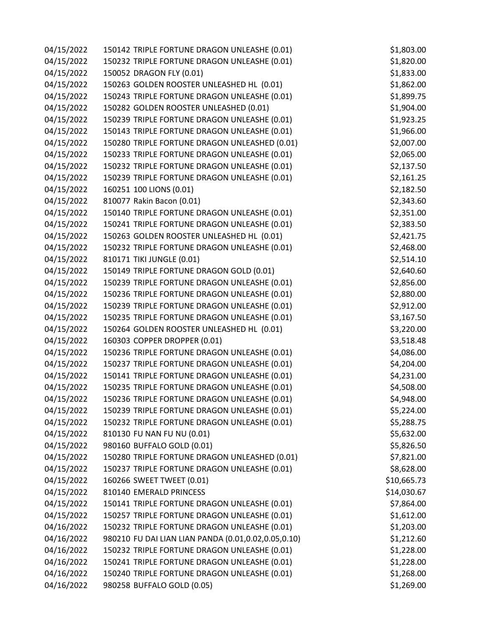| 04/15/2022 | 150142 TRIPLE FORTUNE DRAGON UNLEASHE (0.01)        | \$1,803.00  |
|------------|-----------------------------------------------------|-------------|
| 04/15/2022 | 150232 TRIPLE FORTUNE DRAGON UNLEASHE (0.01)        | \$1,820.00  |
| 04/15/2022 | 150052 DRAGON FLY (0.01)                            | \$1,833.00  |
| 04/15/2022 | 150263 GOLDEN ROOSTER UNLEASHED HL (0.01)           | \$1,862.00  |
| 04/15/2022 | 150243 TRIPLE FORTUNE DRAGON UNLEASHE (0.01)        | \$1,899.75  |
| 04/15/2022 | 150282 GOLDEN ROOSTER UNLEASHED (0.01)              | \$1,904.00  |
| 04/15/2022 | 150239 TRIPLE FORTUNE DRAGON UNLEASHE (0.01)        | \$1,923.25  |
| 04/15/2022 | 150143 TRIPLE FORTUNE DRAGON UNLEASHE (0.01)        | \$1,966.00  |
| 04/15/2022 | 150280 TRIPLE FORTUNE DRAGON UNLEASHED (0.01)       | \$2,007.00  |
| 04/15/2022 | 150233 TRIPLE FORTUNE DRAGON UNLEASHE (0.01)        | \$2,065.00  |
| 04/15/2022 | 150232 TRIPLE FORTUNE DRAGON UNLEASHE (0.01)        | \$2,137.50  |
| 04/15/2022 | 150239 TRIPLE FORTUNE DRAGON UNLEASHE (0.01)        | \$2,161.25  |
| 04/15/2022 | 160251 100 LIONS (0.01)                             | \$2,182.50  |
| 04/15/2022 | 810077 Rakin Bacon (0.01)                           | \$2,343.60  |
| 04/15/2022 | 150140 TRIPLE FORTUNE DRAGON UNLEASHE (0.01)        | \$2,351.00  |
| 04/15/2022 | 150241 TRIPLE FORTUNE DRAGON UNLEASHE (0.01)        | \$2,383.50  |
| 04/15/2022 | 150263 GOLDEN ROOSTER UNLEASHED HL (0.01)           | \$2,421.75  |
| 04/15/2022 | 150232 TRIPLE FORTUNE DRAGON UNLEASHE (0.01)        | \$2,468.00  |
| 04/15/2022 | 810171 TIKI JUNGLE (0.01)                           | \$2,514.10  |
| 04/15/2022 | 150149 TRIPLE FORTUNE DRAGON GOLD (0.01)            | \$2,640.60  |
| 04/15/2022 | 150239 TRIPLE FORTUNE DRAGON UNLEASHE (0.01)        | \$2,856.00  |
| 04/15/2022 | 150236 TRIPLE FORTUNE DRAGON UNLEASHE (0.01)        | \$2,880.00  |
| 04/15/2022 | 150239 TRIPLE FORTUNE DRAGON UNLEASHE (0.01)        | \$2,912.00  |
| 04/15/2022 | 150235 TRIPLE FORTUNE DRAGON UNLEASHE (0.01)        | \$3,167.50  |
| 04/15/2022 | 150264 GOLDEN ROOSTER UNLEASHED HL (0.01)           | \$3,220.00  |
| 04/15/2022 | 160303 COPPER DROPPER (0.01)                        | \$3,518.48  |
| 04/15/2022 | 150236 TRIPLE FORTUNE DRAGON UNLEASHE (0.01)        | \$4,086.00  |
| 04/15/2022 | 150237 TRIPLE FORTUNE DRAGON UNLEASHE (0.01)        | \$4,204.00  |
| 04/15/2022 | 150141 TRIPLE FORTUNE DRAGON UNLEASHE (0.01)        | \$4,231.00  |
| 04/15/2022 | 150235 TRIPLE FORTUNE DRAGON UNLEASHE (0.01)        | \$4,508.00  |
| 04/15/2022 | 150236 TRIPLE FORTUNE DRAGON UNLEASHE (0.01)        | \$4,948.00  |
| 04/15/2022 | 150239 TRIPLE FORTUNE DRAGON UNLEASHE (0.01)        | \$5,224.00  |
| 04/15/2022 | 150232 TRIPLE FORTUNE DRAGON UNLEASHE (0.01)        | \$5,288.75  |
| 04/15/2022 | 810130 FU NAN FU NU (0.01)                          | \$5,632.00  |
| 04/15/2022 | 980160 BUFFALO GOLD (0.01)                          | \$5,826.50  |
| 04/15/2022 | 150280 TRIPLE FORTUNE DRAGON UNLEASHED (0.01)       | \$7,821.00  |
| 04/15/2022 | 150237 TRIPLE FORTUNE DRAGON UNLEASHE (0.01)        | \$8,628.00  |
| 04/15/2022 | 160266 SWEET TWEET (0.01)                           | \$10,665.73 |
| 04/15/2022 | 810140 EMERALD PRINCESS                             | \$14,030.67 |
| 04/15/2022 | 150141 TRIPLE FORTUNE DRAGON UNLEASHE (0.01)        | \$7,864.00  |
| 04/15/2022 | 150257 TRIPLE FORTUNE DRAGON UNLEASHE (0.01)        | \$1,612.00  |
| 04/16/2022 | 150232 TRIPLE FORTUNE DRAGON UNLEASHE (0.01)        | \$1,203.00  |
| 04/16/2022 | 980210 FU DAI LIAN LIAN PANDA (0.01,0.02,0.05,0.10) | \$1,212.60  |
| 04/16/2022 | 150232 TRIPLE FORTUNE DRAGON UNLEASHE (0.01)        | \$1,228.00  |
| 04/16/2022 | 150241 TRIPLE FORTUNE DRAGON UNLEASHE (0.01)        | \$1,228.00  |
| 04/16/2022 | 150240 TRIPLE FORTUNE DRAGON UNLEASHE (0.01)        | \$1,268.00  |
| 04/16/2022 | 980258 BUFFALO GOLD (0.05)                          | \$1,269.00  |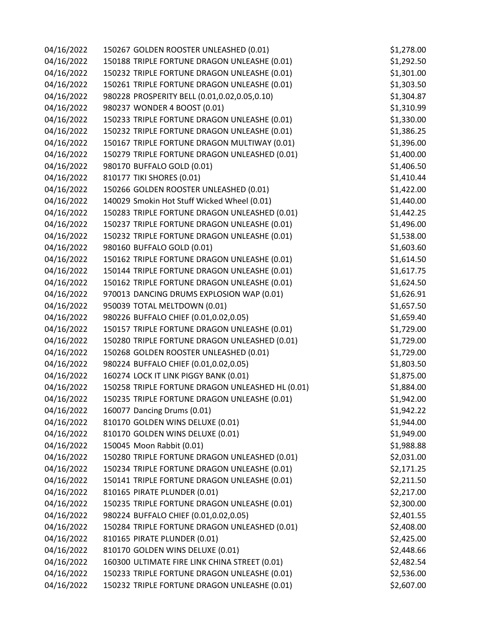| 04/16/2022 | 150267 GOLDEN ROOSTER UNLEASHED (0.01)           | \$1,278.00 |
|------------|--------------------------------------------------|------------|
| 04/16/2022 | 150188 TRIPLE FORTUNE DRAGON UNLEASHE (0.01)     | \$1,292.50 |
| 04/16/2022 | 150232 TRIPLE FORTUNE DRAGON UNLEASHE (0.01)     | \$1,301.00 |
| 04/16/2022 | 150261 TRIPLE FORTUNE DRAGON UNLEASHE (0.01)     | \$1,303.50 |
| 04/16/2022 | 980228 PROSPERITY BELL (0.01,0.02,0.05,0.10)     | \$1,304.87 |
| 04/16/2022 | 980237 WONDER 4 BOOST (0.01)                     | \$1,310.99 |
| 04/16/2022 | 150233 TRIPLE FORTUNE DRAGON UNLEASHE (0.01)     | \$1,330.00 |
| 04/16/2022 | 150232 TRIPLE FORTUNE DRAGON UNLEASHE (0.01)     | \$1,386.25 |
| 04/16/2022 | 150167 TRIPLE FORTUNE DRAGON MULTIWAY (0.01)     | \$1,396.00 |
| 04/16/2022 | 150279 TRIPLE FORTUNE DRAGON UNLEASHED (0.01)    | \$1,400.00 |
| 04/16/2022 | 980170 BUFFALO GOLD (0.01)                       | \$1,406.50 |
| 04/16/2022 | 810177 TIKI SHORES (0.01)                        | \$1,410.44 |
| 04/16/2022 | 150266 GOLDEN ROOSTER UNLEASHED (0.01)           | \$1,422.00 |
| 04/16/2022 | 140029 Smokin Hot Stuff Wicked Wheel (0.01)      | \$1,440.00 |
| 04/16/2022 | 150283 TRIPLE FORTUNE DRAGON UNLEASHED (0.01)    | \$1,442.25 |
| 04/16/2022 | 150237 TRIPLE FORTUNE DRAGON UNLEASHE (0.01)     | \$1,496.00 |
| 04/16/2022 | 150232 TRIPLE FORTUNE DRAGON UNLEASHE (0.01)     | \$1,538.00 |
| 04/16/2022 | 980160 BUFFALO GOLD (0.01)                       | \$1,603.60 |
| 04/16/2022 | 150162 TRIPLE FORTUNE DRAGON UNLEASHE (0.01)     | \$1,614.50 |
| 04/16/2022 | 150144 TRIPLE FORTUNE DRAGON UNLEASHE (0.01)     | \$1,617.75 |
| 04/16/2022 | 150162 TRIPLE FORTUNE DRAGON UNLEASHE (0.01)     | \$1,624.50 |
| 04/16/2022 | 970013 DANCING DRUMS EXPLOSION WAP (0.01)        | \$1,626.91 |
| 04/16/2022 | 950039 TOTAL MELTDOWN (0.01)                     | \$1,657.50 |
| 04/16/2022 | 980226 BUFFALO CHIEF (0.01,0.02,0.05)            | \$1,659.40 |
| 04/16/2022 | 150157 TRIPLE FORTUNE DRAGON UNLEASHE (0.01)     | \$1,729.00 |
| 04/16/2022 | 150280 TRIPLE FORTUNE DRAGON UNLEASHED (0.01)    | \$1,729.00 |
| 04/16/2022 | 150268 GOLDEN ROOSTER UNLEASHED (0.01)           | \$1,729.00 |
| 04/16/2022 | 980224 BUFFALO CHIEF (0.01,0.02,0.05)            | \$1,803.50 |
| 04/16/2022 | 160274 LOCK IT LINK PIGGY BANK (0.01)            | \$1,875.00 |
| 04/16/2022 | 150258 TRIPLE FORTUNE DRAGON UNLEASHED HL (0.01) | \$1,884.00 |
| 04/16/2022 | 150235 TRIPLE FORTUNE DRAGON UNLEASHE (0.01)     | \$1,942.00 |
| 04/16/2022 | 160077 Dancing Drums (0.01)                      | \$1,942.22 |
| 04/16/2022 | 810170 GOLDEN WINS DELUXE (0.01)                 | \$1,944.00 |
| 04/16/2022 | 810170 GOLDEN WINS DELUXE (0.01)                 | \$1,949.00 |
| 04/16/2022 | 150045 Moon Rabbit (0.01)                        | \$1,988.88 |
| 04/16/2022 | 150280 TRIPLE FORTUNE DRAGON UNLEASHED (0.01)    | \$2,031.00 |
| 04/16/2022 | 150234 TRIPLE FORTUNE DRAGON UNLEASHE (0.01)     | \$2,171.25 |
| 04/16/2022 | 150141 TRIPLE FORTUNE DRAGON UNLEASHE (0.01)     | \$2,211.50 |
| 04/16/2022 | 810165 PIRATE PLUNDER (0.01)                     | \$2,217.00 |
| 04/16/2022 | 150235 TRIPLE FORTUNE DRAGON UNLEASHE (0.01)     | \$2,300.00 |
| 04/16/2022 | 980224 BUFFALO CHIEF (0.01,0.02,0.05)            | \$2,401.55 |
| 04/16/2022 | 150284 TRIPLE FORTUNE DRAGON UNLEASHED (0.01)    | \$2,408.00 |
| 04/16/2022 | 810165 PIRATE PLUNDER (0.01)                     | \$2,425.00 |
| 04/16/2022 | 810170 GOLDEN WINS DELUXE (0.01)                 | \$2,448.66 |
| 04/16/2022 | 160300 ULTIMATE FIRE LINK CHINA STREET (0.01)    | \$2,482.54 |
| 04/16/2022 | 150233 TRIPLE FORTUNE DRAGON UNLEASHE (0.01)     | \$2,536.00 |
| 04/16/2022 | 150232 TRIPLE FORTUNE DRAGON UNLEASHE (0.01)     | \$2,607.00 |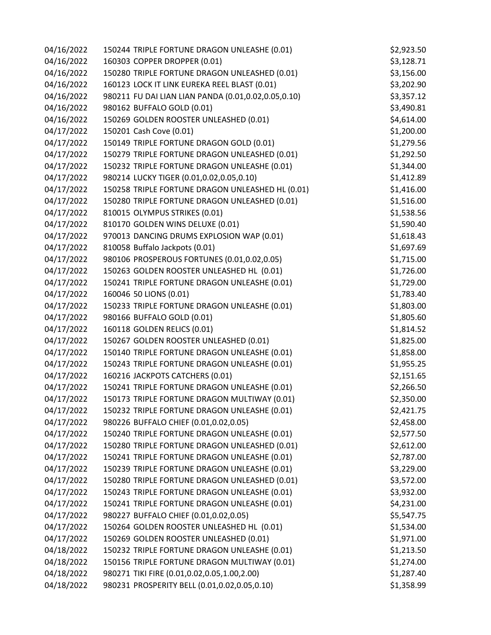| 04/16/2022 | 150244 TRIPLE FORTUNE DRAGON UNLEASHE (0.01)        | \$2,923.50 |
|------------|-----------------------------------------------------|------------|
| 04/16/2022 | 160303 COPPER DROPPER (0.01)                        | \$3,128.71 |
| 04/16/2022 | 150280 TRIPLE FORTUNE DRAGON UNLEASHED (0.01)       | \$3,156.00 |
| 04/16/2022 | 160123 LOCK IT LINK EUREKA REEL BLAST (0.01)        | \$3,202.90 |
| 04/16/2022 | 980211 FU DAI LIAN LIAN PANDA (0.01,0.02,0.05,0.10) | \$3,357.12 |
| 04/16/2022 | 980162 BUFFALO GOLD (0.01)                          | \$3,490.81 |
| 04/16/2022 | 150269 GOLDEN ROOSTER UNLEASHED (0.01)              | \$4,614.00 |
| 04/17/2022 | 150201 Cash Cove (0.01)                             | \$1,200.00 |
| 04/17/2022 | 150149 TRIPLE FORTUNE DRAGON GOLD (0.01)            | \$1,279.56 |
| 04/17/2022 | 150279 TRIPLE FORTUNE DRAGON UNLEASHED (0.01)       | \$1,292.50 |
| 04/17/2022 | 150232 TRIPLE FORTUNE DRAGON UNLEASHE (0.01)        | \$1,344.00 |
| 04/17/2022 | 980214 LUCKY TIGER (0.01,0.02,0.05,0.10)            | \$1,412.89 |
| 04/17/2022 | 150258 TRIPLE FORTUNE DRAGON UNLEASHED HL (0.01)    | \$1,416.00 |
| 04/17/2022 | 150280 TRIPLE FORTUNE DRAGON UNLEASHED (0.01)       | \$1,516.00 |
| 04/17/2022 | 810015 OLYMPUS STRIKES (0.01)                       | \$1,538.56 |
| 04/17/2022 | 810170 GOLDEN WINS DELUXE (0.01)                    | \$1,590.40 |
| 04/17/2022 | 970013 DANCING DRUMS EXPLOSION WAP (0.01)           | \$1,618.43 |
| 04/17/2022 | 810058 Buffalo Jackpots (0.01)                      | \$1,697.69 |
| 04/17/2022 | 980106 PROSPEROUS FORTUNES (0.01,0.02,0.05)         | \$1,715.00 |
| 04/17/2022 | 150263 GOLDEN ROOSTER UNLEASHED HL (0.01)           | \$1,726.00 |
| 04/17/2022 | 150241 TRIPLE FORTUNE DRAGON UNLEASHE (0.01)        | \$1,729.00 |
| 04/17/2022 | 160046 50 LIONS (0.01)                              | \$1,783.40 |
| 04/17/2022 | 150233 TRIPLE FORTUNE DRAGON UNLEASHE (0.01)        | \$1,803.00 |
| 04/17/2022 | 980166 BUFFALO GOLD (0.01)                          | \$1,805.60 |
| 04/17/2022 | 160118 GOLDEN RELICS (0.01)                         | \$1,814.52 |
| 04/17/2022 | 150267 GOLDEN ROOSTER UNLEASHED (0.01)              | \$1,825.00 |
| 04/17/2022 | 150140 TRIPLE FORTUNE DRAGON UNLEASHE (0.01)        | \$1,858.00 |
| 04/17/2022 | 150243 TRIPLE FORTUNE DRAGON UNLEASHE (0.01)        | \$1,955.25 |
| 04/17/2022 | 160216 JACKPOTS CATCHERS (0.01)                     | \$2,151.65 |
| 04/17/2022 | 150241 TRIPLE FORTUNE DRAGON UNLEASHE (0.01)        | \$2,266.50 |
| 04/17/2022 | 150173 TRIPLE FORTUNE DRAGON MULTIWAY (0.01)        | \$2,350.00 |
| 04/17/2022 | 150232 TRIPLE FORTUNE DRAGON UNLEASHE (0.01)        | \$2,421.75 |
| 04/17/2022 | 980226 BUFFALO CHIEF (0.01,0.02,0.05)               | \$2,458.00 |
| 04/17/2022 | 150240 TRIPLE FORTUNE DRAGON UNLEASHE (0.01)        | \$2,577.50 |
| 04/17/2022 | 150280 TRIPLE FORTUNE DRAGON UNLEASHED (0.01)       | \$2,612.00 |
| 04/17/2022 | 150241 TRIPLE FORTUNE DRAGON UNLEASHE (0.01)        | \$2,787.00 |
| 04/17/2022 | 150239 TRIPLE FORTUNE DRAGON UNLEASHE (0.01)        | \$3,229.00 |
| 04/17/2022 | 150280 TRIPLE FORTUNE DRAGON UNLEASHED (0.01)       | \$3,572.00 |
| 04/17/2022 | 150243 TRIPLE FORTUNE DRAGON UNLEASHE (0.01)        | \$3,932.00 |
| 04/17/2022 | 150241 TRIPLE FORTUNE DRAGON UNLEASHE (0.01)        | \$4,231.00 |
| 04/17/2022 | 980227 BUFFALO CHIEF (0.01,0.02,0.05)               | \$5,547.75 |
| 04/17/2022 | 150264 GOLDEN ROOSTER UNLEASHED HL (0.01)           | \$1,534.00 |
| 04/17/2022 | 150269 GOLDEN ROOSTER UNLEASHED (0.01)              | \$1,971.00 |
| 04/18/2022 | 150232 TRIPLE FORTUNE DRAGON UNLEASHE (0.01)        | \$1,213.50 |
| 04/18/2022 | 150156 TRIPLE FORTUNE DRAGON MULTIWAY (0.01)        | \$1,274.00 |
| 04/18/2022 | 980271 TIKI FIRE (0.01,0.02,0.05,1.00,2.00)         | \$1,287.40 |
| 04/18/2022 | 980231 PROSPERITY BELL (0.01,0.02,0.05,0.10)        | \$1,358.99 |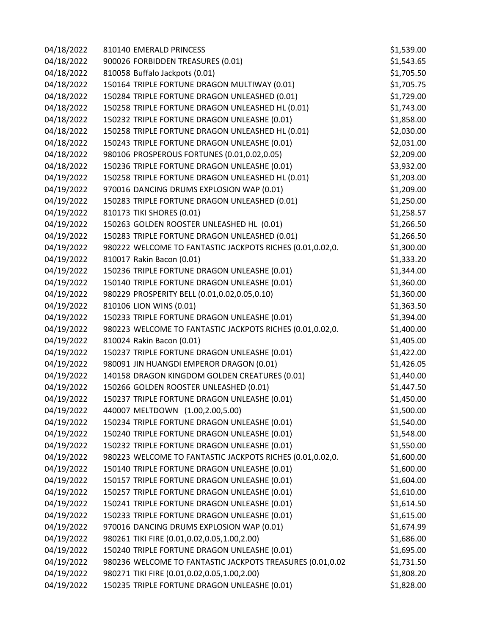| 04/18/2022 | 810140 EMERALD PRINCESS                                   | \$1,539.00 |
|------------|-----------------------------------------------------------|------------|
| 04/18/2022 | 900026 FORBIDDEN TREASURES (0.01)                         | \$1,543.65 |
| 04/18/2022 | 810058 Buffalo Jackpots (0.01)                            | \$1,705.50 |
| 04/18/2022 | 150164 TRIPLE FORTUNE DRAGON MULTIWAY (0.01)              | \$1,705.75 |
| 04/18/2022 | 150284 TRIPLE FORTUNE DRAGON UNLEASHED (0.01)             | \$1,729.00 |
| 04/18/2022 | 150258 TRIPLE FORTUNE DRAGON UNLEASHED HL (0.01)          | \$1,743.00 |
| 04/18/2022 | 150232 TRIPLE FORTUNE DRAGON UNLEASHE (0.01)              | \$1,858.00 |
| 04/18/2022 | 150258 TRIPLE FORTUNE DRAGON UNLEASHED HL (0.01)          | \$2,030.00 |
| 04/18/2022 | 150243 TRIPLE FORTUNE DRAGON UNLEASHE (0.01)              | \$2,031.00 |
| 04/18/2022 | 980106 PROSPEROUS FORTUNES (0.01,0.02,0.05)               | \$2,209.00 |
| 04/18/2022 | 150236 TRIPLE FORTUNE DRAGON UNLEASHE (0.01)              | \$3,932.00 |
| 04/19/2022 | 150258 TRIPLE FORTUNE DRAGON UNLEASHED HL (0.01)          | \$1,203.00 |
| 04/19/2022 | 970016 DANCING DRUMS EXPLOSION WAP (0.01)                 | \$1,209.00 |
| 04/19/2022 | 150283 TRIPLE FORTUNE DRAGON UNLEASHED (0.01)             | \$1,250.00 |
| 04/19/2022 | 810173 TIKI SHORES (0.01)                                 | \$1,258.57 |
| 04/19/2022 | 150263 GOLDEN ROOSTER UNLEASHED HL (0.01)                 | \$1,266.50 |
| 04/19/2022 | 150283 TRIPLE FORTUNE DRAGON UNLEASHED (0.01)             | \$1,266.50 |
| 04/19/2022 | 980222 WELCOME TO FANTASTIC JACKPOTS RICHES (0.01,0.02,0. | \$1,300.00 |
| 04/19/2022 | 810017 Rakin Bacon (0.01)                                 | \$1,333.20 |
| 04/19/2022 | 150236 TRIPLE FORTUNE DRAGON UNLEASHE (0.01)              | \$1,344.00 |
| 04/19/2022 | 150140 TRIPLE FORTUNE DRAGON UNLEASHE (0.01)              | \$1,360.00 |
| 04/19/2022 | 980229 PROSPERITY BELL (0.01,0.02,0.05,0.10)              | \$1,360.00 |
| 04/19/2022 | 810106 LION WINS (0.01)                                   | \$1,363.50 |
| 04/19/2022 | 150233 TRIPLE FORTUNE DRAGON UNLEASHE (0.01)              | \$1,394.00 |
| 04/19/2022 | 980223 WELCOME TO FANTASTIC JACKPOTS RICHES (0.01,0.02,0. | \$1,400.00 |
| 04/19/2022 | 810024 Rakin Bacon (0.01)                                 | \$1,405.00 |
| 04/19/2022 | 150237 TRIPLE FORTUNE DRAGON UNLEASHE (0.01)              | \$1,422.00 |
| 04/19/2022 | 980091 JIN HUANGDI EMPEROR DRAGON (0.01)                  | \$1,426.05 |
| 04/19/2022 | 140158 DRAGON KINGDOM GOLDEN CREATURES (0.01)             | \$1,440.00 |
| 04/19/2022 | 150266 GOLDEN ROOSTER UNLEASHED (0.01)                    | \$1,447.50 |
| 04/19/2022 | 150237 TRIPLE FORTUNE DRAGON UNLEASHE (0.01)              | \$1,450.00 |
| 04/19/2022 | 440007 MELTDOWN (1.00,2.00,5.00)                          | \$1,500.00 |
| 04/19/2022 | 150234 TRIPLE FORTUNE DRAGON UNLEASHE (0.01)              | \$1,540.00 |
| 04/19/2022 | 150240 TRIPLE FORTUNE DRAGON UNLEASHE (0.01)              | \$1,548.00 |
| 04/19/2022 | 150232 TRIPLE FORTUNE DRAGON UNLEASHE (0.01)              | \$1,550.00 |
| 04/19/2022 | 980223 WELCOME TO FANTASTIC JACKPOTS RICHES (0.01,0.02,0. | \$1,600.00 |
| 04/19/2022 | 150140 TRIPLE FORTUNE DRAGON UNLEASHE (0.01)              | \$1,600.00 |
| 04/19/2022 | 150157 TRIPLE FORTUNE DRAGON UNLEASHE (0.01)              | \$1,604.00 |
| 04/19/2022 | 150257 TRIPLE FORTUNE DRAGON UNLEASHE (0.01)              | \$1,610.00 |
| 04/19/2022 | 150241 TRIPLE FORTUNE DRAGON UNLEASHE (0.01)              | \$1,614.50 |
| 04/19/2022 | 150233 TRIPLE FORTUNE DRAGON UNLEASHE (0.01)              | \$1,615.00 |
| 04/19/2022 | 970016 DANCING DRUMS EXPLOSION WAP (0.01)                 | \$1,674.99 |
| 04/19/2022 | 980261 TIKI FIRE (0.01,0.02,0.05,1.00,2.00)               | \$1,686.00 |
| 04/19/2022 | 150240 TRIPLE FORTUNE DRAGON UNLEASHE (0.01)              | \$1,695.00 |
| 04/19/2022 | 980236 WELCOME TO FANTASTIC JACKPOTS TREASURES (0.01,0.02 | \$1,731.50 |
| 04/19/2022 | 980271 TIKI FIRE (0.01,0.02,0.05,1.00,2.00)               | \$1,808.20 |
| 04/19/2022 | 150235 TRIPLE FORTUNE DRAGON UNLEASHE (0.01)              | \$1,828.00 |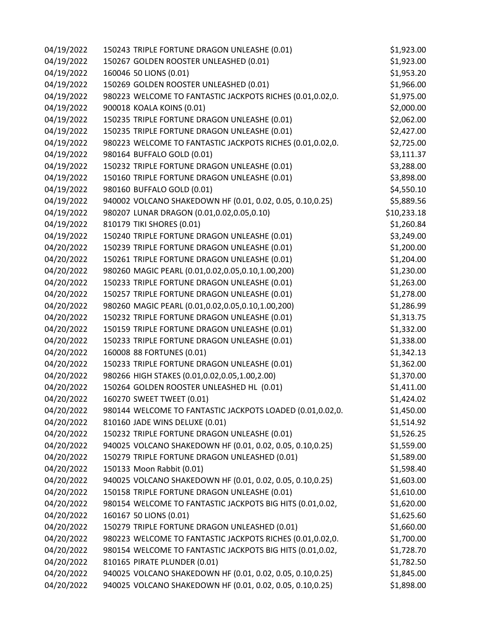| 04/19/2022 | 150243 TRIPLE FORTUNE DRAGON UNLEASHE (0.01)              | \$1,923.00  |
|------------|-----------------------------------------------------------|-------------|
| 04/19/2022 | 150267 GOLDEN ROOSTER UNLEASHED (0.01)                    | \$1,923.00  |
| 04/19/2022 | 160046 50 LIONS (0.01)                                    | \$1,953.20  |
| 04/19/2022 | 150269 GOLDEN ROOSTER UNLEASHED (0.01)                    | \$1,966.00  |
| 04/19/2022 | 980223 WELCOME TO FANTASTIC JACKPOTS RICHES (0.01,0.02,0. | \$1,975.00  |
| 04/19/2022 | 900018 KOALA KOINS (0.01)                                 | \$2,000.00  |
| 04/19/2022 | 150235 TRIPLE FORTUNE DRAGON UNLEASHE (0.01)              | \$2,062.00  |
| 04/19/2022 | 150235 TRIPLE FORTUNE DRAGON UNLEASHE (0.01)              | \$2,427.00  |
| 04/19/2022 | 980223 WELCOME TO FANTASTIC JACKPOTS RICHES (0.01,0.02,0. | \$2,725.00  |
| 04/19/2022 | 980164 BUFFALO GOLD (0.01)                                | \$3,111.37  |
| 04/19/2022 | 150232 TRIPLE FORTUNE DRAGON UNLEASHE (0.01)              | \$3,288.00  |
| 04/19/2022 | 150160 TRIPLE FORTUNE DRAGON UNLEASHE (0.01)              | \$3,898.00  |
| 04/19/2022 | 980160 BUFFALO GOLD (0.01)                                | \$4,550.10  |
| 04/19/2022 | 940002 VOLCANO SHAKEDOWN HF (0.01, 0.02, 0.05, 0.10,0.25) | \$5,889.56  |
| 04/19/2022 | 980207 LUNAR DRAGON (0.01,0.02,0.05,0.10)                 | \$10,233.18 |
| 04/19/2022 | 810179 TIKI SHORES (0.01)                                 | \$1,260.84  |
| 04/19/2022 | 150240 TRIPLE FORTUNE DRAGON UNLEASHE (0.01)              | \$3,249.00  |
| 04/20/2022 | 150239 TRIPLE FORTUNE DRAGON UNLEASHE (0.01)              | \$1,200.00  |
| 04/20/2022 | 150261 TRIPLE FORTUNE DRAGON UNLEASHE (0.01)              | \$1,204.00  |
| 04/20/2022 | 980260 MAGIC PEARL (0.01,0.02,0.05,0.10,1.00,200)         | \$1,230.00  |
| 04/20/2022 | 150233 TRIPLE FORTUNE DRAGON UNLEASHE (0.01)              | \$1,263.00  |
| 04/20/2022 | 150257 TRIPLE FORTUNE DRAGON UNLEASHE (0.01)              | \$1,278.00  |
| 04/20/2022 | 980260 MAGIC PEARL (0.01,0.02,0.05,0.10,1.00,200)         | \$1,286.99  |
| 04/20/2022 | 150232 TRIPLE FORTUNE DRAGON UNLEASHE (0.01)              | \$1,313.75  |
| 04/20/2022 | 150159 TRIPLE FORTUNE DRAGON UNLEASHE (0.01)              | \$1,332.00  |
| 04/20/2022 | 150233 TRIPLE FORTUNE DRAGON UNLEASHE (0.01)              | \$1,338.00  |
| 04/20/2022 | 160008 88 FORTUNES (0.01)                                 | \$1,342.13  |
| 04/20/2022 | 150233 TRIPLE FORTUNE DRAGON UNLEASHE (0.01)              | \$1,362.00  |
| 04/20/2022 | 980266 HIGH STAKES (0.01,0.02,0.05,1.00,2.00)             | \$1,370.00  |
| 04/20/2022 | 150264 GOLDEN ROOSTER UNLEASHED HL (0.01)                 | \$1,411.00  |
| 04/20/2022 | 160270 SWEET TWEET (0.01)                                 | \$1,424.02  |
| 04/20/2022 | 980144 WELCOME TO FANTASTIC JACKPOTS LOADED (0.01,0.02,0. | \$1,450.00  |
| 04/20/2022 | 810160 JADE WINS DELUXE (0.01)                            | \$1,514.92  |
| 04/20/2022 | 150232 TRIPLE FORTUNE DRAGON UNLEASHE (0.01)              | \$1,526.25  |
| 04/20/2022 | 940025 VOLCANO SHAKEDOWN HF (0.01, 0.02, 0.05, 0.10,0.25) | \$1,559.00  |
| 04/20/2022 | 150279 TRIPLE FORTUNE DRAGON UNLEASHED (0.01)             | \$1,589.00  |
| 04/20/2022 | 150133 Moon Rabbit (0.01)                                 | \$1,598.40  |
| 04/20/2022 | 940025 VOLCANO SHAKEDOWN HF (0.01, 0.02, 0.05, 0.10,0.25) | \$1,603.00  |
| 04/20/2022 | 150158 TRIPLE FORTUNE DRAGON UNLEASHE (0.01)              | \$1,610.00  |
| 04/20/2022 | 980154 WELCOME TO FANTASTIC JACKPOTS BIG HITS (0.01,0.02, | \$1,620.00  |
| 04/20/2022 | 160167 50 LIONS (0.01)                                    | \$1,625.60  |
| 04/20/2022 | 150279 TRIPLE FORTUNE DRAGON UNLEASHED (0.01)             | \$1,660.00  |
| 04/20/2022 | 980223 WELCOME TO FANTASTIC JACKPOTS RICHES (0.01,0.02,0. | \$1,700.00  |
| 04/20/2022 | 980154 WELCOME TO FANTASTIC JACKPOTS BIG HITS (0.01,0.02, | \$1,728.70  |
| 04/20/2022 | 810165 PIRATE PLUNDER (0.01)                              | \$1,782.50  |
| 04/20/2022 | 940025 VOLCANO SHAKEDOWN HF (0.01, 0.02, 0.05, 0.10,0.25) | \$1,845.00  |
| 04/20/2022 | 940025 VOLCANO SHAKEDOWN HF (0.01, 0.02, 0.05, 0.10,0.25) | \$1,898.00  |
|            |                                                           |             |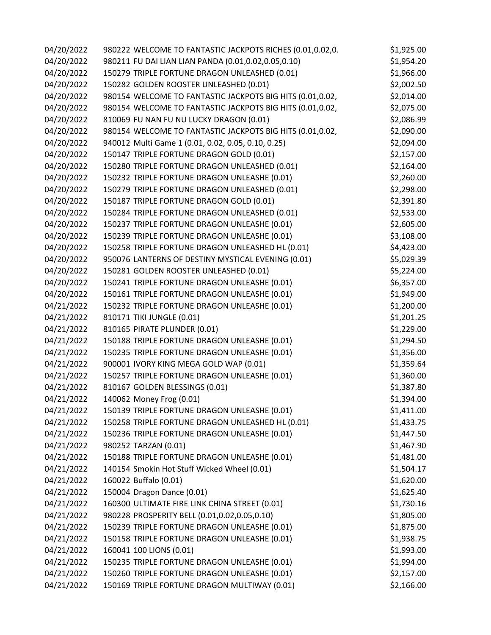| 04/20/2022 | 980222 WELCOME TO FANTASTIC JACKPOTS RICHES (0.01,0.02,0. | \$1,925.00 |
|------------|-----------------------------------------------------------|------------|
| 04/20/2022 | 980211 FU DAI LIAN LIAN PANDA (0.01,0.02,0.05,0.10)       | \$1,954.20 |
| 04/20/2022 | 150279 TRIPLE FORTUNE DRAGON UNLEASHED (0.01)             | \$1,966.00 |
| 04/20/2022 | 150282 GOLDEN ROOSTER UNLEASHED (0.01)                    | \$2,002.50 |
| 04/20/2022 | 980154 WELCOME TO FANTASTIC JACKPOTS BIG HITS (0.01,0.02, | \$2,014.00 |
| 04/20/2022 | 980154 WELCOME TO FANTASTIC JACKPOTS BIG HITS (0.01,0.02, | \$2,075.00 |
| 04/20/2022 | 810069 FU NAN FU NU LUCKY DRAGON (0.01)                   | \$2,086.99 |
| 04/20/2022 | 980154 WELCOME TO FANTASTIC JACKPOTS BIG HITS (0.01,0.02, | \$2,090.00 |
| 04/20/2022 | 940012 Multi Game 1 (0.01, 0.02, 0.05, 0.10, 0.25)        | \$2,094.00 |
| 04/20/2022 | 150147 TRIPLE FORTUNE DRAGON GOLD (0.01)                  | \$2,157.00 |
| 04/20/2022 | 150280 TRIPLE FORTUNE DRAGON UNLEASHED (0.01)             | \$2,164.00 |
| 04/20/2022 | 150232 TRIPLE FORTUNE DRAGON UNLEASHE (0.01)              | \$2,260.00 |
| 04/20/2022 | 150279 TRIPLE FORTUNE DRAGON UNLEASHED (0.01)             | \$2,298.00 |
| 04/20/2022 | 150187 TRIPLE FORTUNE DRAGON GOLD (0.01)                  | \$2,391.80 |
| 04/20/2022 | 150284 TRIPLE FORTUNE DRAGON UNLEASHED (0.01)             | \$2,533.00 |
| 04/20/2022 | 150237 TRIPLE FORTUNE DRAGON UNLEASHE (0.01)              | \$2,605.00 |
| 04/20/2022 | 150239 TRIPLE FORTUNE DRAGON UNLEASHE (0.01)              | \$3,108.00 |
| 04/20/2022 | 150258 TRIPLE FORTUNE DRAGON UNLEASHED HL (0.01)          | \$4,423.00 |
| 04/20/2022 | 950076 LANTERNS OF DESTINY MYSTICAL EVENING (0.01)        | \$5,029.39 |
| 04/20/2022 | 150281 GOLDEN ROOSTER UNLEASHED (0.01)                    | \$5,224.00 |
| 04/20/2022 | 150241 TRIPLE FORTUNE DRAGON UNLEASHE (0.01)              | \$6,357.00 |
| 04/20/2022 | 150161 TRIPLE FORTUNE DRAGON UNLEASHE (0.01)              | \$1,949.00 |
| 04/21/2022 | 150232 TRIPLE FORTUNE DRAGON UNLEASHE (0.01)              | \$1,200.00 |
| 04/21/2022 | 810171 TIKI JUNGLE (0.01)                                 | \$1,201.25 |
| 04/21/2022 | 810165 PIRATE PLUNDER (0.01)                              | \$1,229.00 |
| 04/21/2022 | 150188 TRIPLE FORTUNE DRAGON UNLEASHE (0.01)              | \$1,294.50 |
| 04/21/2022 | 150235 TRIPLE FORTUNE DRAGON UNLEASHE (0.01)              | \$1,356.00 |
| 04/21/2022 | 900001 IVORY KING MEGA GOLD WAP (0.01)                    | \$1,359.64 |
| 04/21/2022 | 150257 TRIPLE FORTUNE DRAGON UNLEASHE (0.01)              | \$1,360.00 |
| 04/21/2022 | 810167 GOLDEN BLESSINGS (0.01)                            | \$1,387.80 |
| 04/21/2022 | 140062 Money Frog (0.01)                                  | \$1,394.00 |
| 04/21/2022 | 150139 TRIPLE FORTUNE DRAGON UNLEASHE (0.01)              | \$1,411.00 |
| 04/21/2022 | 150258 TRIPLE FORTUNE DRAGON UNLEASHED HL (0.01)          | \$1,433.75 |
| 04/21/2022 | 150236 TRIPLE FORTUNE DRAGON UNLEASHE (0.01)              | \$1,447.50 |
| 04/21/2022 | 980252 TARZAN (0.01)                                      | \$1,467.90 |
| 04/21/2022 | 150188 TRIPLE FORTUNE DRAGON UNLEASHE (0.01)              | \$1,481.00 |
| 04/21/2022 | 140154 Smokin Hot Stuff Wicked Wheel (0.01)               | \$1,504.17 |
| 04/21/2022 | 160022 Buffalo (0.01)                                     | \$1,620.00 |
| 04/21/2022 | 150004 Dragon Dance (0.01)                                | \$1,625.40 |
| 04/21/2022 | 160300 ULTIMATE FIRE LINK CHINA STREET (0.01)             | \$1,730.16 |
| 04/21/2022 | 980228 PROSPERITY BELL (0.01,0.02,0.05,0.10)              | \$1,805.00 |
| 04/21/2022 | 150239 TRIPLE FORTUNE DRAGON UNLEASHE (0.01)              | \$1,875.00 |
| 04/21/2022 | 150158 TRIPLE FORTUNE DRAGON UNLEASHE (0.01)              | \$1,938.75 |
| 04/21/2022 | 160041 100 LIONS (0.01)                                   | \$1,993.00 |
| 04/21/2022 | 150235 TRIPLE FORTUNE DRAGON UNLEASHE (0.01)              | \$1,994.00 |
| 04/21/2022 | 150260 TRIPLE FORTUNE DRAGON UNLEASHE (0.01)              | \$2,157.00 |
| 04/21/2022 | 150169 TRIPLE FORTUNE DRAGON MULTIWAY (0.01)              | \$2,166.00 |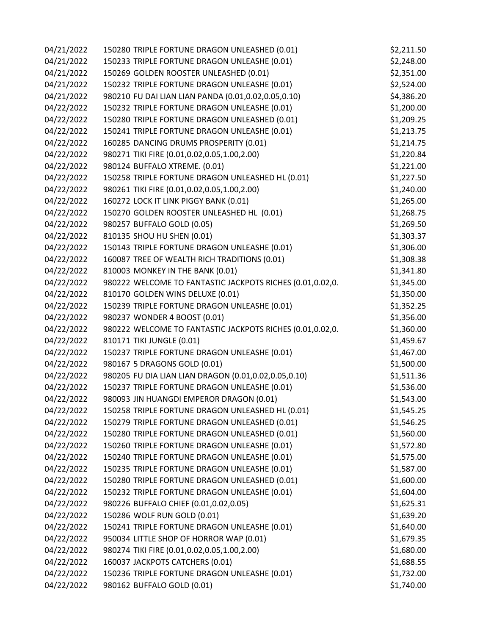| 04/21/2022 | 150280 TRIPLE FORTUNE DRAGON UNLEASHED (0.01)             | \$2,211.50 |
|------------|-----------------------------------------------------------|------------|
| 04/21/2022 | 150233 TRIPLE FORTUNE DRAGON UNLEASHE (0.01)              | \$2,248.00 |
| 04/21/2022 | 150269 GOLDEN ROOSTER UNLEASHED (0.01)                    | \$2,351.00 |
| 04/21/2022 | 150232 TRIPLE FORTUNE DRAGON UNLEASHE (0.01)              | \$2,524.00 |
| 04/21/2022 | 980210 FU DAI LIAN LIAN PANDA (0.01,0.02,0.05,0.10)       | \$4,386.20 |
| 04/22/2022 | 150232 TRIPLE FORTUNE DRAGON UNLEASHE (0.01)              | \$1,200.00 |
| 04/22/2022 | 150280 TRIPLE FORTUNE DRAGON UNLEASHED (0.01)             | \$1,209.25 |
| 04/22/2022 | 150241 TRIPLE FORTUNE DRAGON UNLEASHE (0.01)              | \$1,213.75 |
| 04/22/2022 | 160285 DANCING DRUMS PROSPERITY (0.01)                    | \$1,214.75 |
| 04/22/2022 | 980271 TIKI FIRE (0.01,0.02,0.05,1.00,2.00)               | \$1,220.84 |
| 04/22/2022 | 980124 BUFFALO XTREME. (0.01)                             | \$1,221.00 |
| 04/22/2022 | 150258 TRIPLE FORTUNE DRAGON UNLEASHED HL (0.01)          | \$1,227.50 |
| 04/22/2022 | 980261 TIKI FIRE (0.01,0.02,0.05,1.00,2.00)               | \$1,240.00 |
| 04/22/2022 | 160272 LOCK IT LINK PIGGY BANK (0.01)                     | \$1,265.00 |
| 04/22/2022 | 150270 GOLDEN ROOSTER UNLEASHED HL (0.01)                 | \$1,268.75 |
| 04/22/2022 | 980257 BUFFALO GOLD (0.05)                                | \$1,269.50 |
| 04/22/2022 | 810135 SHOU HU SHEN (0.01)                                | \$1,303.37 |
| 04/22/2022 | 150143 TRIPLE FORTUNE DRAGON UNLEASHE (0.01)              | \$1,306.00 |
| 04/22/2022 | 160087 TREE OF WEALTH RICH TRADITIONS (0.01)              | \$1,308.38 |
| 04/22/2022 | 810003 MONKEY IN THE BANK (0.01)                          | \$1,341.80 |
| 04/22/2022 | 980222 WELCOME TO FANTASTIC JACKPOTS RICHES (0.01,0.02,0. | \$1,345.00 |
| 04/22/2022 | 810170 GOLDEN WINS DELUXE (0.01)                          | \$1,350.00 |
| 04/22/2022 | 150239 TRIPLE FORTUNE DRAGON UNLEASHE (0.01)              | \$1,352.25 |
| 04/22/2022 | 980237 WONDER 4 BOOST (0.01)                              | \$1,356.00 |
| 04/22/2022 | 980222 WELCOME TO FANTASTIC JACKPOTS RICHES (0.01,0.02,0. | \$1,360.00 |
| 04/22/2022 | 810171 TIKI JUNGLE (0.01)                                 | \$1,459.67 |
| 04/22/2022 | 150237 TRIPLE FORTUNE DRAGON UNLEASHE (0.01)              | \$1,467.00 |
| 04/22/2022 | 980167 5 DRAGONS GOLD (0.01)                              | \$1,500.00 |
| 04/22/2022 | 980205 FU DIA LIAN LIAN DRAGON (0.01,0.02,0.05,0.10)      | \$1,511.36 |
| 04/22/2022 | 150237 TRIPLE FORTUNE DRAGON UNLEASHE (0.01)              | \$1,536.00 |
| 04/22/2022 | 980093 JIN HUANGDI EMPEROR DRAGON (0.01)                  | \$1,543.00 |
| 04/22/2022 | 150258 TRIPLE FORTUNE DRAGON UNLEASHED HL (0.01)          | \$1,545.25 |
| 04/22/2022 | 150279 TRIPLE FORTUNE DRAGON UNLEASHED (0.01)             | \$1,546.25 |
| 04/22/2022 | 150280 TRIPLE FORTUNE DRAGON UNLEASHED (0.01)             | \$1,560.00 |
| 04/22/2022 | 150260 TRIPLE FORTUNE DRAGON UNLEASHE (0.01)              | \$1,572.80 |
| 04/22/2022 | 150240 TRIPLE FORTUNE DRAGON UNLEASHE (0.01)              | \$1,575.00 |
| 04/22/2022 | 150235 TRIPLE FORTUNE DRAGON UNLEASHE (0.01)              | \$1,587.00 |
| 04/22/2022 | 150280 TRIPLE FORTUNE DRAGON UNLEASHED (0.01)             | \$1,600.00 |
| 04/22/2022 | 150232 TRIPLE FORTUNE DRAGON UNLEASHE (0.01)              | \$1,604.00 |
| 04/22/2022 | 980226 BUFFALO CHIEF (0.01,0.02,0.05)                     | \$1,625.31 |
| 04/22/2022 | 150286 WOLF RUN GOLD (0.01)                               | \$1,639.20 |
| 04/22/2022 | 150241 TRIPLE FORTUNE DRAGON UNLEASHE (0.01)              | \$1,640.00 |
| 04/22/2022 | 950034 LITTLE SHOP OF HORROR WAP (0.01)                   | \$1,679.35 |
| 04/22/2022 | 980274 TIKI FIRE (0.01,0.02,0.05,1.00,2.00)               | \$1,680.00 |
| 04/22/2022 | 160037 JACKPOTS CATCHERS (0.01)                           | \$1,688.55 |
| 04/22/2022 | 150236 TRIPLE FORTUNE DRAGON UNLEASHE (0.01)              | \$1,732.00 |
| 04/22/2022 | 980162 BUFFALO GOLD (0.01)                                | \$1,740.00 |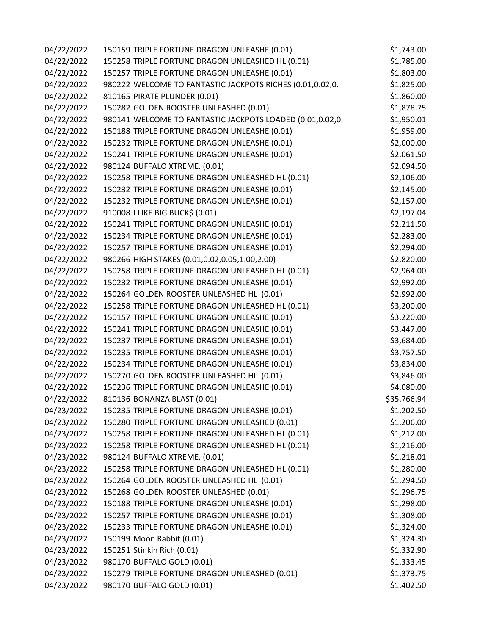| 04/22/2022 | 150159 TRIPLE FORTUNE DRAGON UNLEASHE (0.01)              | \$1,743.00  |
|------------|-----------------------------------------------------------|-------------|
| 04/22/2022 | 150258 TRIPLE FORTUNE DRAGON UNLEASHED HL (0.01)          | \$1,785.00  |
| 04/22/2022 | 150257 TRIPLE FORTUNE DRAGON UNLEASHE (0.01)              | \$1,803.00  |
| 04/22/2022 | 980222 WELCOME TO FANTASTIC JACKPOTS RICHES (0.01,0.02,0. | \$1,825.00  |
| 04/22/2022 | 810165 PIRATE PLUNDER (0.01)                              | \$1,860.00  |
| 04/22/2022 | 150282 GOLDEN ROOSTER UNLEASHED (0.01)                    | \$1,878.75  |
| 04/22/2022 | 980141 WELCOME TO FANTASTIC JACKPOTS LOADED (0.01,0.02,0. | \$1,950.01  |
| 04/22/2022 | 150188 TRIPLE FORTUNE DRAGON UNLEASHE (0.01)              | \$1,959.00  |
| 04/22/2022 | 150232 TRIPLE FORTUNE DRAGON UNLEASHE (0.01)              | \$2,000.00  |
| 04/22/2022 | 150241 TRIPLE FORTUNE DRAGON UNLEASHE (0.01)              | \$2,061.50  |
| 04/22/2022 | 980124 BUFFALO XTREME. (0.01)                             | \$2,094.50  |
| 04/22/2022 | 150258 TRIPLE FORTUNE DRAGON UNLEASHED HL (0.01)          | \$2,106.00  |
| 04/22/2022 | 150232 TRIPLE FORTUNE DRAGON UNLEASHE (0.01)              | \$2,145.00  |
| 04/22/2022 | 150232 TRIPLE FORTUNE DRAGON UNLEASHE (0.01)              | \$2,157.00  |
| 04/22/2022 | 910008   LIKE BIG BUCK\$ (0.01)                           | \$2,197.04  |
| 04/22/2022 | 150241 TRIPLE FORTUNE DRAGON UNLEASHE (0.01)              | \$2,211.50  |
| 04/22/2022 | 150234 TRIPLE FORTUNE DRAGON UNLEASHE (0.01)              | \$2,283.00  |
| 04/22/2022 | 150257 TRIPLE FORTUNE DRAGON UNLEASHE (0.01)              | \$2,294.00  |
| 04/22/2022 | 980266 HIGH STAKES (0.01,0.02,0.05,1.00,2.00)             | \$2,820.00  |
| 04/22/2022 | 150258 TRIPLE FORTUNE DRAGON UNLEASHED HL (0.01)          | \$2,964.00  |
| 04/22/2022 | 150232 TRIPLE FORTUNE DRAGON UNLEASHE (0.01)              | \$2,992.00  |
| 04/22/2022 | 150264 GOLDEN ROOSTER UNLEASHED HL (0.01)                 | \$2,992.00  |
| 04/22/2022 | 150258 TRIPLE FORTUNE DRAGON UNLEASHED HL (0.01)          | \$3,200.00  |
| 04/22/2022 | 150157 TRIPLE FORTUNE DRAGON UNLEASHE (0.01)              | \$3,220.00  |
| 04/22/2022 | 150241 TRIPLE FORTUNE DRAGON UNLEASHE (0.01)              | \$3,447.00  |
| 04/22/2022 | 150237 TRIPLE FORTUNE DRAGON UNLEASHE (0.01)              | \$3,684.00  |
| 04/22/2022 | 150235 TRIPLE FORTUNE DRAGON UNLEASHE (0.01)              | \$3,757.50  |
| 04/22/2022 | 150234 TRIPLE FORTUNE DRAGON UNLEASHE (0.01)              | \$3,834.00  |
| 04/22/2022 | 150270 GOLDEN ROOSTER UNLEASHED HL (0.01)                 | \$3,846.00  |
| 04/22/2022 | 150236 TRIPLE FORTUNE DRAGON UNLEASHE (0.01)              | \$4,080.00  |
| 04/22/2022 | 810136 BONANZA BLAST (0.01)                               | \$35,766.94 |
| 04/23/2022 | 150235 TRIPLE FORTUNE DRAGON UNLEASHE (0.01)              | \$1,202.50  |
| 04/23/2022 | 150280 TRIPLE FORTUNE DRAGON UNLEASHED (0.01)             | \$1,206.00  |
| 04/23/2022 | 150258 TRIPLE FORTUNE DRAGON UNLEASHED HL (0.01)          | \$1,212.00  |
| 04/23/2022 | 150258 TRIPLE FORTUNE DRAGON UNLEASHED HL (0.01)          | \$1,216.00  |
| 04/23/2022 | 980124 BUFFALO XTREME. (0.01)                             | \$1,218.01  |
| 04/23/2022 | 150258 TRIPLE FORTUNE DRAGON UNLEASHED HL (0.01)          | \$1,280.00  |
| 04/23/2022 | 150264 GOLDEN ROOSTER UNLEASHED HL (0.01)                 | \$1,294.50  |
| 04/23/2022 | 150268 GOLDEN ROOSTER UNLEASHED (0.01)                    | \$1,296.75  |
| 04/23/2022 | 150188 TRIPLE FORTUNE DRAGON UNLEASHE (0.01)              | \$1,298.00  |
| 04/23/2022 | 150257 TRIPLE FORTUNE DRAGON UNLEASHE (0.01)              | \$1,308.00  |
| 04/23/2022 | 150233 TRIPLE FORTUNE DRAGON UNLEASHE (0.01)              | \$1,324.00  |
| 04/23/2022 | 150199 Moon Rabbit (0.01)                                 | \$1,324.30  |
| 04/23/2022 | 150251 Stinkin Rich (0.01)                                | \$1,332.90  |
| 04/23/2022 | 980170 BUFFALO GOLD (0.01)                                | \$1,333.45  |
| 04/23/2022 | 150279 TRIPLE FORTUNE DRAGON UNLEASHED (0.01)             | \$1,373.75  |
| 04/23/2022 | 980170 BUFFALO GOLD (0.01)                                | \$1,402.50  |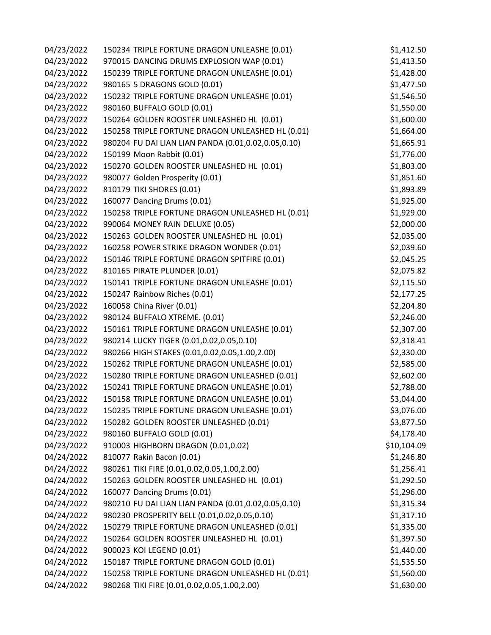| 04/23/2022 | 150234 TRIPLE FORTUNE DRAGON UNLEASHE (0.01)        | \$1,412.50  |
|------------|-----------------------------------------------------|-------------|
| 04/23/2022 | 970015 DANCING DRUMS EXPLOSION WAP (0.01)           | \$1,413.50  |
| 04/23/2022 | 150239 TRIPLE FORTUNE DRAGON UNLEASHE (0.01)        | \$1,428.00  |
| 04/23/2022 | 980165 5 DRAGONS GOLD (0.01)                        | \$1,477.50  |
| 04/23/2022 | 150232 TRIPLE FORTUNE DRAGON UNLEASHE (0.01)        | \$1,546.50  |
| 04/23/2022 | 980160 BUFFALO GOLD (0.01)                          | \$1,550.00  |
| 04/23/2022 | 150264 GOLDEN ROOSTER UNLEASHED HL (0.01)           | \$1,600.00  |
| 04/23/2022 | 150258 TRIPLE FORTUNE DRAGON UNLEASHED HL (0.01)    | \$1,664.00  |
| 04/23/2022 | 980204 FU DAI LIAN LIAN PANDA (0.01,0.02,0.05,0.10) | \$1,665.91  |
| 04/23/2022 | 150199 Moon Rabbit (0.01)                           | \$1,776.00  |
| 04/23/2022 | 150270 GOLDEN ROOSTER UNLEASHED HL (0.01)           | \$1,803.00  |
| 04/23/2022 | 980077 Golden Prosperity (0.01)                     | \$1,851.60  |
| 04/23/2022 | 810179 TIKI SHORES (0.01)                           | \$1,893.89  |
| 04/23/2022 | 160077 Dancing Drums (0.01)                         | \$1,925.00  |
| 04/23/2022 | 150258 TRIPLE FORTUNE DRAGON UNLEASHED HL (0.01)    | \$1,929.00  |
| 04/23/2022 | 990064 MONEY RAIN DELUXE (0.05)                     | \$2,000.00  |
| 04/23/2022 | 150263 GOLDEN ROOSTER UNLEASHED HL (0.01)           | \$2,035.00  |
| 04/23/2022 | 160258 POWER STRIKE DRAGON WONDER (0.01)            | \$2,039.60  |
| 04/23/2022 | 150146 TRIPLE FORTUNE DRAGON SPITFIRE (0.01)        | \$2,045.25  |
| 04/23/2022 | 810165 PIRATE PLUNDER (0.01)                        | \$2,075.82  |
| 04/23/2022 | 150141 TRIPLE FORTUNE DRAGON UNLEASHE (0.01)        | \$2,115.50  |
| 04/23/2022 | 150247 Rainbow Riches (0.01)                        | \$2,177.25  |
| 04/23/2022 | 160058 China River (0.01)                           | \$2,204.80  |
| 04/23/2022 | 980124 BUFFALO XTREME. (0.01)                       | \$2,246.00  |
| 04/23/2022 | 150161 TRIPLE FORTUNE DRAGON UNLEASHE (0.01)        | \$2,307.00  |
| 04/23/2022 | 980214 LUCKY TIGER (0.01,0.02,0.05,0.10)            | \$2,318.41  |
| 04/23/2022 | 980266 HIGH STAKES (0.01,0.02,0.05,1.00,2.00)       | \$2,330.00  |
| 04/23/2022 | 150262 TRIPLE FORTUNE DRAGON UNLEASHE (0.01)        | \$2,585.00  |
| 04/23/2022 | 150280 TRIPLE FORTUNE DRAGON UNLEASHED (0.01)       | \$2,602.00  |
| 04/23/2022 | 150241 TRIPLE FORTUNE DRAGON UNLEASHE (0.01)        | \$2,788.00  |
| 04/23/2022 | 150158 TRIPLE FORTUNE DRAGON UNLEASHE (0.01)        | \$3,044.00  |
| 04/23/2022 | 150235 TRIPLE FORTUNE DRAGON UNLEASHE (0.01)        | \$3,076.00  |
| 04/23/2022 | 150282 GOLDEN ROOSTER UNLEASHED (0.01)              | \$3,877.50  |
| 04/23/2022 | 980160 BUFFALO GOLD (0.01)                          | \$4,178.40  |
| 04/23/2022 | 910003 HIGHBORN DRAGON (0.01,0.02)                  | \$10,104.09 |
| 04/24/2022 | 810077 Rakin Bacon (0.01)                           | \$1,246.80  |
| 04/24/2022 | 980261 TIKI FIRE (0.01,0.02,0.05,1.00,2.00)         | \$1,256.41  |
| 04/24/2022 | 150263 GOLDEN ROOSTER UNLEASHED HL (0.01)           | \$1,292.50  |
| 04/24/2022 | 160077 Dancing Drums (0.01)                         | \$1,296.00  |
| 04/24/2022 | 980210 FU DAI LIAN LIAN PANDA (0.01,0.02,0.05,0.10) | \$1,315.34  |
| 04/24/2022 | 980230 PROSPERITY BELL (0.01,0.02,0.05,0.10)        | \$1,317.10  |
| 04/24/2022 | 150279 TRIPLE FORTUNE DRAGON UNLEASHED (0.01)       | \$1,335.00  |
| 04/24/2022 | 150264 GOLDEN ROOSTER UNLEASHED HL (0.01)           | \$1,397.50  |
| 04/24/2022 | 900023 KOI LEGEND (0.01)                            | \$1,440.00  |
| 04/24/2022 | 150187 TRIPLE FORTUNE DRAGON GOLD (0.01)            | \$1,535.50  |
| 04/24/2022 | 150258 TRIPLE FORTUNE DRAGON UNLEASHED HL (0.01)    | \$1,560.00  |
| 04/24/2022 | 980268 TIKI FIRE (0.01,0.02,0.05,1.00,2.00)         | \$1,630.00  |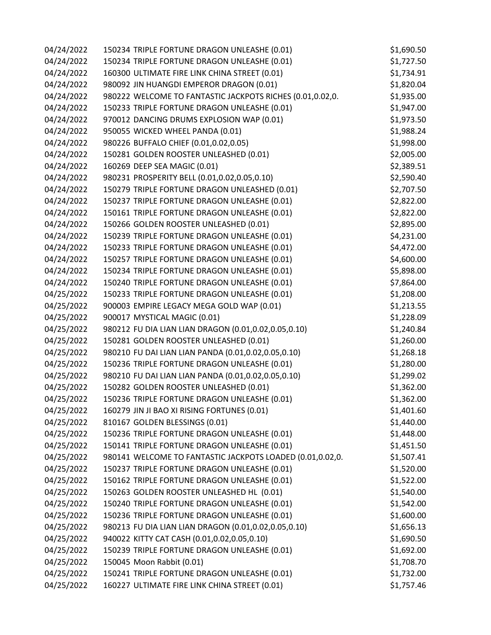| 04/24/2022 | 150234 TRIPLE FORTUNE DRAGON UNLEASHE (0.01)              | \$1,690.50 |
|------------|-----------------------------------------------------------|------------|
| 04/24/2022 | 150234 TRIPLE FORTUNE DRAGON UNLEASHE (0.01)              | \$1,727.50 |
| 04/24/2022 | 160300 ULTIMATE FIRE LINK CHINA STREET (0.01)             | \$1,734.91 |
| 04/24/2022 | 980092 JIN HUANGDI EMPEROR DRAGON (0.01)                  | \$1,820.04 |
| 04/24/2022 | 980222 WELCOME TO FANTASTIC JACKPOTS RICHES (0.01,0.02,0. | \$1,935.00 |
| 04/24/2022 | 150233 TRIPLE FORTUNE DRAGON UNLEASHE (0.01)              | \$1,947.00 |
| 04/24/2022 | 970012 DANCING DRUMS EXPLOSION WAP (0.01)                 | \$1,973.50 |
| 04/24/2022 | 950055 WICKED WHEEL PANDA (0.01)                          | \$1,988.24 |
| 04/24/2022 | 980226 BUFFALO CHIEF (0.01,0.02,0.05)                     | \$1,998.00 |
| 04/24/2022 | 150281 GOLDEN ROOSTER UNLEASHED (0.01)                    | \$2,005.00 |
| 04/24/2022 | 160269 DEEP SEA MAGIC (0.01)                              | \$2,389.51 |
| 04/24/2022 | 980231 PROSPERITY BELL (0.01,0.02,0.05,0.10)              | \$2,590.40 |
| 04/24/2022 | 150279 TRIPLE FORTUNE DRAGON UNLEASHED (0.01)             | \$2,707.50 |
| 04/24/2022 | 150237 TRIPLE FORTUNE DRAGON UNLEASHE (0.01)              | \$2,822.00 |
| 04/24/2022 | 150161 TRIPLE FORTUNE DRAGON UNLEASHE (0.01)              | \$2,822.00 |
| 04/24/2022 | 150266 GOLDEN ROOSTER UNLEASHED (0.01)                    | \$2,895.00 |
| 04/24/2022 | 150239 TRIPLE FORTUNE DRAGON UNLEASHE (0.01)              | \$4,231.00 |
| 04/24/2022 | 150233 TRIPLE FORTUNE DRAGON UNLEASHE (0.01)              | \$4,472.00 |
| 04/24/2022 | 150257 TRIPLE FORTUNE DRAGON UNLEASHE (0.01)              | \$4,600.00 |
| 04/24/2022 | 150234 TRIPLE FORTUNE DRAGON UNLEASHE (0.01)              | \$5,898.00 |
| 04/24/2022 | 150240 TRIPLE FORTUNE DRAGON UNLEASHE (0.01)              | \$7,864.00 |
| 04/25/2022 | 150233 TRIPLE FORTUNE DRAGON UNLEASHE (0.01)              | \$1,208.00 |
| 04/25/2022 | 900003 EMPIRE LEGACY MEGA GOLD WAP (0.01)                 | \$1,213.55 |
| 04/25/2022 | 900017 MYSTICAL MAGIC (0.01)                              | \$1,228.09 |
| 04/25/2022 | 980212 FU DIA LIAN LIAN DRAGON (0.01,0.02,0.05,0.10)      | \$1,240.84 |
| 04/25/2022 | 150281 GOLDEN ROOSTER UNLEASHED (0.01)                    | \$1,260.00 |
| 04/25/2022 | 980210 FU DAI LIAN LIAN PANDA (0.01,0.02,0.05,0.10)       | \$1,268.18 |
| 04/25/2022 | 150236 TRIPLE FORTUNE DRAGON UNLEASHE (0.01)              | \$1,280.00 |
| 04/25/2022 | 980210 FU DAI LIAN LIAN PANDA (0.01,0.02,0.05,0.10)       | \$1,299.02 |
| 04/25/2022 | 150282 GOLDEN ROOSTER UNLEASHED (0.01)                    | \$1,362.00 |
| 04/25/2022 | 150236 TRIPLE FORTUNE DRAGON UNLEASHE (0.01)              | \$1,362.00 |
| 04/25/2022 | 160279 JIN JI BAO XI RISING FORTUNES (0.01)               | \$1,401.60 |
| 04/25/2022 | 810167 GOLDEN BLESSINGS (0.01)                            | \$1,440.00 |
| 04/25/2022 | 150236 TRIPLE FORTUNE DRAGON UNLEASHE (0.01)              | \$1,448.00 |
| 04/25/2022 | 150141 TRIPLE FORTUNE DRAGON UNLEASHE (0.01)              | \$1,451.50 |
| 04/25/2022 | 980141 WELCOME TO FANTASTIC JACKPOTS LOADED (0.01,0.02,0. | \$1,507.41 |
| 04/25/2022 | 150237 TRIPLE FORTUNE DRAGON UNLEASHE (0.01)              | \$1,520.00 |
| 04/25/2022 | 150162 TRIPLE FORTUNE DRAGON UNLEASHE (0.01)              | \$1,522.00 |
| 04/25/2022 | 150263 GOLDEN ROOSTER UNLEASHED HL (0.01)                 | \$1,540.00 |
| 04/25/2022 | 150240 TRIPLE FORTUNE DRAGON UNLEASHE (0.01)              | \$1,542.00 |
| 04/25/2022 | 150236 TRIPLE FORTUNE DRAGON UNLEASHE (0.01)              | \$1,600.00 |
| 04/25/2022 | 980213 FU DIA LIAN LIAN DRAGON (0.01,0.02,0.05,0.10)      | \$1,656.13 |
| 04/25/2022 | 940022 KITTY CAT CASH (0.01,0.02,0.05,0.10)               | \$1,690.50 |
| 04/25/2022 | 150239 TRIPLE FORTUNE DRAGON UNLEASHE (0.01)              | \$1,692.00 |
| 04/25/2022 | 150045 Moon Rabbit (0.01)                                 | \$1,708.70 |
| 04/25/2022 | 150241 TRIPLE FORTUNE DRAGON UNLEASHE (0.01)              | \$1,732.00 |
| 04/25/2022 | 160227 ULTIMATE FIRE LINK CHINA STREET (0.01)             | \$1,757.46 |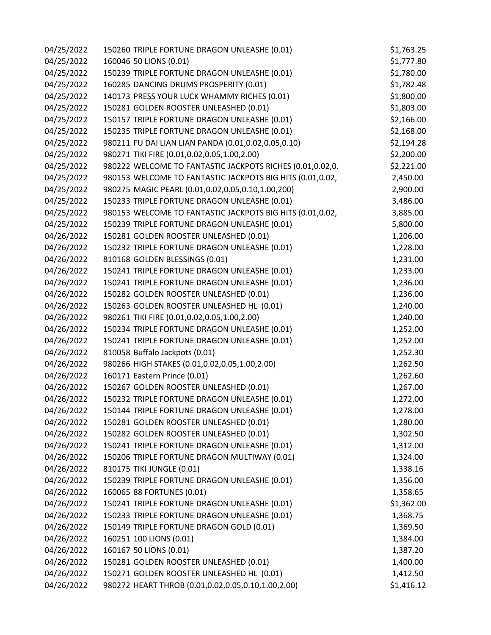| 04/25/2022 | 150260 TRIPLE FORTUNE DRAGON UNLEASHE (0.01)              | \$1,763.25 |
|------------|-----------------------------------------------------------|------------|
| 04/25/2022 | 160046 50 LIONS (0.01)                                    | \$1,777.80 |
| 04/25/2022 | 150239 TRIPLE FORTUNE DRAGON UNLEASHE (0.01)              | \$1,780.00 |
| 04/25/2022 | 160285 DANCING DRUMS PROSPERITY (0.01)                    | \$1,782.48 |
| 04/25/2022 | 140173 PRESS YOUR LUCK WHAMMY RICHES (0.01)               | \$1,800.00 |
| 04/25/2022 | 150281 GOLDEN ROOSTER UNLEASHED (0.01)                    | \$1,803.00 |
| 04/25/2022 | 150157 TRIPLE FORTUNE DRAGON UNLEASHE (0.01)              | \$2,166.00 |
| 04/25/2022 | 150235 TRIPLE FORTUNE DRAGON UNLEASHE (0.01)              | \$2,168.00 |
| 04/25/2022 | 980211 FU DAI LIAN LIAN PANDA (0.01,0.02,0.05,0.10)       | \$2,194.28 |
| 04/25/2022 | 980271 TIKI FIRE (0.01,0.02,0.05,1.00,2.00)               | \$2,200.00 |
| 04/25/2022 | 980222 WELCOME TO FANTASTIC JACKPOTS RICHES (0.01,0.02,0. | \$2,221.00 |
| 04/25/2022 | 980153 WELCOME TO FANTASTIC JACKPOTS BIG HITS (0.01,0.02, | 2,450.00   |
| 04/25/2022 | 980275 MAGIC PEARL (0.01,0.02,0.05,0.10,1.00,200)         | 2,900.00   |
| 04/25/2022 | 150233 TRIPLE FORTUNE DRAGON UNLEASHE (0.01)              | 3,486.00   |
| 04/25/2022 | 980153 WELCOME TO FANTASTIC JACKPOTS BIG HITS (0.01,0.02, | 3,885.00   |
| 04/25/2022 | 150239 TRIPLE FORTUNE DRAGON UNLEASHE (0.01)              | 5,800.00   |
| 04/26/2022 | 150281 GOLDEN ROOSTER UNLEASHED (0.01)                    | 1,206.00   |
| 04/26/2022 | 150232 TRIPLE FORTUNE DRAGON UNLEASHE (0.01)              | 1,228.00   |
| 04/26/2022 | 810168 GOLDEN BLESSINGS (0.01)                            | 1,231.00   |
| 04/26/2022 | 150241 TRIPLE FORTUNE DRAGON UNLEASHE (0.01)              | 1,233.00   |
| 04/26/2022 | 150241 TRIPLE FORTUNE DRAGON UNLEASHE (0.01)              | 1,236.00   |
| 04/26/2022 | 150282 GOLDEN ROOSTER UNLEASHED (0.01)                    | 1,236.00   |
| 04/26/2022 | 150263 GOLDEN ROOSTER UNLEASHED HL (0.01)                 | 1,240.00   |
| 04/26/2022 | 980261 TIKI FIRE (0.01,0.02,0.05,1.00,2.00)               | 1,240.00   |
| 04/26/2022 | 150234 TRIPLE FORTUNE DRAGON UNLEASHE (0.01)              | 1,252.00   |
| 04/26/2022 | 150241 TRIPLE FORTUNE DRAGON UNLEASHE (0.01)              | 1,252.00   |
| 04/26/2022 | 810058 Buffalo Jackpots (0.01)                            | 1,252.30   |
| 04/26/2022 | 980266 HIGH STAKES (0.01,0.02,0.05,1.00,2.00)             | 1,262.50   |
| 04/26/2022 | 160171 Eastern Prince (0.01)                              | 1,262.60   |
| 04/26/2022 | 150267 GOLDEN ROOSTER UNLEASHED (0.01)                    | 1,267.00   |
| 04/26/2022 | 150232 TRIPLE FORTUNE DRAGON UNLEASHE (0.01)              | 1,272.00   |
| 04/26/2022 | 150144 TRIPLE FORTUNE DRAGON UNLEASHE (0.01)              | 1,278.00   |
| 04/26/2022 | 150281 GOLDEN ROOSTER UNLEASHED (0.01)                    | 1,280.00   |
| 04/26/2022 | 150282 GOLDEN ROOSTER UNLEASHED (0.01)                    | 1,302.50   |
| 04/26/2022 | 150241 TRIPLE FORTUNE DRAGON UNLEASHE (0.01)              | 1,312.00   |
| 04/26/2022 | 150206 TRIPLE FORTUNE DRAGON MULTIWAY (0.01)              | 1,324.00   |
| 04/26/2022 | 810175 TIKI JUNGLE (0.01)                                 | 1,338.16   |
| 04/26/2022 | 150239 TRIPLE FORTUNE DRAGON UNLEASHE (0.01)              | 1,356.00   |
| 04/26/2022 | 160065 88 FORTUNES (0.01)                                 | 1,358.65   |
| 04/26/2022 | 150241 TRIPLE FORTUNE DRAGON UNLEASHE (0.01)              | \$1,362.00 |
| 04/26/2022 | 150233 TRIPLE FORTUNE DRAGON UNLEASHE (0.01)              | 1,368.75   |
| 04/26/2022 | 150149 TRIPLE FORTUNE DRAGON GOLD (0.01)                  | 1,369.50   |
| 04/26/2022 | 160251 100 LIONS (0.01)                                   | 1,384.00   |
| 04/26/2022 | 160167 50 LIONS (0.01)                                    | 1,387.20   |
| 04/26/2022 | 150281 GOLDEN ROOSTER UNLEASHED (0.01)                    | 1,400.00   |
| 04/26/2022 | 150271 GOLDEN ROOSTER UNLEASHED HL (0.01)                 | 1,412.50   |
| 04/26/2022 | 980272 HEART THROB (0.01,0.02,0.05,0.10,1.00,2.00)        | \$1,416.12 |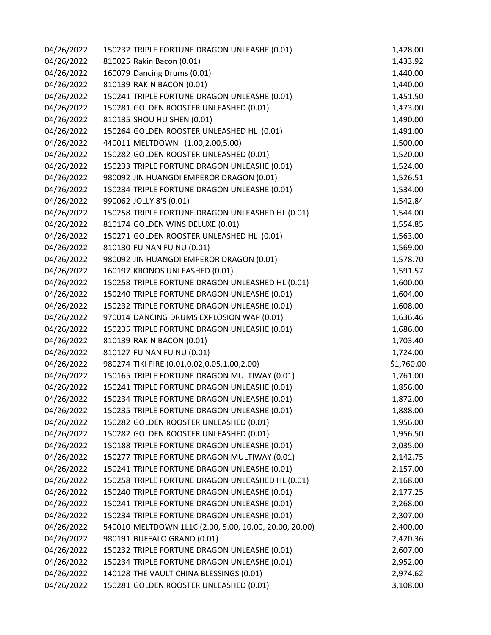| 04/26/2022 | 150232 TRIPLE FORTUNE DRAGON UNLEASHE (0.01)           | 1,428.00   |
|------------|--------------------------------------------------------|------------|
| 04/26/2022 | 810025 Rakin Bacon (0.01)                              | 1,433.92   |
| 04/26/2022 | 160079 Dancing Drums (0.01)                            | 1,440.00   |
| 04/26/2022 | 810139 RAKIN BACON (0.01)                              | 1,440.00   |
| 04/26/2022 | 150241 TRIPLE FORTUNE DRAGON UNLEASHE (0.01)           | 1,451.50   |
| 04/26/2022 | 150281 GOLDEN ROOSTER UNLEASHED (0.01)                 | 1,473.00   |
| 04/26/2022 | 810135 SHOU HU SHEN (0.01)                             | 1,490.00   |
| 04/26/2022 | 150264 GOLDEN ROOSTER UNLEASHED HL (0.01)              | 1,491.00   |
| 04/26/2022 | 440011 MELTDOWN (1.00,2.00,5.00)                       | 1,500.00   |
| 04/26/2022 | 150282 GOLDEN ROOSTER UNLEASHED (0.01)                 | 1,520.00   |
| 04/26/2022 | 150233 TRIPLE FORTUNE DRAGON UNLEASHE (0.01)           | 1,524.00   |
| 04/26/2022 | 980092 JIN HUANGDI EMPEROR DRAGON (0.01)               | 1,526.51   |
| 04/26/2022 | 150234 TRIPLE FORTUNE DRAGON UNLEASHE (0.01)           | 1,534.00   |
| 04/26/2022 | 990062 JOLLY 8'S (0.01)                                | 1,542.84   |
| 04/26/2022 | 150258 TRIPLE FORTUNE DRAGON UNLEASHED HL (0.01)       | 1,544.00   |
| 04/26/2022 | 810174 GOLDEN WINS DELUXE (0.01)                       | 1,554.85   |
| 04/26/2022 | 150271 GOLDEN ROOSTER UNLEASHED HL (0.01)              | 1,563.00   |
| 04/26/2022 | 810130 FU NAN FU NU (0.01)                             | 1,569.00   |
| 04/26/2022 | 980092 JIN HUANGDI EMPEROR DRAGON (0.01)               | 1,578.70   |
| 04/26/2022 | 160197 KRONOS UNLEASHED (0.01)                         | 1,591.57   |
| 04/26/2022 | 150258 TRIPLE FORTUNE DRAGON UNLEASHED HL (0.01)       | 1,600.00   |
| 04/26/2022 | 150240 TRIPLE FORTUNE DRAGON UNLEASHE (0.01)           | 1,604.00   |
| 04/26/2022 | 150232 TRIPLE FORTUNE DRAGON UNLEASHE (0.01)           | 1,608.00   |
| 04/26/2022 | 970014 DANCING DRUMS EXPLOSION WAP (0.01)              | 1,636.46   |
| 04/26/2022 | 150235 TRIPLE FORTUNE DRAGON UNLEASHE (0.01)           | 1,686.00   |
| 04/26/2022 | 810139 RAKIN BACON (0.01)                              | 1,703.40   |
| 04/26/2022 | 810127 FU NAN FU NU (0.01)                             | 1,724.00   |
| 04/26/2022 | 980274 TIKI FIRE (0.01,0.02,0.05,1.00,2.00)            | \$1,760.00 |
| 04/26/2022 | 150165 TRIPLE FORTUNE DRAGON MULTIWAY (0.01)           | 1,761.00   |
| 04/26/2022 | 150241 TRIPLE FORTUNE DRAGON UNLEASHE (0.01)           | 1,856.00   |
| 04/26/2022 | 150234 TRIPLE FORTUNE DRAGON UNLEASHE (0.01)           | 1,872.00   |
| 04/26/2022 | 150235 TRIPLE FORTUNE DRAGON UNLEASHE (0.01)           | 1,888.00   |
| 04/26/2022 | 150282 GOLDEN ROOSTER UNLEASHED (0.01)                 | 1,956.00   |
| 04/26/2022 | 150282 GOLDEN ROOSTER UNLEASHED (0.01)                 | 1,956.50   |
| 04/26/2022 | 150188 TRIPLE FORTUNE DRAGON UNLEASHE (0.01)           | 2,035.00   |
| 04/26/2022 | 150277 TRIPLE FORTUNE DRAGON MULTIWAY (0.01)           | 2,142.75   |
| 04/26/2022 | 150241 TRIPLE FORTUNE DRAGON UNLEASHE (0.01)           | 2,157.00   |
| 04/26/2022 | 150258 TRIPLE FORTUNE DRAGON UNLEASHED HL (0.01)       | 2,168.00   |
| 04/26/2022 | 150240 TRIPLE FORTUNE DRAGON UNLEASHE (0.01)           | 2,177.25   |
| 04/26/2022 | 150241 TRIPLE FORTUNE DRAGON UNLEASHE (0.01)           | 2,268.00   |
| 04/26/2022 | 150234 TRIPLE FORTUNE DRAGON UNLEASHE (0.01)           | 2,307.00   |
| 04/26/2022 | 540010 MELTDOWN 1L1C (2.00, 5.00, 10.00, 20.00, 20.00) | 2,400.00   |
| 04/26/2022 | 980191 BUFFALO GRAND (0.01)                            | 2,420.36   |
| 04/26/2022 | 150232 TRIPLE FORTUNE DRAGON UNLEASHE (0.01)           | 2,607.00   |
| 04/26/2022 | 150234 TRIPLE FORTUNE DRAGON UNLEASHE (0.01)           | 2,952.00   |
| 04/26/2022 | 140128 THE VAULT CHINA BLESSINGS (0.01)                | 2,974.62   |
| 04/26/2022 | 150281 GOLDEN ROOSTER UNLEASHED (0.01)                 | 3,108.00   |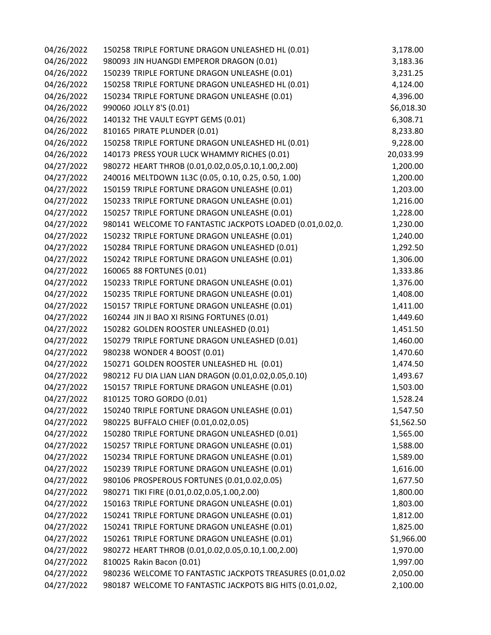| 04/26/2022 | 150258 TRIPLE FORTUNE DRAGON UNLEASHED HL (0.01)          | 3,178.00   |
|------------|-----------------------------------------------------------|------------|
| 04/26/2022 | 980093 JIN HUANGDI EMPEROR DRAGON (0.01)                  | 3,183.36   |
| 04/26/2022 | 150239 TRIPLE FORTUNE DRAGON UNLEASHE (0.01)              | 3,231.25   |
| 04/26/2022 | 150258 TRIPLE FORTUNE DRAGON UNLEASHED HL (0.01)          | 4,124.00   |
| 04/26/2022 | 150234 TRIPLE FORTUNE DRAGON UNLEASHE (0.01)              | 4,396.00   |
| 04/26/2022 | 990060 JOLLY 8'S (0.01)                                   | \$6,018.30 |
| 04/26/2022 | 140132 THE VAULT EGYPT GEMS (0.01)                        | 6,308.71   |
| 04/26/2022 | 810165 PIRATE PLUNDER (0.01)                              | 8,233.80   |
| 04/26/2022 | 150258 TRIPLE FORTUNE DRAGON UNLEASHED HL (0.01)          | 9,228.00   |
| 04/26/2022 | 140173 PRESS YOUR LUCK WHAMMY RICHES (0.01)               | 20,033.99  |
| 04/27/2022 | 980272 HEART THROB (0.01,0.02,0.05,0.10,1.00,2.00)        | 1,200.00   |
| 04/27/2022 | 240016 MELTDOWN 1L3C (0.05, 0.10, 0.25, 0.50, 1.00)       | 1,200.00   |
| 04/27/2022 | 150159 TRIPLE FORTUNE DRAGON UNLEASHE (0.01)              | 1,203.00   |
| 04/27/2022 | 150233 TRIPLE FORTUNE DRAGON UNLEASHE (0.01)              | 1,216.00   |
| 04/27/2022 | 150257 TRIPLE FORTUNE DRAGON UNLEASHE (0.01)              | 1,228.00   |
| 04/27/2022 | 980141 WELCOME TO FANTASTIC JACKPOTS LOADED (0.01,0.02,0. | 1,230.00   |
| 04/27/2022 | 150232 TRIPLE FORTUNE DRAGON UNLEASHE (0.01)              | 1,240.00   |
| 04/27/2022 | 150284 TRIPLE FORTUNE DRAGON UNLEASHED (0.01)             | 1,292.50   |
| 04/27/2022 | 150242 TRIPLE FORTUNE DRAGON UNLEASHE (0.01)              | 1,306.00   |
| 04/27/2022 | 160065 88 FORTUNES (0.01)                                 | 1,333.86   |
| 04/27/2022 | 150233 TRIPLE FORTUNE DRAGON UNLEASHE (0.01)              | 1,376.00   |
| 04/27/2022 | 150235 TRIPLE FORTUNE DRAGON UNLEASHE (0.01)              | 1,408.00   |
| 04/27/2022 | 150157 TRIPLE FORTUNE DRAGON UNLEASHE (0.01)              | 1,411.00   |
| 04/27/2022 | 160244 JIN JI BAO XI RISING FORTUNES (0.01)               | 1,449.60   |
| 04/27/2022 | 150282 GOLDEN ROOSTER UNLEASHED (0.01)                    | 1,451.50   |
| 04/27/2022 | 150279 TRIPLE FORTUNE DRAGON UNLEASHED (0.01)             | 1,460.00   |
| 04/27/2022 | 980238 WONDER 4 BOOST (0.01)                              | 1,470.60   |
| 04/27/2022 | 150271 GOLDEN ROOSTER UNLEASHED HL (0.01)                 | 1,474.50   |
| 04/27/2022 | 980212 FU DIA LIAN LIAN DRAGON (0.01,0.02,0.05,0.10)      | 1,493.67   |
| 04/27/2022 | 150157 TRIPLE FORTUNE DRAGON UNLEASHE (0.01)              | 1,503.00   |
| 04/27/2022 | 810125 TORO GORDO (0.01)                                  | 1,528.24   |
| 04/27/2022 | 150240 TRIPLE FORTUNE DRAGON UNLEASHE (0.01)              | 1,547.50   |
| 04/27/2022 | 980225 BUFFALO CHIEF (0.01,0.02,0.05)                     | \$1,562.50 |
| 04/27/2022 | 150280 TRIPLE FORTUNE DRAGON UNLEASHED (0.01)             | 1,565.00   |
| 04/27/2022 | 150257 TRIPLE FORTUNE DRAGON UNLEASHE (0.01)              | 1,588.00   |
| 04/27/2022 | 150234 TRIPLE FORTUNE DRAGON UNLEASHE (0.01)              | 1,589.00   |
| 04/27/2022 | 150239 TRIPLE FORTUNE DRAGON UNLEASHE (0.01)              | 1,616.00   |
| 04/27/2022 | 980106 PROSPEROUS FORTUNES (0.01,0.02,0.05)               | 1,677.50   |
| 04/27/2022 | 980271 TIKI FIRE (0.01,0.02,0.05,1.00,2.00)               | 1,800.00   |
| 04/27/2022 | 150163 TRIPLE FORTUNE DRAGON UNLEASHE (0.01)              | 1,803.00   |
| 04/27/2022 | 150241 TRIPLE FORTUNE DRAGON UNLEASHE (0.01)              | 1,812.00   |
| 04/27/2022 | 150241 TRIPLE FORTUNE DRAGON UNLEASHE (0.01)              | 1,825.00   |
| 04/27/2022 | 150261 TRIPLE FORTUNE DRAGON UNLEASHE (0.01)              | \$1,966.00 |
| 04/27/2022 | 980272 HEART THROB (0.01,0.02,0.05,0.10,1.00,2.00)        | 1,970.00   |
| 04/27/2022 | 810025 Rakin Bacon (0.01)                                 | 1,997.00   |
| 04/27/2022 | 980236 WELCOME TO FANTASTIC JACKPOTS TREASURES (0.01,0.02 | 2,050.00   |
| 04/27/2022 | 980187 WELCOME TO FANTASTIC JACKPOTS BIG HITS (0.01,0.02, | 2,100.00   |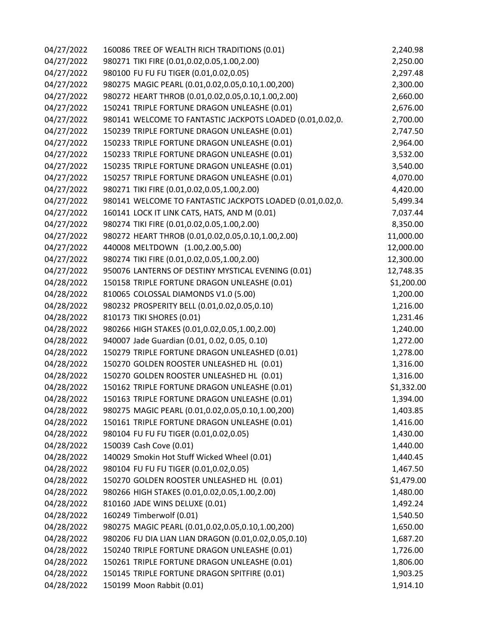| 04/27/2022 | 160086 TREE OF WEALTH RICH TRADITIONS (0.01)              | 2,240.98   |
|------------|-----------------------------------------------------------|------------|
| 04/27/2022 | 980271 TIKI FIRE (0.01,0.02,0.05,1.00,2.00)               | 2,250.00   |
| 04/27/2022 | 980100 FU FU FU TIGER (0.01,0.02,0.05)                    | 2,297.48   |
| 04/27/2022 | 980275 MAGIC PEARL (0.01,0.02,0.05,0.10,1.00,200)         | 2,300.00   |
| 04/27/2022 | 980272 HEART THROB (0.01,0.02,0.05,0.10,1.00,2.00)        | 2,660.00   |
| 04/27/2022 | 150241 TRIPLE FORTUNE DRAGON UNLEASHE (0.01)              | 2,676.00   |
| 04/27/2022 | 980141 WELCOME TO FANTASTIC JACKPOTS LOADED (0.01,0.02,0. | 2,700.00   |
| 04/27/2022 | 150239 TRIPLE FORTUNE DRAGON UNLEASHE (0.01)              | 2,747.50   |
| 04/27/2022 | 150233 TRIPLE FORTUNE DRAGON UNLEASHE (0.01)              | 2,964.00   |
| 04/27/2022 | 150233 TRIPLE FORTUNE DRAGON UNLEASHE (0.01)              | 3,532.00   |
| 04/27/2022 | 150235 TRIPLE FORTUNE DRAGON UNLEASHE (0.01)              | 3,540.00   |
| 04/27/2022 | 150257 TRIPLE FORTUNE DRAGON UNLEASHE (0.01)              | 4,070.00   |
| 04/27/2022 | 980271 TIKI FIRE (0.01,0.02,0.05,1.00,2.00)               | 4,420.00   |
| 04/27/2022 | 980141 WELCOME TO FANTASTIC JACKPOTS LOADED (0.01,0.02,0. | 5,499.34   |
| 04/27/2022 | 160141 LOCK IT LINK CATS, HATS, AND M (0.01)              | 7,037.44   |
| 04/27/2022 | 980274 TIKI FIRE (0.01,0.02,0.05,1.00,2.00)               | 8,350.00   |
| 04/27/2022 | 980272 HEART THROB (0.01,0.02,0.05,0.10,1.00,2.00)        | 11,000.00  |
| 04/27/2022 | 440008 MELTDOWN (1.00,2.00,5.00)                          | 12,000.00  |
| 04/27/2022 | 980274 TIKI FIRE (0.01,0.02,0.05,1.00,2.00)               | 12,300.00  |
| 04/27/2022 | 950076 LANTERNS OF DESTINY MYSTICAL EVENING (0.01)        | 12,748.35  |
| 04/28/2022 | 150158 TRIPLE FORTUNE DRAGON UNLEASHE (0.01)              | \$1,200.00 |
| 04/28/2022 | 810065 COLOSSAL DIAMONDS V1.0 (5.00)                      | 1,200.00   |
| 04/28/2022 | 980232 PROSPERITY BELL (0.01,0.02,0.05,0.10)              | 1,216.00   |
| 04/28/2022 | 810173 TIKI SHORES (0.01)                                 | 1,231.46   |
| 04/28/2022 | 980266 HIGH STAKES (0.01,0.02,0.05,1.00,2.00)             | 1,240.00   |
| 04/28/2022 | 940007 Jade Guardian (0.01, 0.02, 0.05, 0.10)             | 1,272.00   |
| 04/28/2022 | 150279 TRIPLE FORTUNE DRAGON UNLEASHED (0.01)             | 1,278.00   |
| 04/28/2022 | 150270 GOLDEN ROOSTER UNLEASHED HL (0.01)                 | 1,316.00   |
| 04/28/2022 | 150270 GOLDEN ROOSTER UNLEASHED HL (0.01)                 | 1,316.00   |
| 04/28/2022 | 150162 TRIPLE FORTUNE DRAGON UNLEASHE (0.01)              | \$1,332.00 |
| 04/28/2022 | 150163 TRIPLE FORTUNE DRAGON UNLEASHE (0.01)              | 1,394.00   |
| 04/28/2022 | 980275 MAGIC PEARL (0.01,0.02,0.05,0.10,1.00,200)         | 1,403.85   |
| 04/28/2022 | 150161 TRIPLE FORTUNE DRAGON UNLEASHE (0.01)              | 1,416.00   |
| 04/28/2022 | 980104 FU FU FU TIGER (0.01,0.02,0.05)                    | 1,430.00   |
| 04/28/2022 | 150039 Cash Cove (0.01)                                   | 1,440.00   |
| 04/28/2022 | 140029 Smokin Hot Stuff Wicked Wheel (0.01)               | 1,440.45   |
| 04/28/2022 | 980104 FU FU FU TIGER (0.01,0.02,0.05)                    | 1,467.50   |
| 04/28/2022 | 150270 GOLDEN ROOSTER UNLEASHED HL (0.01)                 | \$1,479.00 |
| 04/28/2022 | 980266 HIGH STAKES (0.01,0.02,0.05,1.00,2.00)             | 1,480.00   |
| 04/28/2022 | 810160 JADE WINS DELUXE (0.01)                            | 1,492.24   |
| 04/28/2022 | 160249 Timberwolf (0.01)                                  | 1,540.50   |
| 04/28/2022 | 980275 MAGIC PEARL (0.01,0.02,0.05,0.10,1.00,200)         | 1,650.00   |
| 04/28/2022 | 980206 FU DIA LIAN LIAN DRAGON (0.01,0.02,0.05,0.10)      | 1,687.20   |
| 04/28/2022 | 150240 TRIPLE FORTUNE DRAGON UNLEASHE (0.01)              | 1,726.00   |
| 04/28/2022 | 150261 TRIPLE FORTUNE DRAGON UNLEASHE (0.01)              | 1,806.00   |
| 04/28/2022 | 150145 TRIPLE FORTUNE DRAGON SPITFIRE (0.01)              | 1,903.25   |
| 04/28/2022 | 150199 Moon Rabbit (0.01)                                 | 1,914.10   |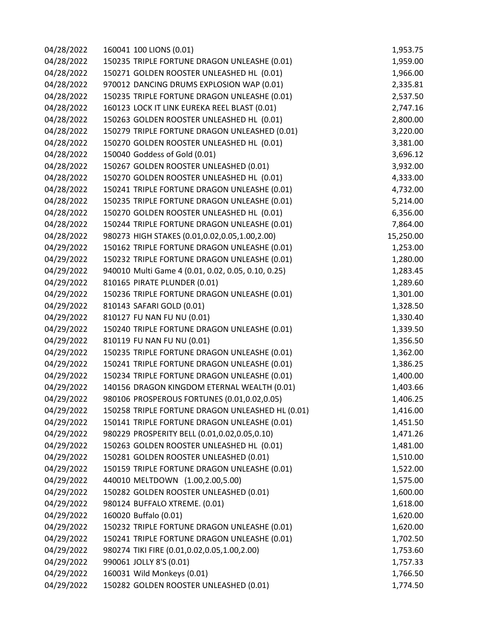| 04/28/2022 | 160041 100 LIONS (0.01)                            | 1,953.75  |
|------------|----------------------------------------------------|-----------|
| 04/28/2022 | 150235 TRIPLE FORTUNE DRAGON UNLEASHE (0.01)       | 1,959.00  |
| 04/28/2022 | 150271 GOLDEN ROOSTER UNLEASHED HL (0.01)          | 1,966.00  |
| 04/28/2022 | 970012 DANCING DRUMS EXPLOSION WAP (0.01)          | 2,335.81  |
| 04/28/2022 | 150235 TRIPLE FORTUNE DRAGON UNLEASHE (0.01)       | 2,537.50  |
| 04/28/2022 | 160123 LOCK IT LINK EUREKA REEL BLAST (0.01)       | 2,747.16  |
| 04/28/2022 | 150263 GOLDEN ROOSTER UNLEASHED HL (0.01)          | 2,800.00  |
| 04/28/2022 | 150279 TRIPLE FORTUNE DRAGON UNLEASHED (0.01)      | 3,220.00  |
| 04/28/2022 | 150270 GOLDEN ROOSTER UNLEASHED HL (0.01)          | 3,381.00  |
| 04/28/2022 | 150040 Goddess of Gold (0.01)                      | 3,696.12  |
| 04/28/2022 | 150267 GOLDEN ROOSTER UNLEASHED (0.01)             | 3,932.00  |
| 04/28/2022 | 150270 GOLDEN ROOSTER UNLEASHED HL (0.01)          | 4,333.00  |
| 04/28/2022 | 150241 TRIPLE FORTUNE DRAGON UNLEASHE (0.01)       | 4,732.00  |
| 04/28/2022 | 150235 TRIPLE FORTUNE DRAGON UNLEASHE (0.01)       | 5,214.00  |
| 04/28/2022 | 150270 GOLDEN ROOSTER UNLEASHED HL (0.01)          | 6,356.00  |
| 04/28/2022 | 150244 TRIPLE FORTUNE DRAGON UNLEASHE (0.01)       | 7,864.00  |
| 04/28/2022 | 980273 HIGH STAKES (0.01,0.02,0.05,1.00,2.00)      | 15,250.00 |
| 04/29/2022 | 150162 TRIPLE FORTUNE DRAGON UNLEASHE (0.01)       | 1,253.00  |
| 04/29/2022 | 150232 TRIPLE FORTUNE DRAGON UNLEASHE (0.01)       | 1,280.00  |
| 04/29/2022 | 940010 Multi Game 4 (0.01, 0.02, 0.05, 0.10, 0.25) | 1,283.45  |
| 04/29/2022 | 810165 PIRATE PLUNDER (0.01)                       | 1,289.60  |
| 04/29/2022 | 150236 TRIPLE FORTUNE DRAGON UNLEASHE (0.01)       | 1,301.00  |
| 04/29/2022 | 810143 SAFARI GOLD (0.01)                          | 1,328.50  |
| 04/29/2022 | 810127 FU NAN FU NU (0.01)                         | 1,330.40  |
| 04/29/2022 | 150240 TRIPLE FORTUNE DRAGON UNLEASHE (0.01)       | 1,339.50  |
| 04/29/2022 | 810119 FU NAN FU NU (0.01)                         | 1,356.50  |
| 04/29/2022 | 150235 TRIPLE FORTUNE DRAGON UNLEASHE (0.01)       | 1,362.00  |
| 04/29/2022 | 150241 TRIPLE FORTUNE DRAGON UNLEASHE (0.01)       | 1,386.25  |
| 04/29/2022 | 150234 TRIPLE FORTUNE DRAGON UNLEASHE (0.01)       | 1,400.00  |
| 04/29/2022 | 140156 DRAGON KINGDOM ETERNAL WEALTH (0.01)        | 1,403.66  |
| 04/29/2022 | 980106 PROSPEROUS FORTUNES (0.01,0.02,0.05)        | 1,406.25  |
| 04/29/2022 | 150258 TRIPLE FORTUNE DRAGON UNLEASHED HL (0.01)   | 1,416.00  |
| 04/29/2022 | 150141 TRIPLE FORTUNE DRAGON UNLEASHE (0.01)       | 1,451.50  |
| 04/29/2022 | 980229 PROSPERITY BELL (0.01,0.02,0.05,0.10)       | 1,471.26  |
| 04/29/2022 | 150263 GOLDEN ROOSTER UNLEASHED HL (0.01)          | 1,481.00  |
| 04/29/2022 | 150281 GOLDEN ROOSTER UNLEASHED (0.01)             | 1,510.00  |
| 04/29/2022 | 150159 TRIPLE FORTUNE DRAGON UNLEASHE (0.01)       | 1,522.00  |
| 04/29/2022 | 440010 MELTDOWN (1.00,2.00,5.00)                   | 1,575.00  |
| 04/29/2022 | 150282 GOLDEN ROOSTER UNLEASHED (0.01)             | 1,600.00  |
| 04/29/2022 | 980124 BUFFALO XTREME. (0.01)                      | 1,618.00  |
| 04/29/2022 | 160020 Buffalo (0.01)                              | 1,620.00  |
| 04/29/2022 | 150232 TRIPLE FORTUNE DRAGON UNLEASHE (0.01)       | 1,620.00  |
| 04/29/2022 | 150241 TRIPLE FORTUNE DRAGON UNLEASHE (0.01)       | 1,702.50  |
| 04/29/2022 | 980274 TIKI FIRE (0.01,0.02,0.05,1.00,2.00)        | 1,753.60  |
| 04/29/2022 | 990061 JOLLY 8'S (0.01)                            | 1,757.33  |
| 04/29/2022 | 160031 Wild Monkeys (0.01)                         | 1,766.50  |
| 04/29/2022 | 150282 GOLDEN ROOSTER UNLEASHED (0.01)             | 1,774.50  |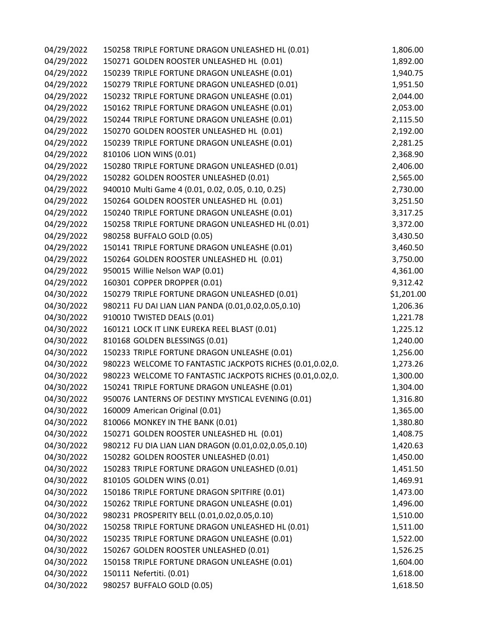| 04/29/2022 | 150258 TRIPLE FORTUNE DRAGON UNLEASHED HL (0.01)          | 1,806.00   |
|------------|-----------------------------------------------------------|------------|
| 04/29/2022 | 150271 GOLDEN ROOSTER UNLEASHED HL (0.01)                 | 1,892.00   |
| 04/29/2022 | 150239 TRIPLE FORTUNE DRAGON UNLEASHE (0.01)              | 1,940.75   |
| 04/29/2022 | 150279 TRIPLE FORTUNE DRAGON UNLEASHED (0.01)             | 1,951.50   |
| 04/29/2022 | 150232 TRIPLE FORTUNE DRAGON UNLEASHE (0.01)              | 2,044.00   |
| 04/29/2022 | 150162 TRIPLE FORTUNE DRAGON UNLEASHE (0.01)              | 2,053.00   |
| 04/29/2022 | 150244 TRIPLE FORTUNE DRAGON UNLEASHE (0.01)              | 2,115.50   |
| 04/29/2022 | 150270 GOLDEN ROOSTER UNLEASHED HL (0.01)                 | 2,192.00   |
| 04/29/2022 | 150239 TRIPLE FORTUNE DRAGON UNLEASHE (0.01)              | 2,281.25   |
| 04/29/2022 | 810106 LION WINS (0.01)                                   | 2,368.90   |
| 04/29/2022 | 150280 TRIPLE FORTUNE DRAGON UNLEASHED (0.01)             | 2,406.00   |
| 04/29/2022 | 150282 GOLDEN ROOSTER UNLEASHED (0.01)                    | 2,565.00   |
| 04/29/2022 | 940010 Multi Game 4 (0.01, 0.02, 0.05, 0.10, 0.25)        | 2,730.00   |
| 04/29/2022 | 150264 GOLDEN ROOSTER UNLEASHED HL (0.01)                 | 3,251.50   |
| 04/29/2022 | 150240 TRIPLE FORTUNE DRAGON UNLEASHE (0.01)              | 3,317.25   |
| 04/29/2022 | 150258 TRIPLE FORTUNE DRAGON UNLEASHED HL (0.01)          | 3,372.00   |
| 04/29/2022 | 980258 BUFFALO GOLD (0.05)                                | 3,430.50   |
| 04/29/2022 | 150141 TRIPLE FORTUNE DRAGON UNLEASHE (0.01)              | 3,460.50   |
| 04/29/2022 | 150264 GOLDEN ROOSTER UNLEASHED HL (0.01)                 | 3,750.00   |
| 04/29/2022 | 950015 Willie Nelson WAP (0.01)                           | 4,361.00   |
| 04/29/2022 | 160301 COPPER DROPPER (0.01)                              | 9,312.42   |
| 04/30/2022 | 150279 TRIPLE FORTUNE DRAGON UNLEASHED (0.01)             | \$1,201.00 |
| 04/30/2022 | 980211 FU DAI LIAN LIAN PANDA (0.01,0.02,0.05,0.10)       | 1,206.36   |
| 04/30/2022 | 910010 TWISTED DEALS (0.01)                               | 1,221.78   |
| 04/30/2022 | 160121 LOCK IT LINK EUREKA REEL BLAST (0.01)              | 1,225.12   |
| 04/30/2022 | 810168 GOLDEN BLESSINGS (0.01)                            | 1,240.00   |
| 04/30/2022 | 150233 TRIPLE FORTUNE DRAGON UNLEASHE (0.01)              | 1,256.00   |
| 04/30/2022 | 980223 WELCOME TO FANTASTIC JACKPOTS RICHES (0.01,0.02,0. | 1,273.26   |
| 04/30/2022 | 980223 WELCOME TO FANTASTIC JACKPOTS RICHES (0.01,0.02,0. | 1,300.00   |
| 04/30/2022 | 150241 TRIPLE FORTUNE DRAGON UNLEASHE (0.01)              | 1,304.00   |
| 04/30/2022 | 950076 LANTERNS OF DESTINY MYSTICAL EVENING (0.01)        | 1,316.80   |
| 04/30/2022 | 160009 American Original (0.01)                           | 1,365.00   |
| 04/30/2022 | 810066 MONKEY IN THE BANK (0.01)                          | 1,380.80   |
| 04/30/2022 | 150271 GOLDEN ROOSTER UNLEASHED HL (0.01)                 | 1,408.75   |
| 04/30/2022 | 980212 FU DIA LIAN LIAN DRAGON (0.01,0.02,0.05,0.10)      | 1,420.63   |
| 04/30/2022 | 150282 GOLDEN ROOSTER UNLEASHED (0.01)                    | 1,450.00   |
| 04/30/2022 | 150283 TRIPLE FORTUNE DRAGON UNLEASHED (0.01)             | 1,451.50   |
| 04/30/2022 | 810105 GOLDEN WINS (0.01)                                 | 1,469.91   |
| 04/30/2022 | 150186 TRIPLE FORTUNE DRAGON SPITFIRE (0.01)              | 1,473.00   |
| 04/30/2022 | 150262 TRIPLE FORTUNE DRAGON UNLEASHE (0.01)              | 1,496.00   |
| 04/30/2022 | 980231 PROSPERITY BELL (0.01,0.02,0.05,0.10)              | 1,510.00   |
| 04/30/2022 | 150258 TRIPLE FORTUNE DRAGON UNLEASHED HL (0.01)          | 1,511.00   |
| 04/30/2022 | 150235 TRIPLE FORTUNE DRAGON UNLEASHE (0.01)              | 1,522.00   |
| 04/30/2022 | 150267 GOLDEN ROOSTER UNLEASHED (0.01)                    | 1,526.25   |
| 04/30/2022 | 150158 TRIPLE FORTUNE DRAGON UNLEASHE (0.01)              | 1,604.00   |
| 04/30/2022 | 150111 Nefertiti. (0.01)                                  | 1,618.00   |
| 04/30/2022 | 980257 BUFFALO GOLD (0.05)                                | 1,618.50   |